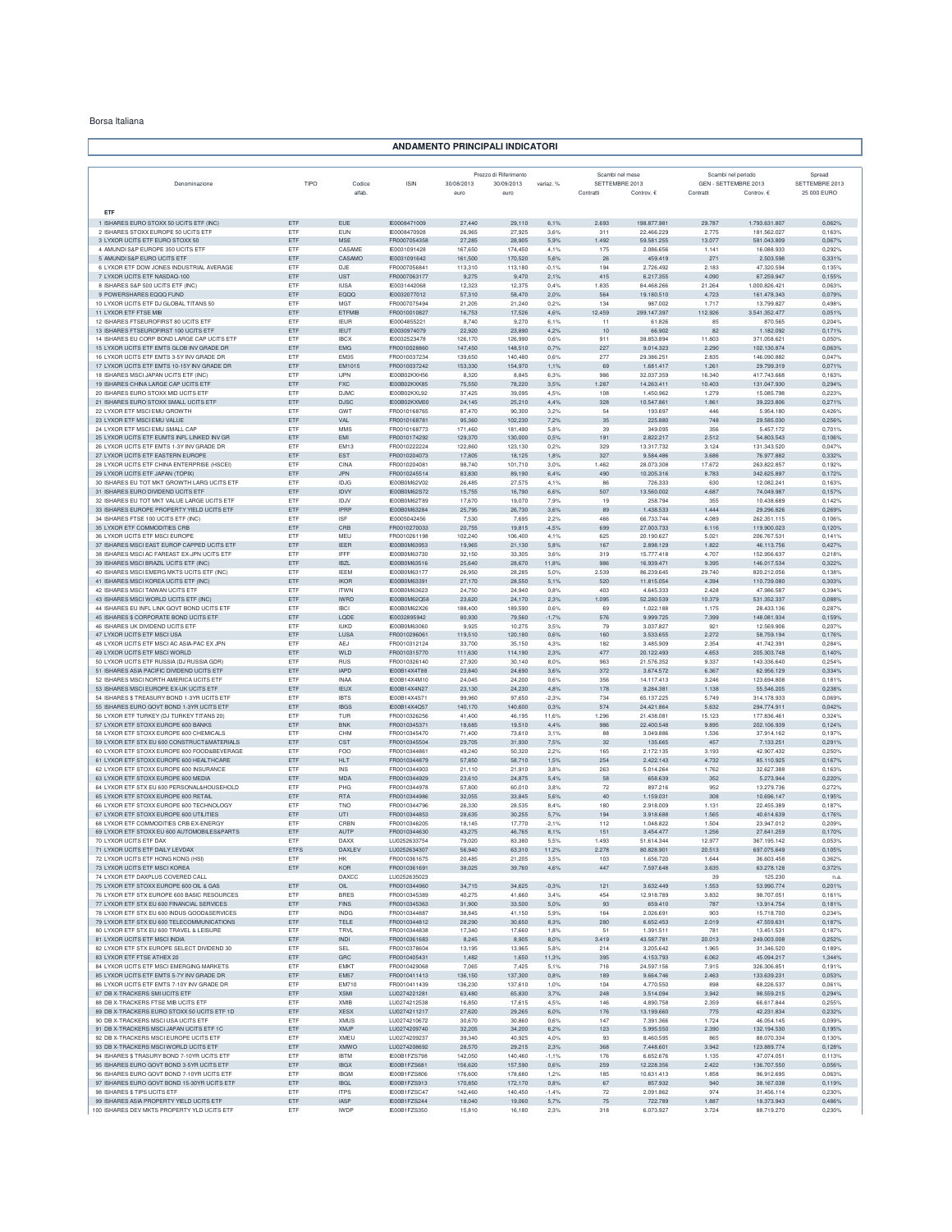## Borsa Italiana

## **ANDAMENTO PRINCIPALI INDICATORI**

|                                                                                            |                    |                              |                              |                    | Prezzo di Riferimento |               | Scambi nel mese             |                          | Scambi nel periodo                |                             | Spread                        |
|--------------------------------------------------------------------------------------------|--------------------|------------------------------|------------------------------|--------------------|-----------------------|---------------|-----------------------------|--------------------------|-----------------------------------|-----------------------------|-------------------------------|
| Denominazione                                                                              | TIPO               | Codice<br>alfab.             | <b>ISIN</b>                  | 30/08/2013<br>euro | 30/09/2013<br>euro    | variaz. %     | SETTEMBRE 2013<br>Contratti | Controv. €               | GEN - SETTEMBRE 2013<br>Contratti | Controv. €                  | SETTEMBRE 2013<br>25 000 EURO |
|                                                                                            |                    |                              |                              |                    |                       |               |                             |                          |                                   |                             |                               |
| ETF                                                                                        |                    |                              |                              |                    |                       |               |                             |                          |                                   |                             |                               |
| 1 ISHARES EURO STOXX 50 UCITS ETF (INC)                                                    | ETF                | EUE                          | IE0008471009                 | 27,440             | 29.110                | 6,1%          | 2.693                       | 198.877.981              | 29.787                            | 1.793.631.807               | 0.062%                        |
| 2 ISHARES STOXX EUROPE 50 UCITS ETF                                                        | ETF<br>ETF         | EUN<br><b>MSE</b>            | IE0008470928                 | 26,965             | 27.925<br>28,905      | 3.6%          | 311                         | 22.466.229<br>59.581.255 | 2.775<br>13.077                   | 181.562.027                 | 0.163%                        |
| 3 LYXOR UCITS ETF EURO STOXX 50<br>4 AMUNDI S&P EUROPE 350 UCITS ETF                       | ETF                | CASAME                       | FR0007054358<br>IE0031091428 | 27,285<br>167,650  | 174,450               | 5,9%<br>4,1%  | 1.492<br>175                | 2.086.656                | 1.14'                             | 581.043.809<br>16.088.933   | 0,067%<br>0,292%              |
| 5 AMUNDI S&P EURO UCITS ETF                                                                | ETF                | CASAMO                       | IE0031091642                 | 161,500            | 170,520               | 5,6%          | 26                          | 459.419                  | 271                               | 2.503.598                   | 0,331%                        |
| 6 LYXOR ETF DOW JONES INDUSTRIAL AVERAGE                                                   | ETF                | DJE                          | FR0007056841                 | 113,310            | 113,180               | $-0,1%$       | 194                         | 2.726.492                | 2.183                             | 47.320.594                  | 0.135%                        |
| 7 LYXOR UCITS ETF NASDAQ-100<br>8 ISHARES S&P 500 UCITS ETF (INC)                          | ETF<br>ETF         | <b>UST</b><br><b>IUSA</b>    | FR0007063177<br>IE0031442068 | 9.275<br>12,323    | 9,470<br>12,375       | 2.1%<br>0.4%  | 415<br>1.835                | 6.217.355<br>84.468.266  | 4.090<br>21.264                   | 67.259.947<br>1.000.826.421 | 0.155%<br>0,063%              |
| 9 POWERSHARES EQQQ FUND                                                                    | ETF                | EQQQ                         | IE0032077012                 | 57,310             | 58,470                | 2,0%          | 564                         | 19.180.510               | 4.723                             | 161.478.343                 | 0,079%                        |
| 10 LYXOR UCITS ETF DJ GLOBAL TITANS 50                                                     | ETF                | <b>MGT</b>                   | FR0007075494                 | 21,205             | 21,240                | 0,2%          | 134                         | 987.002                  | 1.717                             | 13.799.827                  | 0,498%                        |
| 11 LYXOR ETF FTSE MIB                                                                      | ETF                | ETFME                        | FR0010010827                 | 16,753             | 17,526                | 4,6%          | 12.459                      | 299.147.397              | 112.926                           | 3.541.352.477               | 0,051%                        |
| 12 ISHARES FTSEUROFIRST 80 UCITS ETF<br>13 ISHARES FTSEUROFIRST 100 UCITS ETF              | ETF<br>ETF         | <b>IFUR</b><br><b>IEUT</b>   | IE0004855221<br>JE0030974079 | 8,740<br>22,920    | 9,270<br>23,890       | 6,1%<br>4.2%  | 11<br>10                    | 61.826<br>66,902         | 85<br>82                          | 870.565<br>1.182.092        | 0,204%<br>0,171%              |
| 14 ISHARES EU CORP BOND LARGE CAP UCITS ETF                                                | ETF                | <b>IBCX</b>                  | IE0032523478                 | 126.170            | 126,990               | 0.6%          | 911                         | 38,853,894               | 11,803                            | 371.058.621                 | 0.050%                        |
| 15 LYXOR UCITS ETF EMTS GLOB INV GRADE DR                                                  | ETF                | $\mathsf{EMG}$               | FR0010028860                 | 147,450            | 148,510               | 0,7%          | 227                         | 9.014.323                | 2.290                             | 102.130.874                 | 0,063%                        |
| 16 LYXOR UCITS ETF EMTS 3-5Y INV GRADE DF                                                  | ETF                | <b>EM35</b>                  | FR0010037234                 | 139,650            | 140,480               | 0,6%          | 277                         | 29.386.25                | 2.835                             | 146.090.882                 | 0,047%                        |
| 17 LYXOR UCITS ETF EMTS 10-15Y INV GRADE DR<br>18 ISHARES MSCI JAPAN UCITS ETF (INC)       | ETF<br>ETF         | EM1015<br><b>LIPN</b>        | FR0010037242<br>IE00B02KXH56 | 153,330<br>8,320   | 154,970<br>8,845      | 1,1%<br>6,3%  | 69<br>986                   | 1.681.417<br>32.037.359  | 1.261<br>16,340                   | 29.799.319<br>417.743.668   | 0,071%<br>0,163%              |
| 19 ISHARES CHINA LARGE CAP UCITS ETF                                                       | ETF                | <b>FXC</b>                   | IE00B02KXK85                 | 75,550             | 78.220                | 3.5%          | 1.287                       | 14.263.411               | 10.403                            | 131.047.930                 | 0.294%                        |
| 20 ISHARES EURO STOXX MID UCITS ETF                                                        | ETF                | <b>DJMC</b>                  | IE00B02KXL92                 | 37.425             | 39.095                | 4.5%          | 108                         | 1.450.962                | 1.279                             | 15.085.798                  | 0.223%                        |
| 21 ISHARES EURO STOXX SMALL UCITS ETF                                                      | ETF                | <b>DJSC</b>                  | IE00B02KXM00                 | 24,145             | 25,210                | 4,4%          | 328                         | 10.547.861               | 1.861                             | 39.223.806                  | 0,271%                        |
| 22 LYXOR ETF MSCI EMU GROWTH<br>23 LYXOR ETF MSCI EMU VALUE                                | ETF<br>ETF         | GWT<br>VAL                   | FR0010168765<br>FR0010168781 | 87,470<br>95,360   | 90,300<br>102,230     | 3,2%<br>7,2%  | 54<br>35                    | 193.697<br>225.880       | 446<br>748                        | 5.954.180<br>29.585.030     | 0,426%<br>0,256%              |
| 24 LYXOR ETF MSCI EMU SMALL CAP                                                            | ETF                | <b>MMS</b>                   | FR0010168773                 | 171,460            | 181,490               | 5,8%          | 39                          | 349.095                  | 356                               | 5.457.172                   | 0,701%                        |
| 25 LYXOR UCITS ETF EUMTS INFL LINKED INV GR                                                | ETF                | EMI                          | FR0010174292                 | 129,370            | 130,000               | 0,5%          | 191                         | 2.822.217                | 2.512                             | 54.803.543                  | 0,106%                        |
| 26 LYXOR UCITS ETF EMTS 1-3Y INV GRADE DR                                                  | ETF                | <b>EM13</b>                  | FR0010222224                 | 122,860            | 123.130               | 0.2%          | 329                         | 13.317.732               | 3.124                             | 131.343.520                 | 0.047%                        |
| 27 LYXOR UCITS ETF EASTERN EUROPE<br>28 LYXOR UCITS ETF CHINA ENTERPRISE (HSCEI)           | ETF<br>ETF         | EST<br>CINA                  | FR0010204073<br>FR0010204081 | 17,805<br>98,740   | 18,125<br>101,710     | 1,8%<br>3.0%  | 327<br>1.462                | 9.584.486<br>28.073.308  | 3.686<br>17.672                   | 76.977.882<br>263.822.857   | 0.332%<br>0.192%              |
| 29 LYXOR UCITS ETF JAPAN (TOPIX)                                                           | ETF                | <b>JPN</b>                   | FR0010245514                 | 83,830             | 89,190                | 6,4%          | 490                         | 10,205,316               | 8.783                             | 342.625.897                 | 0,172%                        |
| 30 ISHARES EU TOT MKT GROWTH LARG UCITS ETF                                                | ETF                | IDJG                         | IE00B0M62V02                 | 26,485             | 27,575                | 4.1%          | 86                          | 726.333                  | 630                               | 12.082.241                  | 0.163%                        |
| 31 ISHARES EURO DIVIDEND LICITS ETE                                                        | ETF                | IDVY                         | IE00B0M62S72                 | 15,755             | 16,790                | 6,6%          | 507                         | 13.560.002               | 4.687                             | 74.049.987                  | 0,157%                        |
| 32 ISHARES EU TOT MKT VALUE LARGE UCITS ETF<br>33 ISHARES EUROPE PROPERTY YIELD UCITS ETF  | ETF<br>ETF         | IDJV<br>IPRP                 | IE00B0M62T89<br>IE00B0M63284 | 17,670<br>25,795   | 19,070<br>26,730      | 7.9%<br>3,6%  | 19<br>89                    | 258,794<br>1.438.533     | 355<br>1.444                      | 10,438,689<br>29.296.826    | 0.142%<br>0,269%              |
| 34 ISHARES FTSE 100 UCITS ETF (INC)                                                        | ETF                | <b>ISF</b>                   | IE0005042456                 | 7,530              | 7,695                 | 2.2%          | 466                         | 66,733,744               | 4.089                             | 262 351 115                 | 0,106%                        |
| 35 LYXOR ETF COMMODITIES CRB                                                               | ETF                | CRB                          | FR0010270033                 | 20,755             | 19,815                | $-4,5%$       | 699                         | 27.003.733               | 6.116                             | 119.900.023                 | 0,120%                        |
| 36 LYXOR UCITS ETF MSCI EUROPE                                                             | ETF                | MEU                          | FR0010261198                 | 102,240            | 106,400               | 4,1%          | 625                         | 20.190.627               | 5.02                              | 206.767.531                 | 0,141%                        |
| 37 ISHARES MSCI EAST EUROP CAPPED UCITS ETF<br>38 ISHARES MSCLAC FAREAST EX-JPN LICITS ETE | ETF<br>ETF         | IEER<br>IFFF                 | IE00B0M63953<br>IE00B0M63730 | 19,965<br>32.150   | 21,130<br>33,305      | 5,8%<br>3.6%  | 167<br>319                  | 2.898.129<br>15,777,418  | 1.822<br>4.707                    | 46.113.756<br>152.956.637   | 0,427%<br>0.218%              |
| 39 ISHARES MSCI BRAZIL UCITS ETF (INC)                                                     | ETF                | <b>IBZL</b>                  | IE00B0M63516                 | 25,640             | 28,670                | 11,8%         | 986                         | 16.939.471               | 9.395                             | 146.017.534                 | 0.322%                        |
| 40 ISHARES MSCI EMERG MKTS UCITS ETF (INC)                                                 | ETF                | <b>IEEM</b>                  | IE00B0M63177                 | 26,950             | 28.285                | 5,0%          | 2.539                       | 86.239.645               | 29.740                            | 820.212.056                 | 0,138%                        |
| 41 ISHARES MSCI KOREA UCITS ETF (INC)                                                      | ETF                | <b>IKOR</b>                  | IE00B0M63391                 | 27,170             | 28,550                | 5,1%          | 520                         | 11.815.054               | 4.394                             | 110.739.080                 | 0,303%                        |
| 42 ISHARES MSCI TAIWAN UCITS ETF<br>43 ISHARES MSCI WORLD UCITS ETF (INC)                  | ETF<br>ETF         | <b>ITWN</b><br><b>IWRD</b>   | IE00B0M63623<br>IE00B0M62Q58 | 24,750<br>23,620   | 24,940<br>24,170      | 0,8%<br>2,3%  | 403<br>1.095                | 4.645.333<br>52.280.539  | 2.428<br>10.379                   | 47.986.587<br>531.352.337   | 0,394%<br>0,088%              |
| 44 ISHARES EU INFL LINK GOVT BOND UCITS ETF                                                | ETF                | <b>IBCI</b>                  | IE00B0M62X26                 | 188,400            | 189,590               | 0.6%          | 69                          | 1.022.188                | 1.175                             | 28.433.136                  | 0.287%                        |
| 45 ISHARES \$ CORPORATE BOND UCITS ETF                                                     | ETF                | LODE                         | IE0032895942                 | 80,930             | 79,560                | $-1.7%$       | 576                         | 9.999.725                | 7.399                             | 148.081.934                 | 0.159%                        |
| 46 ISHARES UK DIVIDEND UCITS ETF<br>47 LYXOR UCITS ETF MSCI USA                            | ETF<br>ETF         | <b>IUKD</b><br>LUSA          | IE00B0M63060<br>FR0010296061 | 9,925<br>119,510   | 10,275<br>120,180     | 3.5%<br>0,6%  | 79<br>160                   | 3.037.827<br>3.533.655   | 921<br>2.272                      | 12.569.906<br>58.759.194    | 0.207%<br>0,176%              |
| 48 LYXOR UCITS ETF MSCI AC ASIA-PAC EX JPN                                                 | ETF                | <b>AEJ</b>                   | FR0010312124                 | 33,700             | 35,150                | 4,3%          | 182                         | 3.485.909                | 2.354                             | 41.742.391                  | 0,284%                        |
| 49 LYXOR UCITS ETF MSCI WORLD                                                              | ETF                | WLD                          | FR0010315770                 | 111,630            | 114,190               | 2,3%          | 477                         | 20.122.493               | 4.653                             | 205.303.748                 | 0,140%                        |
| 50 LYXOR UCITS ETF RUSSIA (DJ RUSSIA GDR)                                                  | ETF                | RUS                          | FR0010326140                 | 27,920             | 30,140                | 8,0%          | 963                         | 21.576.352               | 9.337                             | 143,336,640                 | 0.254%                        |
| 51 ISHARES ASIA PACIFIC DIVIDEND UCITS ETF<br>52 ISHARES MSCI NORTH AMERICA UCITS ETF      | ETF<br>ETF         | <b>IAPD</b><br><b>INAA</b>   | IE00B14X4T88<br>IE00B14X4M10 | 23,840<br>24.045   | 24.690<br>24,200      | 3.6%<br>0.6%  | 372<br>356                  | 3.674.572<br>14.117.413  | 6.367<br>3.246                    | 62.956.129<br>123.694.808   | 0.334%<br>0.181%              |
| 53 ISHARES MSCI EUROPE EX-UK UCITS ETF                                                     | ETF                | <b>IEUX</b>                  | IE00B14X4N27                 | 23,130             | 24,230                | 4.8%          | 178                         | 9.284.381                | 1.138                             | 55.546.205                  | 0.238%                        |
| 54 ISHARES \$ TREASURY BOND 1-3YR UCITS ETP                                                | ETF                | <b>IBTS</b>                  | IE00B14X4S7                  | 99,960             | 97,650                | $-2,3%$       | 734                         | 65.137.225               | 5.749                             | 314.178.933                 | 0,069%                        |
| 55 ISHARES EURO GOVT BOND 1-3YR UCITS ETF                                                  | ETF                | <b>IBGS</b>                  | IE00B14X4Q57                 | 140,170            | 140,600               | 0,3%          | 574                         | 24.421.864               | 5.632                             | 294.774.911                 | 0,042%                        |
| 56 LYXOR ETF TURKEY (DJ TURKEY TITANS 20<br>57 LYXOR ETF STOXX EUROPE 600 BANKS            | ETF<br>ETF         | TUR<br><b>BNK</b>            | FR0010326256<br>FR0010345371 | 41,400<br>18,685   | 46,195<br>19,510      | 11.6%<br>4.4% | 1.296<br>986                | 21.438.081<br>22,400.548 | 15.123<br>9.895                   | 177.836.461<br>202.106.939  | 0.324%<br>0.124%              |
| 58 LYXOR ETF STOXX EUROPE 600 CHEMICALS                                                    | ETF                | CHM                          | FR0010345470                 | 71,400             | 73.610                | 3.1%          | 88                          | 3.049.886                | 1.536                             | 37.914.162                  | 0.197%                        |
| 59 LYXOR ETF STX EU 600 CONSTRUCT&MATERIALS                                                | ETF                | CST                          | FR0010345504                 | 29,705             | 31,930                | 7,5%          | 32                          | 135.665                  | 457                               | 7.133.251                   | 0,291%                        |
| 60 LYXOR ETF STOXX EUROPE 600 FOOD&BEVERAGE                                                | ETF                | <b>FOO</b>                   | FR0010344861                 | 49,240             | 50,320                | 2,2%          | 165                         | 2.172.135                | 3.193                             | 42.907.432                  | 0,250%                        |
| 61 LYXOR ETF STOXX EUROPE 600 HEALTHCARE<br>62 LYXOR ETF STOXX EUROPE 600 INSURANCE        | ETF<br><b>FTF</b>  | <b>HLT</b><br><b>INS</b>     | FR0010344879<br>FR0010344903 | 57,850<br>21,110   | 58,710<br>21,910      | 1,5%<br>3.8%  | 254<br>263                  | 2.422.143<br>5.014.264   | 4.732<br>1.762                    | 85.110.925<br>32.627.388    | 0,167%<br>0,163%              |
| 63 LYXOR ETF STOXX EUROPE 600 MEDIA                                                        | ETF                | <b>MDA</b>                   | FR0010344929                 | 23,610             | 24.875                | 5,4%          | 58                          | 658.639                  | 352                               | 5.273.944                   | 0,220%                        |
| 64 LYXOR ETF STX EU 600 PERSONAL&HOUSEHOLD                                                 | ETF                | PHG                          | FR0010344978                 | 57,800             | 60.010                | 3.8%          | 72                          | 897.216                  | 952                               | 13.279.736                  | 0.272%                        |
| 65 LYXOR ETF STOXX EUROPE 600 RETAIL                                                       | ETF                | <b>RTA</b>                   | FR0010344986                 | 32,055             | 33,845                | 5,6%          | 40                          | 1.159.031                | 308                               | 10.696.147                  | 0,195%                        |
| 66 LYXOR ETF STOXX EUROPE 600 TECHNOLOGY<br>67 LYXOR ETF STOXX EUROPE 600 UTILITIES        | ETF<br>ETF         | <b>TNO</b><br>UTI            | FR0010344796<br>FR0010344853 | 26,330<br>28,635   | 28,535<br>30,255      | 8,4%<br>5,7%  | 180<br>194                  | 2.918.009<br>3.918.688   | 1.13'<br>1.565                    | 22.455.389<br>40.614.639    | 0,187%<br>0,176%              |
| 68 LYXOR ETF COMMODITIES CRB EX-ENERGY                                                     | ETF                | CRBN                         | FR0010346205                 | 18.145             | 17,770                | $-2.1%$       | 112                         | 1.048.822                | 1.504                             | 23.947.012                  | 0,209%                        |
| 69 LYXOR ETF STOXX EU 600 AUTOMOBILES&PARTS                                                | ETF                | <b>AUTP</b>                  | FR0010344630                 | 43.275             | 46.765                | 8.1%          | 151                         | 3.454.477                | 1.256                             | 27.641.259                  | 0,170%                        |
| 70 LYXOR UCITS ETF DAX                                                                     | ETF<br><b>ETFS</b> | <b>DAXX</b><br><b>DAXLEV</b> | LU0252633754                 | 79,020             | 83,380                | 5.5%          | 1.493<br>2.278              | 51.614.344<br>80 828 901 | 12.977<br>20.513                  | 367.195.142                 | 0.053%                        |
| 71 LYXOR UCITS ETF DAILY LEVDAX<br>72 LYXOR UCITS ETF HONG KONG (HSI)                      | ETF                | HK                           | LU0252634307<br>FR0010361675 | 56,940<br>20,485   | 63,310<br>21,205      | 11,2%<br>3,5% | 103                         | 1.656.720                | 1.644                             | 697.075.649<br>36.603.458   | 0,105%<br>0,362%              |
| 73 LYXOR UCITS ETF MSCI KOREA                                                              | ETF                | KOR                          | FR0010361691                 | 38,025             | 39,760                | 4,6%          | 447                         | 7.597.648                | 3.635                             | 63.278.128                  | 0,372%                        |
| 74 LYXOR ETF DAXPLUS COVERED CALL                                                          |                    | DAXCC                        | LU0252635023                 |                    |                       |               |                             |                          | 39                                | 125.230                     | n.a.                          |
| 75 LYXOR ETF STOXX EUROPE 600 OIL & GAS<br>76 LYXOR ETF STX EUROPE 600 BASIC RESOURCES     | ETF                | OIL<br><b>BRES</b>           | FR0010344960                 | 34,715             | 34,625                | $-0,3%$       | 121                         | 3.632.449<br>12.918.789  | 1.553                             | 53.990.774                  | 0,201%                        |
| 77 LYXOR ETF STX EU 600 FINANCIAL SERVICES                                                 | ETF<br>ETF         | FINS                         | FR0010345389<br>FR0010345363 | 40.275<br>31,900   | 41,660<br>33,500      | 3.4%<br>5,0%  | 454<br>93                   | 659.410                  | 3.832<br>787                      | 98.707.051<br>13.914.754    | 0.161%<br>0,181%              |
| 78 LYXOR ETF STX EU 600 INDUS GOOD&SERVICES                                                | ETF                | <b>INDG</b>                  | FR0010344887                 | 38,845             | 41,150                | 5,9%          | 164                         | 2.026.691                | 903                               | 15.718.700                  | 0.234%                        |
| 79 LYXOR ETF STX EU 600 TELECOMMUNICATIONS                                                 | ETF                | TELE                         | FR0010344812                 | 28,290             | 30,650                | 8,3%          | 280                         | 6.652.453                | 2.019                             | 47.559.631                  | 0,187%                        |
| 80 LYXOR ETF STX EU 600 TRAVEL & LEISURE                                                   | ETF                | <b>TRVL</b>                  | FR0010344838                 | 17,340             | 17,660                | 1,8%          | 51                          | 1.391.511                | 78                                | 13.451.531                  | 0,187%                        |
| 81 LYXOR UCITS ETF MSCI INDIA<br>82 LYXOR ETF STX EUROPE SELECT DIVIDEND 30                | ETF<br>ETF         | <b>INDI</b><br>SEL           | FR0010361683<br>FR0010378604 | 8,245<br>13,195    | 8,905<br>13.965       | 8,0%<br>5.8%  | 3.419<br>214                | 43.587.781<br>3.205.642  | 20.013<br>1.965                   | 249.003.008<br>31 346 520   | 0,252%<br>0.189%              |
| 83 LYXOR ETF FTSE ATHEX 20                                                                 | ETF                | ${\tt GRC}$                  | FR0010405431                 | 1,482              | 1,650                 | 11,3%         | 395                         | 4.153.793                | 6.062                             | 45.094.217                  | 1,344%                        |
| 84 LYXOR UCITS ETF MSCI EMERGING MARKETS                                                   | ETF                | EMKT                         | FR0010429068                 | 7,065              | 7,425                 | 5,1%          | 716                         | 24.597.156               | 7.915                             | 326.306.851                 | 0,191%                        |
| 85 LYXOR UCITS ETF EMTS 5-7Y INV GRADE DR                                                  | ETF                | <b>EM57</b>                  | FR0010411413                 | 136,150            | 137,300               | 0,8%          | 189                         | 9.664.746                | 2.463                             | 133.639.231                 | 0,053%                        |
| 86 LYXOR UCITS ETF EMTS 7-10Y INV GRADE DR<br>87 DB X-TRACKERS SMI UCITS ETF               | ETF<br>ETF         | EM710<br><b>XSMI</b>         | FR0010411439<br>LU0274221281 | 136,230<br>63,480  | 137,610<br>65,830     | 1,0%<br>3,7%  | 104<br>248                  | 4.770.550<br>3.514.094   | 898<br>3.942                      | 68.226.537<br>98.559.215    | 0,061%<br>0,294%              |
| 88 DB X-TRACKERS FTSE MIB UCITS ETF                                                        | ETF                | <b>XMIB</b>                  | 1110274212538                | 16,850             | 17.615                | 4.5%          | 146                         | 4.890.758                | 2.359                             | 66 617 844                  | 0.255%                        |
| 89 DB X-TRACKERS EURO STOXX 50 UCITS ETE 1D                                                | ETF                | <b>XESX</b>                  | LU0274211217                 | 27,620             | 29.265                | 6,0%          | 176                         | 13,199,660               | 775                               | 42.231.834                  | 0.232%                        |
| 90 DB X-TRACKERS MSCI USA UCITS ETF<br>91 DB X-TRACKERS MSCI JAPAN UCITS ETF 1C            | ETF<br>ETF         | <b>XMUS</b><br>XMJP          | LU0274210672<br>LU0274209740 | 30,670<br>32,205   | 30,860<br>34,200      | 0,6%<br>6,2%  | 147<br>123                  | 7.391.366<br>5.995.550   | 1.724<br>2.390                    | 46.054.145<br>132.194.530   | 0,099%<br>0,195%              |
| 92 DB X-TRACKERS MSCI EUROPE UCITS ETF                                                     | ETF                | XMEU                         | LU0274209237                 | 39,340             | 40,925                | 4,0%          | 93                          | 8.460.595                | 865                               | 88.070.334                  | 0,130%                        |
| 93 DB X-TRACKERS MSCI WORLD UCITS ETF                                                      | ETF                | <b>XMWO</b>                  | LU0274208692                 | 28,570             | 29,215                | 2,3%          | 368                         | 7.448.601                | 3.942                             | 123.889.774                 | 0,128%                        |
| 94 ISHARES \$ TRASURY BOND 7-10YR UCITS ETF                                                | ETF                | <b>IBTM</b>                  | IE00B1FZS798                 | 142.050            | 140,460               | $-1.1%$       | 176                         | 6.652.676                | 1.135                             | 47.074.051                  | 0.113%                        |
| 95 ISHARES EURO GOVT BOND 3-5YR UCITS ETF<br>96 ISHARES EURO GOVT BOND 7-10YR UCITS ETF    | ETF<br>ETF         | <b>IBGX</b><br><b>IBGM</b>   | IE00B1FZS681<br>IE00B1FZS806 | 156,620<br>176,600 | 157,590<br>178,680    | 0.6%<br>1,2%  | 259<br>185                  | 12,228,356<br>10.631.413 | 2.422<br>1.858                    | 136,707,550<br>96.912.695   | 0.056%<br>0.063%              |
| 97 ISHARES EURO GOVT BOND 15-30YR UCITS ETF                                                | ETF                | <b>IBGL</b>                  | IE00B1FZS913                 | 170,850            | 172,170               | 0,8%          | 67                          | 857.932                  | 940                               | 38.167.038                  | 0.119%                        |
| 98 ISHARES \$ TIPS UCITS ETF                                                               | ETF                | <b>ITPS</b>                  | IE00B1FZSC47                 | 142,460            | 140,450               | $-1,4%$       | 72                          | 2.091.862                | 974                               | 31.456.114                  | 0.230%                        |
| 99 ISHARES ASIA PROPERTY YIELD UCITS ETF                                                   | ETF                | <b>IASP</b>                  | IE00B1FZS244                 | 18,040             | 19,060                | 5,7%          | 75                          | 722.789                  | 1.887                             | 18.373.943                  | 0,486%                        |
| 100 ISHARES DEV MKTS PROPERTY YLD UCITS ETF                                                | ETF                | <b>IWDP</b>                  | IE00B1FZS350                 | 15,810             | 16,180                | 2,3%          | 318                         | 6.073.927                | 3.724                             | 88.719.270                  | 0,230%                        |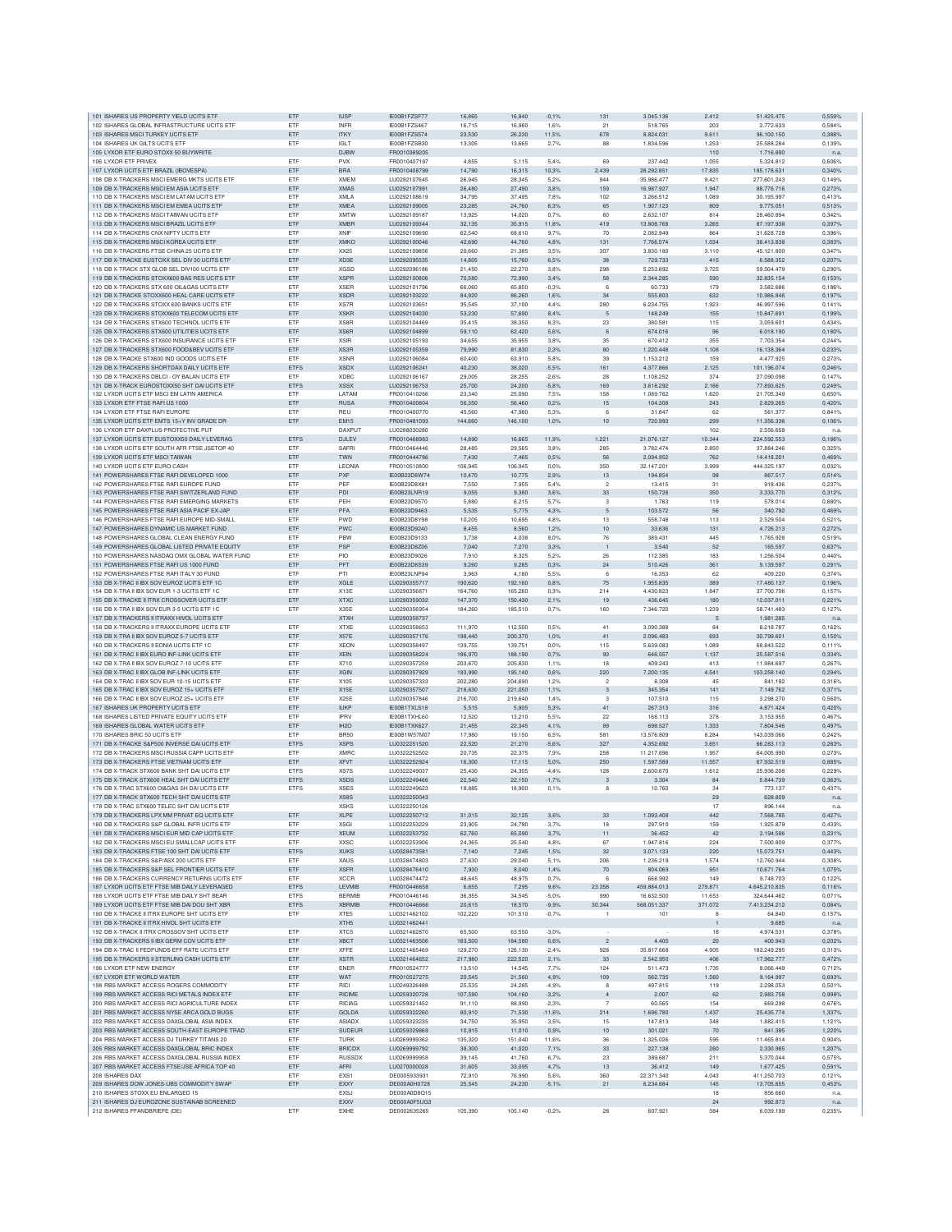| 101 ISHARES US PROPERTY YIELD UCITS ETF<br>102 ISHARES GLOBAL INFRASTRUCTURE UCITS ETF | ETF<br>ETF  | <b>IUSP</b>       | IE00B1FZSF77  | 16,865  | 16,840  | $-0,1%$  | 131            | 3.045.136   | 2.412   | 51.425.475    |                  |
|----------------------------------------------------------------------------------------|-------------|-------------------|---------------|---------|---------|----------|----------------|-------------|---------|---------------|------------------|
|                                                                                        |             | <b>INFR</b>       | IE00B1FZS467  | 16,715  | 16,980  | 1,6%     | 21             | 518.765     | 203     | 2.772.633     | 0,559%<br>0,584% |
|                                                                                        |             |                   |               |         |         |          |                |             |         |               |                  |
| 103 ISHARES MSCI TURKEY UCITS ETF                                                      | ETF         | <b>ITKY</b>       | IE00B1FZS574  | 23,530  | 26,230  | 11,5%    | 678            | 8.824.031   | 9.611   | 96,100,150    | 0,388%           |
| 104 ISHARES UK GILTS UCITS ETF                                                         | ETF         | IGI T             | IE00B1FZSB30  | 13,305  | 13,665  | 2,7%     | 88             | 1.834.596   | 1.253   | 25.588.284    | 0,139%           |
| 105 LYXOR ETF EURO STOXX 50 BUYWRITE                                                   |             | <b>DJBW</b>       | FR0010389205  |         |         |          |                |             | 110     | 1.716.890     | n.a              |
| 106 LYXOR ETF PRIVEX                                                                   | ETF         | <b>PVX</b>        | FR0010407197  | 4.855   | 5.115   | 5.4%     | 69             | 237,442     | 1.055   | 5.324.812     | 0.606%           |
| 107 LYXOR UCITS ETF BRAZIL (IBOVESPA)                                                  | ETF         | <b>BRA</b>        | FR0010408799  | 14,790  | 16,315  | 10,3%    | 2.439          | 28.292.851  | 17.835  | 185.178.631   | 0,340%           |
| 108 DB X-TRACKERS MSCI EMERG MKTS UCITS ETF                                            | ETF         | <b>XMEM</b>       | LU0292107645  | 26,945  | 28,345  | 5,2%     | 944            | 35.986.477  | 9.421   | 277.601.243   | 0,149%           |
| 109 DB X-TRACKERS MSCI EM ASIA UCITS ETF                                               | ETF         | <b>XMAS</b>       | LU0292107991  | 26,480  | 27,490  | 3,8%     | 159            | 16.987.927  | 1.947   | 88,776,716    | 0,273%           |
|                                                                                        |             |                   |               |         |         |          |                |             |         |               |                  |
| 110 DB X-TRACKERS MSCI EM LATAM UCITS ETF                                              | ETF         | <b>XMLA</b>       | LU0292108619  | 34,795  | 37,495  | 7,8%     | 102            | 3.266.512   | 1.089   | 30.195.997    | 0,413%           |
| 111 DB X-TRACKERS MSCI EM EMEA UCITS ETF                                               | ETF         | <b>XMEA</b>       | LU0292109005  | 23,285  | 24,760  | 6.3%     | 65             | 1.907.123   | 809     | 9.775.051     | 0.513%           |
| 112 DB X-TRACKERS MSCLTAIWAN LIGITS ETE                                                | ETF         | <b>XMTW</b>       | LU0292109187  | 13.925  | 14.020  | 0.7%     | 60             | 2.632.107   | 814     | 28,460,894    | 0.342%           |
| 113 DB X-TRACKERS MSCI BRAZIL UCITS ETF                                                | ETF         | <b>XMBR</b>       | LU0292109344  | 32,135  | 35,915  | 11,8%    | 419            | 13.808.768  | 3.265   | 87.197.938    | 0,397%           |
| 114 DB X-TRACKERS CNX NIFTY UCITS ETF                                                  | ETF         | <b>XNIF</b>       | LU0292109690  | 62.540  | 68,610  | 9.7%     | 70             | 2.082.949   | 864     | 31.628.728    | 0.396%           |
|                                                                                        |             |                   |               |         |         |          |                |             |         |               |                  |
| 115 DB X-TRACKERS MSCI KOREA UCITS ETF                                                 | ETF         | <b>XMKO</b>       | LU0292100046  | 42,690  | 44,760  | 4,8%     | 131            | 7.766.574   | 1.034   | 38.413.838    | 0,3839           |
| 116 DB X-TRACKERS FTSE CHINA 25 UCITS ETF                                              | ETF         | XX25              | LU0292109856  | 20,660  | 21,385  | 3,5%     | 307            | 3.830.180   | 3.110   | 45.121.800    | 0,347%           |
| 117 DB X-TRACKE EUSTOXX SEL DIV 30 UCITS ETF                                           | ETF         | XD <sub>3</sub> E | LU0292095535  | 14,805  | 15,760  | 6,5%     | 38             | 729.733     | 415     | 6,588,352     | 0,207%           |
| 118 DB X-TRACK STX GLOB SEL DIV100 UCITS ETF                                           | ETF         | <b>XGSD</b>       | LU0292096186  | 21,450  | 22,270  | 3.8%     | 298            | 5.253.892   | 3.725   | 59.504.479    | 0.290%           |
| 119 DB X-TRACKERS STOXX600 BAS RES UCITS ETF                                           | ETF         | <b>XSPR</b>       | LU0292100806  | 70,580  | 72,990  | 3,4%     | 58             | 2.344.285   | 590     | 32.835.154    | 0.153%           |
| 120 DB X-TRACKERS STX 600 OIL&GAS UCITS ETP                                            | ETF         | <b>XSER</b>       | 1110292101796 | 66,060  | 65,850  | $-0.3%$  | 6              | 60,733      | 179     | 3,582,686     | 0.186%           |
|                                                                                        |             |                   |               |         |         |          |                |             |         |               |                  |
| 121 DB X-TRACKE STOXX600 HEAL CARE UCITS ETP                                           | ETF         | <b>XSDR</b>       | LU0292103222  | 84,920  | 86,260  | 1,6%     | 34             | 555.803     | 632     | 10.986.846    | 0,197%           |
| 122 DB X-TRACKERS STOXX 600 BANKS UCITS ETF                                            | ETF         | XS7 <sub>R</sub>  | LU0292103651  | 35 545  | 37.100  | 4,4%     | 280            | 6.234.755   | 1.923   | 46.997.596    | 0.141%           |
| 123 DB X-TRACKERS STOXX600 TELECOM UCITS ETF                                           | ETF         | <b>XSKR</b>       | 1110292104030 | 53,230  | 57,690  | 8,4%     | 5              | 148,249     | 155     | 10.847.691    | 0,199%           |
| 124 DB X-TRACKERS STX600 TECHNOL UCITS ETF                                             | ETF         | XS8F              | LU0292104469  | 35.415  | 38,350  | 8.3%     | 23             | 380,581     | 115     | 3.059.601     | 0.434%           |
| 125 DB X-TRACKERS STX600 UTILITIES UCITS ETF                                           | ETF         | XS6R              | LU0292104899  | 59,110  | 62.420  | 5,6%     | $\mathbf 6$    | 674.016     | 96      | 6.018.190     | 0,180%           |
| 126 DB X-TRACKERS STX600 INSURANCE UCITS ETF                                           | ETF         | <b>XSIR</b>       | LU0292105193  | 34.655  | 35.955  | 3.8%     | 35             | 670.412     | 355     | 7.703.354     | 0.244%           |
|                                                                                        |             |                   |               |         |         |          |                |             |         |               |                  |
| 127 DB X-TRACKERS STX600 FOOD&BEV UCITS ETF                                            | ETF         | XS3R              | LU0292105359  | 79,990  | 81,830  | 2,3%     | 80             | 1.220.448   | 1.108   | 16.138.364    | 0.233%           |
| 128 DB X-TRACKE STX600 IND GOODS UCITS ETF                                             | ETF         | <b>XSNR</b>       | LU0292106084  | 60,400  | 63,910  | 5,8%     | 39             | 1.153.212   | 159     | 4.477.925     | 0,273%           |
| 129 DB X-TRACKERS SHORTDAX DAILY UCITS ETF                                             | ETFS        | <b>XSDX</b>       | LU0292106241  | 40,230  | 38,020  | $-5,5%$  | 161            | 4.377.866   | 2.125   | 101.196.074   | 0,246%           |
| 130 DB X-TRACKERS DBLCI - OY BALAN UCITS ETF                                           | ETF         | <b>XDBC</b>       | LU0292106167  | 29,005  | 28.255  | $-2.6%$  | 28             | 1.108.252   | 374     | 27,090,098    | 0.147%           |
| 131 DB X-TRACK EUROSTOXX50 SHT DAI UCITS ETF                                           | ETFS        | <b>XSSX</b>       | LU0292106753  | 25,700  | 24,200  | $-5.8%$  | 169            | 3.618.292   | 2.166   | 77,893,625    | 0.249%           |
|                                                                                        | ETF         |                   |               | 23,340  | 25.090  |          |                |             |         |               | 0.650%           |
| 132 LYXOR UCITS ETF MSCI EM LATIN AMERICA                                              |             | LATAM             | FR0010410266  |         |         | 7,5%     | 158            | 1.089.762   | 1.620   | 21.705.349    |                  |
| 133 LYXOR ETF FTSE RAFIUS 1000                                                         | ETF         | <b>RUSA</b>       | FR0010400804  | 56,350  | 56,460  | 0,2%     | 15             | 104.308     | 243     | 2.829.265     | 0,420%           |
| 134 LYXOR ETF FTSE RAFI EUROPE                                                         | ETF         | REU               | FR0010400770  | 45,560  | 47,980  | 5,3%     | 6              | 31.847      | 62      | 561.377       | 0,8419           |
| 135 LYXOR UCITS ETF EMTS 15+Y INV GRADE DR                                             | ETF         | <b>EM15</b>       | FR0010481093  | 144,660 | 146,100 | 1,0%     | 10             | 720.993     | 299     | 11.356.336    | 0,106%           |
| 136 LYXOR ETF DAXPLUS PROTECTIVE PUT                                                   |             | <b>DAXPUT</b>     | LU0288030280  |         |         |          |                |             | 102     | 2.556.658     | n.a              |
| 137 LYXOR UCITS ETF EUSTOXX50 DAILY LEVERAG                                            | ETFS        | DJLEV             | FR0010468983  | 14,890  | 16,665  | 11.9%    | 1.221          | 21.076.127  | 10.344  | 224.592.553   | 0.186%           |
| 138 LYXOR UCITS ETF SOUTH AFR FTSE JSETOP 40                                           | ETF         | SAFRI             |               | 28,485  | 29.565  | 3.8%     | 285            |             |         | 37,884,246    | 0.325%           |
|                                                                                        |             |                   | FR0010464446  |         |         |          |                | 3.782.474   | 2.850   |               |                  |
| 139 LYXOR UCITS ETF MSCI TAIWAN                                                        | ETF         | TWN               | FR0010444786  | 7,430   | 7,465   | 0,5%     | 56             | 2.094.952   | 762     | 14.418.201    | 0,469%           |
| 140 LYXOR UCITS ETF EURO CASH                                                          | ETF         | LEONIA            | FR0010510800  | 106,945 | 106,945 | 0,0%     | 350            | 32.147.201  | 3.999   | 444.325.197   | 0.032%           |
| 141 POWERSHARES FTSE RAFI DEVELOPED 1000                                               | ETF         | PXF               | IE00B23D8W74  | 10,470  | 10,775  | 2,9%     | 13             | 194.854     | 98      | 867.517       | 0,514%           |
| 142 POWERSHARES ETSE RAFI EUROPE FUND                                                  | ETF         | PFF               | IE00B23D8X81  | 7,550   | 7,955   | 5.4%     | $\overline{2}$ | 13.415      | 31      | 918,436       | 0.237%           |
| 143 POWERSHARES FTSE RAFI SWITZERLAND FUND                                             | ETF         | PDI               | IE00B23LNR19  | 9.055   | 9,380   | 3.6%     | 33             | 150.728     | 350     | 3.333.770     | 0.312%           |
|                                                                                        |             |                   |               |         |         |          |                |             |         |               |                  |
| 144 POWERSHARES FTSE RAFI EMERGING MARKETS                                             | ETF         | PEH               | IE00B23D9570  | 5.880   | 6.215   | 5.7%     | 3              | 1.763       | 119     | 578.014       | 0.680%           |
| 145 POWERSHARES FTSE RAFI ASIA PACIF EX-JAP                                            | ETF         | PFA               | IE00B23D9463  | 5.535   | 5,775   | 4,3%     | 5              | 103.572     | 56      | 340.792       | 0.469%           |
| 146 POWERSHARES FTSE RAFI EUROPE MID-SMALL                                             | ETF         | PWD               | IE00B23D8Y98  | 10,205  | 10,695  | 4,8%     | 13             | 558.748     | 113     | 2.529.50      | 0,5219           |
| 147 POWERSHARES DYNAMIC US MARKET FUND                                                 | ETF         | <b>PWC</b>        | IE00B23D9240  | 8.455   | 8,560   | 1,2%     | 10             | 33.636      | 131     | 4.726.213     | 0,272%           |
| 148 POWERSHARES GLOBAL CLEAN ENERGY FUND                                               | ETF         | PBW               | IE00B23D9133  | 3.738   | 4,038   | 8,0%     | 76             | 389.431     | 445     | 1.765.928     | 0.519%           |
|                                                                                        |             |                   |               |         |         |          |                |             |         |               |                  |
| 149 POWERSHARES GLOBAL LISTED PRIVATE EQUITY                                           | ETF         | PSP               | IE00B23D8Z06  | 7.040   | 7.270   | 3.3%     | $\overline{1}$ | 3.540       | 52      | 165,597       | 0.637%           |
| 150 POWERSHARES NASDAQ OMX GLOBAL WATER FUND                                           | ETF         | PIO               | IE00B23D9026  | 7,910   | 8.325   | 5.2%     | 26             | 112.385     | 183     | 1.256.504     | 0.440%           |
| 151 POWERSHARES FTSE RAFIUS 1000 FUND                                                  | ETF         | PFT               | IE00B23D8S39  | 9,260   | 9,285   | 0,3%     | 24             | 510.426     | 361     | 9.139.597     | 0,291%           |
| 152 POWERSHARES FTSE RAFI ITALY 30 FUND                                                | ETF         | PTI               | IE00B23LNP94  | 3,963   | 4,180   | 5,5%     | 6              | 16.353      | 62      | 409.220       | 0,374%           |
| 153 DB X-TRAC II IBX SOV EUROZ UCITS ETF 1C                                            | ETF         | XGLE              | LU0290355717  | 190,620 | 192,160 | 0.8%     | 75             | 1.955.835   | 389     | 17.480.137    | 0.196%           |
|                                                                                        |             |                   |               |         |         |          |                |             |         |               |                  |
| 154 DB X-TRA II IBX SOV EUR 1-3 UCITS ETF 1C                                           | ETF         | X13E              | LU0290356871  | 164,760 | 165,260 | 0.3%     | 214            | 4.430.823   | 1.847   | 37.700.706    | 0.157%           |
| 155 DB X-TRACKE II ITRX CROSSOVER UCITS ETF                                            | ETF         | <b>XTXC</b>       | LU0290359032  | 147,370 | 150,430 | 2.1%     | 19             | 436.645     | 180     | 12.037.011    | 0.221%           |
| 156 DB X-TRA II IBX SOV EUR 3-5 UCITS ETF 1C                                           | ETF         | X35E              | LU0290356954  | 184,260 | 185,510 | 0.7%     | 160            | 7.346.720   | 1.239   | 58,741,483    | 0.127%           |
| 157 DB X-TRACKERS II ITRAXX HIVOL UCITS ETF                                            |             | <b>XTXH</b>       | LU0290358737  |         |         |          |                |             | 5       | 1.981.285     | n.a              |
| 158 DB X-TRACKERS II ITRAXX EUROPE UCITS ETP                                           | ETF         | <b>XTXE</b>       | LU0290358653  | 111,970 | 112,500 | 0,5%     | 41             | 3.090.388   | 84      | 8.218.787     | 0,1629           |
| 159 DB X-TRA II IBX SOV EUROZ 5-7 UCITS ETF                                            | ETF         | X57E              | LU0290357176  | 198,440 | 200,370 | 1,0%     | 41             | 2.096.483   | 693     | 30.799.601    | 0.150%           |
|                                                                                        |             |                   |               |         |         |          |                |             |         |               |                  |
| 160 DB X-TRACKERS II EONIA UCITS ETF 1C                                                | ETF         | <b>XEON</b>       | LU0290358497  | 139.755 | 139,751 | 0.0%     | 115            | 5.639.083   | 1.089   | 68,843,522    | 0.111%           |
| 161 DB X-TRAC II IBX EURO INF-LINK UCITS ETF                                           | ETF         | <b>XEIN</b>       | LU0290358224  | 186,970 | 188,190 | 0.7%     | 93             | 646,557     | 1.137   | 25,587,516    | 0.334%           |
| 162 DB X-TRA II IBX SOV EUROZ 7-10 UCITS ETF                                           | ETF         | X710              | LU0290357259  | 203.670 | 205.830 | 1.1%     | 18             | 409.243     | 413     | 11.984.697    | 0.267%           |
| 163 DB X-TRAC II IBX GLOB INF-LINK UCITS ETF                                           | ETF         | <b>XGIN</b>       | LU0290357929  | 193,990 | 195,140 | 0,6%     | 220            | 7.200.135   | 4.541   | 103.258.140   | 0.294%           |
| 164 DB X-TRAC II IBX SOV EUR 10-15 UCITS ETF                                           | ETF         | X105              | LU0290357333  | 202,280 | 204.690 | 1,2%     | $\sqrt{2}$     | 8.308       | 45      | 841.192       |                  |
|                                                                                        |             |                   |               |         |         |          |                |             |         |               |                  |
|                                                                                        |             |                   |               |         |         |          |                |             |         |               | 0,316%           |
| 165 DB X-TRAC II IBX SOV EUROZ 15+ UCITS ETF                                           | ETF         | X15E              | LU0290357507  | 218,630 | 221,050 | 1,1%     | $\mathbf{3}$   | 345.354     | 141     | 7.149.762     | 0,371%           |
| 166 DB X-TRAC II IBX SOV EUROZ 25+ UCITS ETF                                           | ETF         | <b>X25E</b>       | LU0290357846  | 216,700 | 219,640 | 1,4%     | 3              | 107.510     | 115     | 3.298.270     | 0,560%           |
| 167 ISHARES UK PROPERTY UCITS ETF                                                      | ETF         | <b>IUKP</b>       | IE00B1TXLS18  | 5,515   | 5,805   | 5,3%     | 41             | 267.313     | 316     | 4.871.424     | 0,420%           |
| 168 ISHARES LISTED PRIVATE EQUITY UCITS ETF                                            | ETF         | <b>IPRV</b>       | IE00B1TXHL60  | 12.520  | 13,210  | 5.5%     | 22             | 168.113     | 378     | 3.153.955     | 0.467%           |
| 169 ISHARES GLOBAL WATER UCITS ETF                                                     |             | IH <sub>2</sub> O |               | 21,455  | 22.345  | 4,1%     | 89             | 698,527     | 1.333   | 7.804.546     | 0.497%           |
| 170 ISHARES BRIC 50 UCITS ETF                                                          | ETF<br>ETF  | <b>BR50</b>       | IE00B1TXK627  | 17,980  | 19.150  | 6.5%     | 581            | 13 576 809  | 8.284   |               | 0.242%           |
|                                                                                        |             |                   | IE00B1W57M07  |         |         |          |                |             |         | 143.039.066   |                  |
| 171 DB X-TRACKE S&P500 INVERSE DAI UCITS ETF                                           | ETFS        | <b>XSPS</b>       | LU0322251520  | 22,520  | 21,270  | $-5.6%$  | 327            | 4.352.692   | 3.651   | 66,283,113    | 0.283%           |
| 172 DB X-TRACKERS MSCI RUSSIA CAPP UCITS ETF                                           | ETF         | <b>XMRC</b>       | 110322252502  | 20.735  | 22.375  | 7.9%     | 258            | 11.217.696  | 1.957   | 64.005.990    | 0.2739           |
| 173 DB X-TRACKERS FTSE VIETNAM UCITS ETF                                               | ETF         | <b>XFVT</b>       | 1110322252924 | 16,300  | 17,115  | 5,0%     | 250            | 1.597.589   | 11.557  | 67.932.519    | 0.885%           |
| 174 DB X-TRACK STX600 BANK SHT DAI UCITS ETF                                           | <b>ETFS</b> | XS7S              | LU0322249037  | 25.430  | 24.305  | $-4.4%$  | 128            | 2,600,670   | 1.612   | 25.936.208    | 0.229%           |
| 175 DB X-TRACK STX600 HEAL SHT DAI UCITS ETF                                           | ETFS        | <b>XSDS</b>       | LU0322249466  | 22,540  | 22,150  | $-1,7%$  | $\mathbf{3}$   | 3.304       | 84      | 5.844.739     | 0,363%           |
| 176 DB X-TRAC STX600 OI&GAS SH DAI UCITS ETP                                           | <b>ETFS</b> | <b>XSES</b>       | LU0322249623  | 18,885  | 18,900  | 0.1%     | 8              |             | 34      | 773.137       | 0.437%           |
|                                                                                        |             |                   |               |         |         |          |                | 10.760      | 29      |               |                  |
| 177 DB X-TRACK STX600 TECH SHT DAI UCITS ETF                                           |             | XS8S              | LU0322250043  |         |         |          |                |             |         | 628.809       | n.a              |
| 178 DB X-TRAC STX600 TELEC SHT DAI UCITS ETF                                           |             | XSKS              | LU0322250126  |         |         |          |                |             | 17      | 896.144       |                  |
| 179 DB X-TRACKERS LPX MM PRIVAT EQ UCITS ETF                                           | ETF         | <b>XLPE</b>       | LU0322250712  | 31,015  | 32,125  | 3,6%     | 33             | 1.093.408   | 442     | 7.568.785     | 0,427%           |
| 180 DB X-TRACKERS S&P GLOBAL INFR UCITS ETF                                            | ETF         | <b>XSGI</b>       | LU0322253229  | 23,905  | 24,780  | 3.7%     | 18             | 297.910     | 159     | 1.925.879     | 0.433%           |
| 181 DB X-TRACKERS MSCI EUR MID CAP UCITS ETF                                           | ETF         | <b>XEUM</b>       | 1110322253732 | 62,760  | 65,090  | 3.7%     | 11             | 36,452      | 42      | 2.194.586     | 0.231%           |
| 182 DB X-TRACKERS MSCI EU SMALLCAP UCITS ETF                                           | ETF         | <b>XXSC</b>       | LU0322253906  | 24,365  | 25,540  | 4,8%     | 67             | 1.947.816   | 224     | 7.500.809     | 0.377%           |
| 183 DB X-TRACKERS FTSE 100 SHT DAI UCITS ETF                                           |             |                   | LU0328473581  | 7,140   | 7,245   | 1,5%     |                | 3.071.133   |         | 15.073.751    | 0,443%           |
|                                                                                        | ETFS        | <b>XUKS</b>       |               |         |         |          | 32             |             | 220     |               |                  |
| 184 DB X-TRACKERS S&P/ASX 200 UCITS ETF                                                | ETF         | XAUS              | LU0328474803  | 27,630  | 29,040  | 5,1%     | 206            | 1.236.219   | 1.574   | 12.760.944    | 0,308%           |
| 185 DB X-TRACKERS S&P SEL FRONTIER UCITS ETF                                           | ETF         | <b>XSFR</b>       | LU0328476410  | 7,930   | 8,040   | 1,4%     | 70             | 804.069     | 951     | 10.671.764    | 1,075%           |
| 186 DB X-TRACKERS CURRENCY RETURNS UCITS ETF                                           | ETF         | <b>XCCR</b>       | LU0328474472  | 48.645  | 48.975  | 0.7%     | 6              | 668,992     | 149     | 9,748,703     | 0.122%           |
| 187 LYXOR UCITS ETF FTSE MIB DAILY LEVERAGED                                           | <b>ETFS</b> | LEVMIB            | FR0010446658  | 6.655   | 7.295   | 9.6%     | 23,358         | 459.884.013 | 279.871 | 4.645.210.835 | 0.116%           |
| 188 LYXOR UCITS ETF FTSE MIB DAILY SHT BEAR                                            | <b>ETFS</b> | <b>BERMIB</b>     | FR0010446146  | 36,355  | 34,545  | $-5,0%$  | 990            | 16.632.500  | 11.653  | 324.644.462   | 0.071%           |
|                                                                                        |             |                   |               |         |         |          |                |             |         |               |                  |
| 189 LYXOR UCITS ETF FTSE MIB DAI DOU SHT XBR                                           | ETFS        | XBRMIB            | FR0010446666  | 20,615  | 18,570  | $-9,9%$  | 30.344         | 568.051.337 | 371.072 | 7.413.234.212 | 0,084%           |
| 190 DB X-TRACKE II ITRX EUROPE SHT UCITS ETF                                           | ETF         | XTE5              | LU0321462102  | 102,220 | 101,510 | $-0.7%$  | $\overline{1}$ | 101         | 8       | 64.840        | 0,157%           |
| 191 DB X-TRACKE II ITRX HIVOL SHT UCITS ETF                                            |             | XTH <sub>5</sub>  | LU0321462441  |         |         |          |                |             |         | 9.685         | n.a              |
| 192 DB X-TRACK II ITRX CROSSOV SHT UCITS ETF                                           | FTF         | XTC5              | LU0321462870  | 65,500  | 63.550  | $-3.0%$  |                |             | 18      | 4.974.531     | 0.378%           |
| 193 DB X-TRACKERS II IBX GERM COV UCITS ETF                                            | ETF         | <b>XBCT</b>       | LU0321463506  | 183,500 | 184,580 | 0.6%     | $\overline{2}$ | 4.405       | 20      | 400.943       | 0.202%           |
| 194 DB X-TRAC II FEDFUNDS EFF RATE UCITS ETF                                           | ETF         | <b>XFFE</b>       | LU0321465469  | 129,270 | 126,130 | $-2,4%$  | 928            | 35.817.668  | 4.905   | 182.249.295   | 0.313%           |
|                                                                                        |             |                   |               |         |         |          |                |             |         |               |                  |
| 195 DB X-TRACKERS II STERLING CASH UCITS ETF                                           | ETF         | <b>XSTR</b>       | LU0321464652  | 217,980 | 222.520 | 2,1%     | $33\,$         | 2.542.950   | 406     | 17.962.777    | 0.472%           |
| 196 LYXOR ETF NEW ENERGY                                                               | ETF         | ENER              | FR0010524777  | 13,510  | 14,545  | 7,7%     | 124            | 511.473     | 1.735   | 8.066.449     | 0,712%           |
| 197 LYXOR ETF WORLD WATER                                                              | ETF         | WAT               | FR0010527275  | 20,545  | 21,560  | 4.9%     | 109            | 562.735     | 1.560   | 9.164.997     | 0,693%           |
| 198 RBS MARKET ACCESS ROGERS COMMODITY                                                 | ETF         | <b>RICI</b>       | LU0249326488  | 25.535  | 24.285  | $-4.9%$  | $\mathbf{a}$   | 497.815     | 119     | 2.298.053     | 0.501%           |
| 199 RBS MARKET ACCESS RICI METALS INDEX ETF                                            | ETF         | <b>RICIME</b>     | LU0259320728  | 107.590 | 104.160 | $-3.2%$  | $\overline{4}$ | 2.007       | 62      | 2.983.758     | 0.998%           |
|                                                                                        |             |                   |               |         |         |          |                |             |         |               |                  |
| 200 RBS MARKET ACCESS RICI AGRICULTURE INDEX                                           | ETF         | <b>RICIAG</b>     | LU0259321452  | 91,110  | 88,990  | $-2.3%$  | $\overline{7}$ | 60.565      | 154     | 669.298       | 0.676%           |
| 201 RBS MARKET ACCESS NYSE ARCA GOLD BUGS                                              | ETF         | GOLDA             | LU0259322260  | 80,910  | 71,530  | $-11,6%$ | 214            | 1.696.780   | 1.437   | 25.435.774    | 1,337%           |
| 202 RBS MARKET ACCESS DAXGLOBAL ASIA INDEX                                             | ETF         | <b>ASIADX</b>     | LU0259323235  | 34,750  | 35,950  | 3.5%     | 15             | 147.813     | 348     | 1.882.415     | 1,121%           |
| 203 RBS MARKET ACCESS SOUTH-EAST EUROPE TRAD                                           | ETF         | <b>SUDEUR</b>     | LU0259329869  | 10,915  | 11,010  | 0.9%     | 10             | 301.021     | 70      | 841.385       | 1,220%           |
| 204 RBS MARKET ACCESS DJ TURKEY TITANS 20                                              | ETF         | <b>TURK</b>       | LU0269999362  | 135,320 | 151,040 | 11,6%    | 36             | 1.325.026   | 595     | 11.465.814    | 0.904%           |
| 205 RBS MARKET ACCESS DAXGLOBAL BRIC INDEX                                             | ETF         | <b>BRICDX</b>     | LU0269999792  | 38,300  | 41.020  | 7,1%     | 33             | 227.138     | 260     | 2.330.985     | 1,207%           |
|                                                                                        |             |                   |               |         |         |          |                |             |         |               |                  |
| 206 RBS MARKET ACCESS DAXGLOBAL RUSSIA INDEX                                           | ETF         | RUSSDX            | LU0269999958  | 39.145  | 41.760  | 6.7%     | 23             | 389.687     | 211     | 5.370.044     | 0.575%           |
| 207 RBS MARKET ACCESS FTSE/JSE AFRICA TOP 40                                           | ETF         | AFRI              | LU0270000028  | 31,605  | 33,095  | 4,7%     | 13             | 36.412      | 149     | 1.677.425     | 0,591%           |
| 208 ISHARES DAX                                                                        | ETF         | EXS1              | DE000593393   | 72,910  | 76,990  | 5.6%     | 360            | 22.371.340  | 4.043   | 411.250.703   | 0,121%           |
| 209 ISHARES DOW JONES-UBS COMMODITY SWAP                                               | ETF         | EXXY              | DE000A0H0728  | 25,545  | 24,230  | $-5.1%$  | 21             | 6.234.684   | 145     | 13.705.655    | 0.453%           |
| 210 ISHARES STOXX EU ENLARGED 15                                                       |             | <b>EXSJ</b>       | DE000A0D8Q15  |         |         |          |                |             | 18      | 856.660       | n.a              |
| 211 ISHARES DJ EUROZONE SUSTAINAB SCREENED                                             |             | EXXV              | DE000A0F5UG3  |         |         |          |                |             | 24      | 992.873       | n.a.             |
| 212 ISHARES PFANDBRIEFE (DE)                                                           | ETF         | EXHE              | DE0002635265  | 105,390 | 105.140 | $-0.2%$  | 26             | 607.921     | 384     | 6.039.199     | 0.235%           |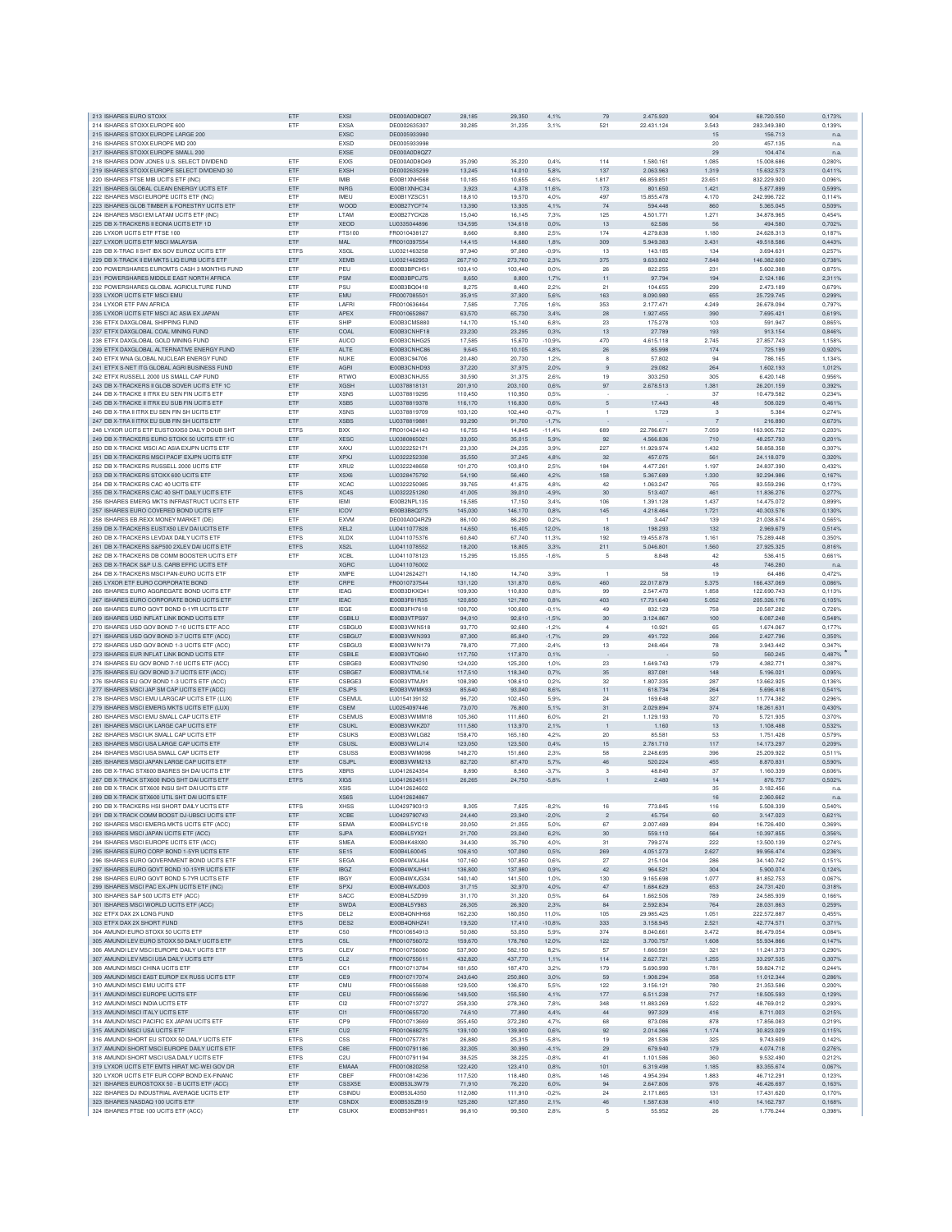| 213 ISHARES EURO STOXX                                                                       | ETF                        | EXSI                             | DE000A0D8Q07                 | 28,185             | 29,350             | 4,1%            | 79             | 2.475.920               | 904            | 68.720.550               | 0,173%           |
|----------------------------------------------------------------------------------------------|----------------------------|----------------------------------|------------------------------|--------------------|--------------------|-----------------|----------------|-------------------------|----------------|--------------------------|------------------|
| 214 ISHARES STOXX EUROPE 600                                                                 | ETF                        | <b>EXSA</b>                      | DE0002635307                 | 30,285             | 31,235             | 3,1%            | 521            | 22.431.124              | 3.543          | 283.349.380              | 0,139%           |
| 215 ISHARES STOXX EUROPE LARGE 200                                                           |                            | EXSC                             | DE0005933980                 |                    |                    |                 |                |                         | 15             | 156.713                  | n.a              |
| 216 ISHARES STOXX EUROPE MID 200<br>217 ISHARES STOXX EUROPE SMALL 200                       |                            | <b>FXSD</b><br>EXSE              | DE0005933998<br>DE000A0D8QZ7 |                    |                    |                 |                |                         | 20             | 457.135                  | n.a              |
| 218 ISHARES DOW JONES U.S. SELECT DIVIDEND                                                   | ETF                        | EXX5                             | DE000A0D8Q49                 | 35.090             | 35.220             | 0.4%            | 114            | 1.580.161               | 29<br>1.085    | 104,474<br>15,008,686    | n.a<br>0.280%    |
| 219 ISHARES STOXX EUROPE SELECT DIVIDEND 30                                                  | ETF                        | <b>EXSH</b>                      | DE0002635299                 | 13.245             | 14,010             | 5,8%            | 137            | 2.063.963               | 1.319          | 15.632.573               | 0,411%           |
| 220 ISHARES FTSE MIB UCITS ETF (INC)                                                         | ETF                        | IMIB                             | IE00B1XNH568                 | 10,185             | 10,655             | 4,6%            | 1.817          | 66.859.851              | 23.651         | 832.229.920              | 0,096%           |
| 221 ISHARES GLOBAL CLEAN ENERGY UCITS ETF                                                    | ETF                        | <b>INRG</b>                      | IE00B1XNHC34                 | 3,923              | 4,378              | 11,6%           | 173            | 801.650                 | 1.421          | 5.877.899                | 0,599%           |
| 222 ISHARES MSCI EUROPE UCITS ETF (INC)                                                      | ETF                        | <b>IMFU</b>                      | IE00B1YZSC51                 | 18,810             | 19,570             | 4,0%            | 497            | 15,855,478              | 4.170          | 242.996.722              | 0.114%           |
| 223 ISHARES GLOB TIMBER & FORESTRY UCITS ETF                                                 | ETF                        | WOOD                             | IE00B27YCF74                 | 13.390             | 13.935             | 4.1%            | 74             | 594,448                 | 860            | 5.365.045                | 0.509%           |
| 224 ISHARES MSCLEM LATAM LICITS ETE (INC)                                                    | ETF                        | LTAM                             | IF00B27YCK28                 | 15.040             | 16.145             | 7.3%            | 125            | 4.501.771               | 1.271          | 34,878,965               | 0.454%           |
| 225 DB X-TRACKERS II EONIA UCITS ETF 1D                                                      | ETF                        | XEOD                             | LU0335044896                 | 134,595            | 134,618            | 0,0%            | 13             | 62.586                  | 56             | 494.580                  | 0.702%           |
| 226 LYXOR UCITS ETF FTSE 100                                                                 | ETF                        | FTS100                           | FR0010438127                 | 8,660              | 8,880              | 2.5%            | 174            | 4.279.838               | 1.180          | 24.628.313               | 0.187%           |
| 227 LYXOR UCITS ETF MSCI MALAYSIA                                                            | ETF<br><b>ETFS</b>         | <b>MAL</b><br><b>XSGL</b>        | FR0010397554                 | 14,415             | 14,680             | 1,8%            | 309<br>13      | 5.949.383               | 3.431<br>134   | 49.518.586               | 0,443%<br>0.257% |
| 228 DB X-TRAC II SHT IBX SOV EUROZ UCITS ETF<br>229 DB X-TRACK II EM MKTS LIQ EURB UCITS ETF | ETF                        | <b>XEMB</b>                      | LU0321463258<br>LU0321462953 | 97,940<br>267,710  | 97,080<br>273,760  | $-0,9%$<br>2.3% | 375            | 143.185<br>9.633.802    | 7.848          | 3.694.631<br>146.382.600 | 0,738%           |
| 230 POWERSHARES EUROMTS CASH 3 MONTHS EUND                                                   | ETF                        | PEU                              | IE00B3BPCH51                 | 103,410            | 103,440            | 0.0%            | 26             | 822.255                 | 231            | 5,602,388                | 0.875%           |
| 231 POWERSHARES MIDDLE EAST NORTH AFRICA                                                     | ETF                        | PSM                              | IE00B3BPCJ75                 | 8.650              | 8,800              | 1,7%            | $11\,$         | 97.794                  | 194            | 2.124.186                | 2.311%           |
| 232 POWERSHARES GLOBAL AGRICULTURE FUND                                                      | ETF                        | <b>PSL</b>                       | IE00B3BQ0418                 | 8.275              | 8,460              | 2.2%            | 21             | 104.655                 | 299            | 2.473.189                | 0.679%           |
| 233 LYXOR UCITS ETF MSCI EMU                                                                 | ETF                        | <b>EMU</b>                       | FR0007085501                 | 35,915             | 37,920             | 5,6%            | 163            | 8.090.980               | 655            | 25.729.745               | 0.299%           |
| 234 LYXOR ETF PAN AFRICA                                                                     | ETF                        | <b>I AFRI</b>                    | FR0010636464                 | 7.585              | 7,705              | 1,6%            | 353            | 2.177.471               | 4.249          | 26.678.094               | 0.797%           |
| 235 LYXOR UCITS ETF MSCI AC ASIA EX JAPAN                                                    | ETF                        | <b>APEX</b>                      | FR0010652867                 | 63.570             | 65,730             | 3,4%            | 28             | 1.927.455               | 390            | 7.695.421                | 0.619%           |
| 236 FTFX DAXGLOBAL SHIPPING FUND                                                             | ETF                        | SHIP                             | IE00B3CMS880                 | 14.170             | 15.140             | 6.8%            | 23             | 175,278                 | 103            | 591.947                  | 0.865%           |
| 237 ETFX DAXGLOBAL COAL MINING FUND                                                          | ETF                        | COAL                             | IE00B3CNHF18                 | 23.230             | 23,295             | 0.3%            | $13\,$         | 27.789                  | 193            | 913.154                  | 0,846%           |
| 238 ETFX DAXGLOBAL GOLD MINING FUND                                                          | ETF                        | <b>AUCO</b>                      | IE00B3CNHG25                 | 17,585             | 15,670             | $-10.9%$        | 470            | 4.615.118               | 2.745          | 27.857.743               | 1,158%           |
| 239 ETFX DAXGLOBAL ALTERNATIVE ENERGY FUND                                                   | ETF                        | ALTE                             | IE00B3CNHC86                 | 9,645              | 10,105             | 4,8%            | $26\,$         | 85.998                  | 174            | 725.199                  | 0.920%           |
| 240 ETFX WNA GLOBAL NUCLEAR ENERGY FUND                                                      | ETF                        | NUKE                             | IE00B3C94706                 | 20,480             | 20,730             | 1,2%            | 8              | 57.802                  | 94             | 786.165                  | 1,134%           |
| 241 ETFX S-NET ITG GLOBAL AGRI BUSINESS FUND                                                 | ETF                        | AGRI                             | IE00B3CNHD93                 | 37,220             | 37,975             | 2,0%            | 9              | 29.082                  | 264            | 1.602.193                | 1,012%           |
| 242 ETFX RUSSELL 2000 US SMALL CAP FUND                                                      | ETF                        | <b>RTWC</b>                      | IE00B3CNHJ55                 | 30,590             | 31,375             | 2.6%            | 19             | 303,250                 | 305            | 6.420.148                | 0.956%           |
| 243 DB X-TRACKERS II GLOB SOVER UCITS ETF 1C                                                 | ETF<br>ETF                 | <b>XGSH</b><br>XSN <sub>5</sub>  | LU0378818131                 | 201.910            | 203,100            | 0.6%<br>0.5%    | 97             | 2.678.513               | 1.381<br>37    | 26,201,159               | 0.392%<br>0.234% |
| 244 DB X-TRACKE II ITRX EU SEN FIN UCITS ETF<br>245 DB X-TRACKE II ITRX EU SUB FIN UCITS ETF | ETF                        | XSB5                             | LU0378819295<br>LU0378819378 | 110,450<br>116,170 | 110,950<br>116,830 | 0,6%            | $\sqrt{5}$     | 17.443                  | 48             | 10.479.582<br>508.029    | 0,461%           |
| 246 DB X-TRA II ITRX EU SEN FIN SH UCITS ETF                                                 | ETF                        | <b>XSNS</b>                      | LU0378819709                 | 103,120            | 102,440            | $-0,7%$         | $\mathbf{1}$   | 1.729                   | 3              | 5.384                    | 0,274%           |
| 247 DB X-TRA II ITRX EU SUB FIN SH UCITS ETF                                                 | ETF                        | <b>XSBS</b>                      | LU0378819881                 | 93,290             | 91,700             | $-1,7%$         |                |                         | $\overline{7}$ | 216.890                  | 0.673%           |
| 248 LYXOR UCITS ETF EUSTOXX50 DAILY DOUB SHT                                                 | <b>ETFS</b>                | <b>BXX</b>                       | FR0010424143                 | 16.755             | 14,845             | $-11.4%$        | 689            | 22,786.671              | 7.059          | 163,905,752              | 0.203%           |
| 249 DB X-TRACKERS EURO STOXX 50 LICITS ETE 1C                                                | ETF                        | <b>XESC</b>                      | LU0380865021                 | 33,050             | 35.015             | 5.9%            | 92             | 4.566.836               | 710            | 48.257.793               | 0.201%           |
| 250 DB X-TRACKE MSCI AC ASIA EXJPN UCITS ETF                                                 | ETF                        | <b>XAXJ</b>                      | LU0322252171                 | 23,330             | 24,235             | 3.9%            | 227            | 11.929.974              | 1.432          | 58.858.358               | 0.307%           |
| 251 DB X-TRACKERS MSCI PACIF EXJPN UCITS ETF                                                 | ETF                        | <b>XPXJ</b>                      | LU0322252338                 | 35,550             | 37,245             | 4,8%            | 32             | 457.075                 | 561            | 24.118.079               | 0,320%           |
| 252 DB X-TRACKERS RUSSELL 2000 UCITS ETP                                                     | ETF                        | XRU2                             | LU0322248658                 | 101,270            | 103,810            | 2,5%            | 184            | 4.477.261               | 1.197          | 24.837.390               | 0.432%           |
| 253 DB X-TRACKERS STOXX 600 UCITS ETF                                                        | ETF                        | XSX6                             | LU0328475792                 | 54,190             | 56,460             | 4,2%            | 158            | 5.367.689               | 1.330          | 92.294.986               | 0,167%           |
| 254 DB X-TRACKERS CAC 40 UCITS ETF                                                           | <b>FTF</b>                 | <b>XCAC</b>                      | LU0322250985                 | 39.765             | 41,675             | 4.8%            | 42             | 1.063.247               | 765            | 83.559.296               | 0.173%           |
| 255 DB X-TRACKERS CAC 40 SHT DAILY UCITS ETF                                                 | <b>ETFS</b>                | XC4S                             | LU0322251280                 | 41.005             | 39,010             | $-4.9%$         | 30             | 513,407                 | 461            | 11.836.276               | 0.277%           |
| 256 ISHARES EMERG MKTS INFRASTRUCT UCITS ETF                                                 | ETF                        | <b>IEM</b>                       | IE00B2NPL135                 | 16,585             | 17.150             | 3.4%            | 106            | 1.391.128               | 1.437          | 14.475.072               | 0.899%           |
| 257 ISHARES EURO COVERED BOND UCITS ETF                                                      | ETF                        | <b>ICOV</b>                      | IE00B3B8Q275                 | 145.030            | 146,170            | 0.8%            | 145            | 4.218.464               | 1.721          | 40.303.576               | 0.130%           |
| 258 ISHARES EB.REXX MONEY MARKET (DE)                                                        | ETF                        | EXVM                             | DE000A0Q4RZ9                 | 86,100             | 86,290             | 0,2%            |                | 3.44                    | 139            | 21.038.674               | 0,5659           |
| 259 DB X-TRACKERS EUSTX50 LEV DAI UCITS ETF                                                  | <b>ETFS</b>                | XEL <sub>2</sub>                 | LU0411077828                 | 14,650             | 16,405             | 12.0%           | 18             | 198,293                 | 132            | 2.969.679                | 0.514%           |
| 260 DB X-TRACKERS LEVDAX DAILY LICITS ETE<br>261 DB X-TRACKERS S&P500 2XLEV DAI UCITS ETF    | <b>FTES</b><br><b>ETFS</b> | <b>XLDX</b><br>XS <sub>2</sub> L | LU0411075376<br>LU0411078552 | 60.840<br>18,200   | 67.740<br>18,805   | 11,3%<br>3.3%   | 192<br>211     | 19.455.878<br>5.046.801 | 1.161<br>1.560 | 75,289,448<br>27.925.325 | 0.350%<br>0.816% |
| 262 DB X-TRACKERS DB COMM BOOSTER UCITS ETF                                                  | ETF                        | <b>XCBL</b>                      | LU0411078123                 | 15,295             | 15,055             | $-1,6%$         | 5              | 8.848                   | 42             | 536.415                  | 0,661%           |
| 263 DB X-TRACK S&P U.S. CARB EFFIC UCITS ETF                                                 |                            | <b>XGRC</b>                      | LU0411076002                 |                    |                    |                 |                |                         | 48             | 746.280                  | n.a              |
| 264 DB X-TRACKERS MSCI PAN-EURO UCITS ETF                                                    | ETF                        | <b>XMPE</b>                      | LU0412624271                 | 14,180             | 14,740             | 3.9%            | $\mathbf{1}$   | 58                      | 19             | 64.486                   | 0,472%           |
| 265 LYXOR ETF EURO CORPORATE BOND                                                            | ETF                        | CRPE                             | FR0010737544                 | 131,120            | 131,870            | 0.6%            | 460            | 22.017.879              | 5.375          | 166.437.069              | 0.086%           |
| 266 ISHARES EURO AGGREGATE BOND UCITS ETF                                                    | <b>FTF</b>                 | <b>IEAG</b>                      | IE00B3DKXQ41                 | 109,930            | 110,830            | 0.8%            | 99             | 2.547.470               | 1,858          | 122.690.743              | 0.113%           |
| 267 ISHARES EURO CORPORATE BOND UCITS ETF                                                    | ETF                        | <b>IEAC</b>                      | IE00B3F81R35                 | 120,850            | 121,780            | 0.8%            | 403            | 17.731.640              | 5.052          | 205.326.176              | 0.105%           |
| 268 ISHARES EURO GOVT BOND 0-1YR UCITS ETP                                                   | ETF                        | <b>IEGE</b>                      | IE00B3FH7618                 | 100,700            | 100,600            | $-0.1%$         | 49             | 832.129                 | 758            | 20,587,282               | 0.726%           |
| 269 ISHARES USD INFLAT LINK BOND UCITS ETF                                                   | ETF                        | CSBILU                           | IE00B3VTPS97                 | 94,010             | 92,610             | $-1,5%$         | $30\,$         | 3.124.867               | 100            | 6.087.248                | 0,548%           |
| 270 ISHARES USD GOV BOND 7-10 UCITS ETF ACC                                                  | ETF                        | <b>CSBGU0</b>                    | IE00B3VWN518                 | 93,770             | 92,680             | $-1.2%$         | $\overline{4}$ | 10.92                   | 65             | 1.674.067                | 0.177%           |
| 271 ISHARES USD GOV BOND 3-7 UCITS ETF (ACC)                                                 | ETF                        | CSBGU7                           | IE00B3VWN393                 | 87,300             | 85,840             | $-1,7%$         | 29             | 491.722                 | 266            | 2.427.796                | 0.350%           |
| 272 ISHARES USD GOV BOND 1-3 UCITS ETF (ACC)                                                 | <b>FTF</b>                 | <b>CSBGU3</b>                    | IE00B3VWN179                 | 78,870             | 77,000             | $-2.4%$         | 13             | 248.464                 | 78             | 3.943.442                | 0.347%           |
| 273 ISHARES EUR INFLAT LINK BOND UCITS ETF                                                   | ETF                        | CSBILE                           | IE00B3VTQ640                 | 117,750            | 117,870            | 0.1%            |                |                         | 50             | 560,245                  | 0.487%           |
| 274 ISHARES EU GOV BOND 7-10 UCITS ETF (ACC)                                                 | ETF                        | CSBGE0                           | IE00B3VTN290                 | 124.020            | 125,200            | 1.0%            | 23             | 1.649.743               | 179            | 4.382.771                | 0.387%           |
| 275 ISHARES EU GOV BOND 3-7 UCITS ETF (ACC)                                                  | ETF                        | CSBGE7                           | IE00B3VTML14                 | 117,510            | 118,340            | 0,7%            | $35\,$         | 837.081                 | 148            | 5.196.021                | 0,095%           |
| 276 ISHARES EU GOV BOND 1-3 UCITS ETF (ACC)                                                  | ETF                        | CSBGE3                           | IE00B3VTMJ91                 | 108,390            | 108,610            | 0.2%            | 32             | 1.807.335               | 287            | 13.662.925               | 0.136%           |
| 277 ISHARES MSCI JAP SM CAP UCITS ETF (ACC)                                                  | ETF<br><b>FTF</b>          | <b>CSJPS</b><br>CSEMUL           | IE00B3VWMK93                 | 85,640             | 93,040             | 8,6%<br>5.9%    | 11<br>24       | 618.734<br>169,648      | 264<br>327     | 5.696.418<br>11,774,382  | 0,541%<br>0.296% |
| 278 ISHARES MSCI EMU LARGCAP UCITS ETF (LUX)<br>279 ISHARES MSCI EMERG MKTS UCITS ETF (LUX)  | ETF                        | CSEM                             | LU0154139132<br>LU0254097446 | 96,720<br>73,070   | 102,450            | 5,1%            |                | 2.029.894               | 374            | 18.261.631               | 0,430%           |
| 280 ISHARES MSCI EMU SMALL CAP UCITS ETF                                                     | ETF                        | CSEMUS                           | IE00B3VWMM18                 | 105,360            | 76,800<br>111,660  | 6.0%            | 31<br>21       | 1.129.193               | 70             | 5.721.935                | 0.370%           |
| 281 ISHARES MSCI UK LARGE CAP UCITS ETF                                                      | ETF                        | <b>CSUKL</b>                     | IE00B3VWKZ07                 | 111.580            | 113,970            | 2,1%            | $\overline{1}$ | 1.160                   | 13             | 1.108.488                | 0.532%           |
| 282 ISHARES MSCLUK SMALL CAP LICITS ETE                                                      | ETF                        | CSUKS                            | IE00B3VWLG82                 | 158,470            | 165.180            | 4.2%            | 20             | 85,581                  | 53             | 1.751.428                | 0.579%           |
| 283 ISHARES MSCI USA LARGE CAP UCITS ETF                                                     | ETF                        | CSUSL                            | IE00B3VWLJ14                 | 123,050            | 123,500            | 0,4%            | 15             | 2.781.710               | 117            | 14.173.297               | 0,209%           |
| 284 ISHARES MSCI USA SMALL CAP UCITS ETF                                                     | ETF                        | CSUSS                            | IE00B3VWM098                 | 148,270            | 151,660            | 2.3%            | 58             | 2.248.695               | 396            | 25,209,922               | 0.511%           |
| 285 ISHARES MSCI JAPAN LARGE CAP UCITS ETF                                                   | ETF                        | C.S.IPI                          | IE00B3VWM213                 | 82,720             | 87,470             | 5,7%            | 46             | 520.224                 | 455            | 8.870.831                | 0.590%           |
| 286 DB X-TRAC STX600 BASRES SH DAI UCITS ETF                                                 | <b>ETFS</b>                | <b>XBRS</b>                      | 1110412624354                | 8.890              | 8,560              | $-3.7%$         | 3              | 48,840                  | 37             | 1.160.339                | 0.606%           |
| 287 DB X-TRACK STX600 INDG SHT DAI UCITS ETF                                                 | ETFS                       | <b>XIGS</b>                      | LU0412624511                 | 26.265             | 24,750             | $-5.8%$         |                | 2.480                   | 14             | 876.757                  | 0,502%           |
| 288 DB X-TRACK STX600 INSU SHT DAI UCITS ETF                                                 |                            | <b>XSIS</b>                      | LU0412624602                 |                    |                    |                 |                |                         | 35             | 3.182.456                | n.a              |
| 289 DB X-TRACK STX600 UTIL SHT DAI UCITS ETF                                                 |                            | XS6S                             | LU0412624867                 |                    |                    |                 |                |                         |                |                          |                  |
| 290 DB X-TRACKERS HSI SHORT DAILY UCITS ETF                                                  |                            |                                  |                              |                    |                    |                 |                |                         | 16             | 2.360.662                | n.a              |
|                                                                                              |                            | <b>XHSS</b>                      | LU0429790313                 | 8,305              | 7,625              | $-8,2%$         | 16             | 773.845                 | 116            | 5.508.339                | 0,540%           |
| 291 DB X-TRACK COMM BOOST DJ-UBSCI UCITS ETF                                                 | ETF                        | <b>XCBE</b>                      | LU0429790743                 | 24,440             | 23,940             | $-2,0%$         | $\overline{c}$ | 45.754                  | 60             | 3.147.023                | 0,621%           |
| 292 ISHARES MSCLEMERG MKTS LICITS ETE (ACC)                                                  | ETF                        | SEMA                             | IE00B4L5YC18                 | 20.050             | 21.055             | 5.0%            | 67             | 2.007.489               | 894            | 16,726,400               | 0.369%           |
| 293 ISHARES MSCI JAPAN UCITS ETF (ACC)                                                       | ETF<br>ETF                 | <b>SJPA</b><br>SMEA              | IE00B4L5YX21                 | 21,700             | 23,040             | 6.2%            | 30             | 559.110                 | 564<br>222     | 10 397 855               | 0.356%           |
| 294 ISHARES MSCI EUROPE UCITS ETF (ACC)<br>295 ISHARES EURO CORP BOND 1-5YR UCITS ETP        | ETF                        | <b>SE15</b>                      | IE00B4K48X80<br>IE00B4L60045 | 34,430<br>106,610  | 35,790<br>107,090  | 4,0%<br>0,5%    | 31<br>269      | 799.274<br>4.051.273    | 2.627          | 13.500.139<br>99.956.474 | 0,274%<br>0,236% |
| 296 ISHARES EURO GOVERNMENT BOND UCITS ETP                                                   | ETF                        | <b>SEGA</b>                      | IE00B4WXJJ64                 | 107,160            | 107,850            | 0.6%            | $27\,$         | 215.104                 | 286            | 34.140.742               | 0,151%           |
| 297 ISHARES EURO GOVT BOND 10-15YR UCITS ETF                                                 | ETF                        | <b>IBGZ</b>                      | IE00B4WXJH41                 | 136,800            | 137,980            | 0,9%            | 42             | 964.521                 | 304            | 5.900.074                | 0.124%           |
| 298 ISHARES EURO GOVT BOND 5-7YR UCITS ETP                                                   | ETF                        | <b>IBGY</b>                      | IF00B4WXJG34                 | 140,140            | 141,500            | 1.0%            | 130            | 9.165.698               | 1.077          | 81.852.753               | 0.067%           |
| 299 ISHARES MSCI PAC EX-JPN UCITS ETF (INC)                                                  | ETF                        | SPXJ                             | IE00B4WXJD03                 | 31,715             | 32.970             | 4.0%            | 47             | 1.684.629               | 653            | 24.731.420               | 0.318%           |
| 300 ISHARES S&P 500 UCITS ETF (ACC)                                                          | ETF                        | SACC                             | IE00B4L5ZD99                 | 31,170             | 31,320             | 0,5%            | 64             | 1.662.506               | 789            | 24.585.939               | 0.166%           |
| 301 ISHARES MSCI WORLD UCITS ETF (ACC)                                                       | ETF                        | SWDA                             | IE00B4L5Y983                 | 26,305             | 26,920             | 2,3%            | $^{\rm 84}$    | 2.592.834               | 764            | 28.031.863               | 0,259%           |
| 302 ETFX DAX 2X LONG FUND                                                                    | <b>ETFS</b>                | DEL <sub>2</sub>                 | IE00B4QNHH68                 | 162,230            | 180,050            | 11,0%           | 105            | 29.985.425              | 1.051          | 222.572.887              | 0.455%           |
| 303 ETFX DAX 2X SHORT FUND                                                                   | <b>ETFS</b>                | DES <sub>2</sub>                 | IE00B4QNHZ41                 | 19,520             | 17,410             | $-10,8%$        | 333            | 3.158.945               | 2.521          | 42.774.571               | 0,371%           |
| 304 AMUNDLEURO STOXX 50 UCITS ETF                                                            | ETF                        | C50                              | FR0010654913                 | 50,080             | 53,050             | 5.9%            | 374            | 8.040.661               | 3.472          | 86.479.054               | 0.084%           |
| 305 AMUNDI LEV EURO STOXX 50 DAILY UCITS ETF                                                 | <b>ETFS</b>                | C <sub>5L</sub><br>CLEV          | FR0010756072                 | 159,670            | 178,760            | 12.0%           | 122            | 3,700,757               | 1,608          | 55.934.866               | 0.147%           |
| 306 AMUNDI LEV MSCI EUROPE DAILY UCITS ETF                                                   | <b>ETFS</b>                | CL <sub>2</sub>                  | FR0010756080                 | 537,900<br>432.820 | 582,150            | 8,2%            | 57             | 1.660.591<br>2.627.721  | 321            | 11.241.373               | 0,290%           |
| 307 AMUNDI LEV MSCI USA DAILY UCITS ETF<br>308 AMUNDI MSCI CHINA UCITS ETF                   | ETFS<br>ETF                | CC1                              | FR0010755611<br>FR0010713784 | 181,650            | 437,770<br>187,470 | 1,1%<br>3,2%    | 114<br>179     | 5.690.990               | 1.255<br>1.781 | 33.297.535<br>59.824.712 | 0,307%<br>0,244% |
| 309 AMUNDI MSCI EAST EUROP EX RUSS UCITS ETF                                                 | ETF                        | CE9                              | FR0010717074                 | 243,640            | 250,860            | 3,0%            | 59             | 1.908.294               | 358            | 11.012.344               | 0.286%           |
| 310 AMUNDIMSCLEMU LICITS ETE                                                                 | ETF                        | <b>CMU</b>                       | FR0010655688                 | 129,500            | 136,670            | 5.5%            | 122            | 3.156.121               | 780            | 21.353.586               | 0.200%           |
| 311 AMUNDI MSCI EUROPE UCITS ETF                                                             | ETF                        | CEU                              | FR0010655696                 | 149,500            | 155,590            | 4,1%            | 177            | 6.511.238               | 717            | 18,505,593               | 0.129%           |
| 312 AMUNDI MSCI INDIA UCITS ETF                                                              | ETF                        | C <sub>I2</sub>                  | FR0010713727                 | 258,330            | 278,360            | 7,8%            | 348            | 11.883.269              | 1.522          | 48.769.012               | 0,293%           |
| 313 AMUNDI MSCI ITALY UCITS ETF                                                              | ETF                        | C11                              | FR0010655720                 | 74,610             | 77,890             | 4,4%            | $44\,$         | 997.329                 | 416            | 8.711.003                | 0,215%           |
| 314 AMUNDI MSCI PACIFIC EX JAPAN UCITS ETF                                                   | ETF                        | CP <sub>9</sub>                  | FR0010713669                 | 355,450            | 372,280            | 4,7%            | 68             | 873.086                 | 878            | 17.856.083               | 0.219%           |
| 315 AMUNDI MSCI USA UCITS ETF                                                                | ETF                        | CU <sub>2</sub>                  | FR0010688275                 | 139,100            | 139,900            | 0,6%            | 92             | 2.014.366               | 1.174          | 30.823.029               | 0.115%           |
| 316 AMUNDI SHORT EU STOXX 50 DAILY UCITS ETF                                                 | <b>ETFS</b>                | C <sub>5</sub> S                 | FR0010757781                 | 26,880             | 25,315             | $-5,8%$         | 19             | 281.536                 | 325            | 9.743.609                | 0.142%           |
| 317 AMUNDI SHORT MSCI EUROPE DAILY UCITS ETF                                                 | <b>ETFS</b>                | C <sub>8</sub> E                 | FR0010791186                 | 32,305             | 30,990             | $-4,1%$         | 29             | 679.940                 | 179            | 4.074.718                | 0.276%           |
| 318 AMUNDI SHORT MSCI USA DAILY UCITS ETF                                                    | <b>ETFS</b>                | C <sub>2U</sub>                  | FR0010791194                 | 38.525             | 38.225             | $-0.8%$         | 41             | 1.101.586               | 360            | 9.532.490                | 0.212%           |
| 319 LYXOR UCITS ETF EMTS HIRAT MC-WEI GOV DR                                                 | ETF                        | EMAAA                            | FR0010820258                 | 122,420            | 123,410            | 0,8%            | 101            | 6.319.498               | 1.185          | 83.355.674               | 0,067%           |
| 320 LYXOR UCITS ETF EUR CORP BOND EX-FINANC                                                  | ETF                        | CBEF                             | FR0010814236                 | 117,520            | 118,480            | 0,8%            | 146            | 4.954.394               | 1.883          | 46.712.291               | 0,123%           |
| 321 ISHARES EUROSTOXX 50 - B UCITS ETF (ACC)<br>322 ISHARES DJ INDUSTRIAL AVERAGE UCITS ETF  | ETF<br>ETF                 | CSSX5E<br>CSINDU                 | IE00B53L3W79<br>IE00B53L4350 | 71,910<br>112,080  | 76,220<br>111,910  | 6,0%<br>$-0,2%$ | 94<br>24       | 2.647.806<br>2.171.865  | 976<br>131     | 46.426.697<br>17.431.620 | 0.163%<br>0,170% |
| 323 ISHARES NASDAQ 100 UCITS ETF                                                             | ETF                        | <b>CSNDX</b>                     | IE00B53SZB19                 | 125,280            | 127,850            | 2.1%            | 46             | 1.587.638               | 410            | 14.162.797               | 0.168%           |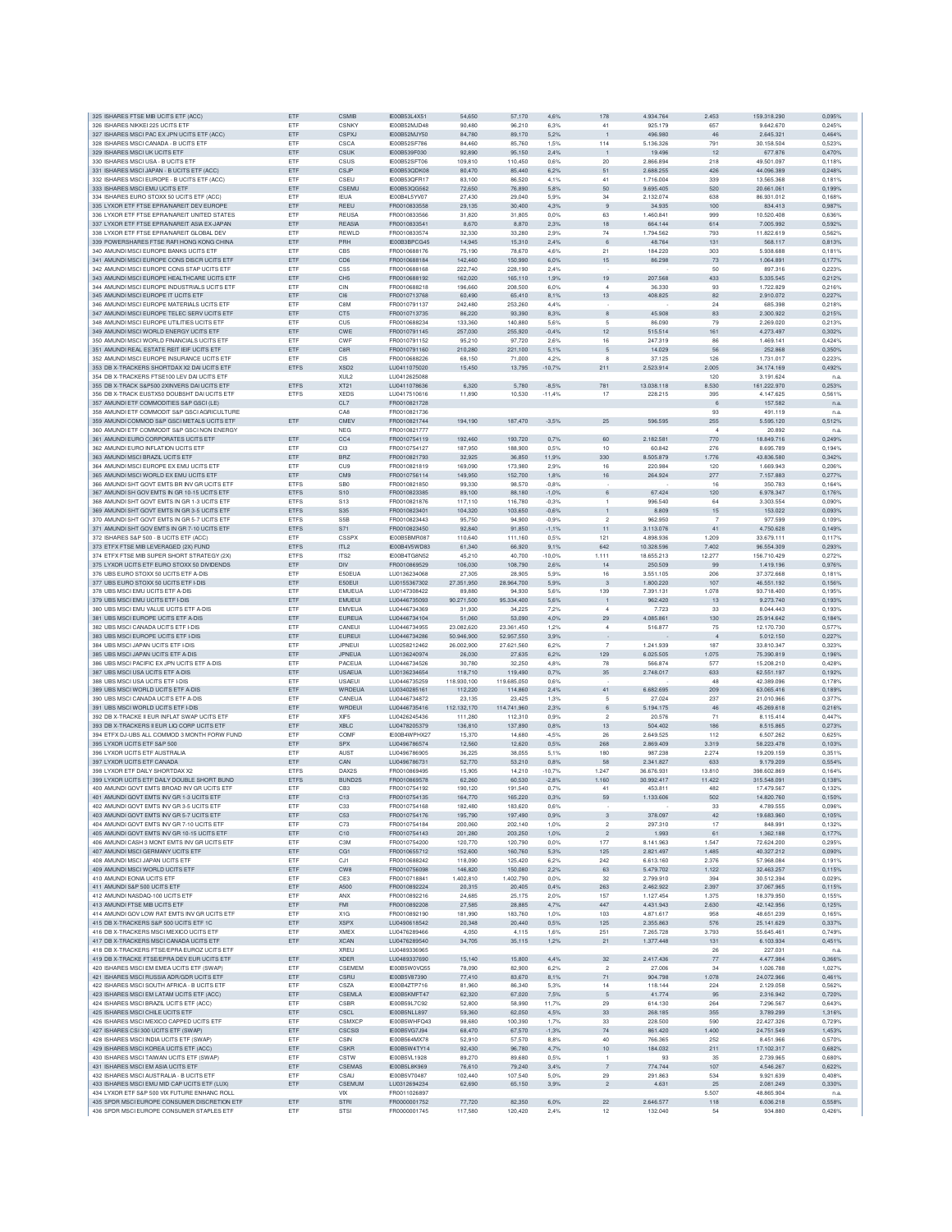| 325 ISHARES FTSE MIB UCITS ETF (ACC)                                                        | ETF               | CSMIB                   | IE00B53L4X51                 | 54,650             | 57,170             | 4.6%         | 178                      | 4.934.764              | 2.453          | 159,318,290             | 0.095%           |
|---------------------------------------------------------------------------------------------|-------------------|-------------------------|------------------------------|--------------------|--------------------|--------------|--------------------------|------------------------|----------------|-------------------------|------------------|
| 326 ISHARES NIKKEI 225 UCITS ETF                                                            | ETF               | <b>CSNKY</b>            | IE00B52MJD48                 | 90.480             | 96,210             | 6.3%         | 41                       | 925.179                | 657            | 9.642.670               | 0.245%           |
| 327 ISHARES MSCI PAC EX JPN UCITS ETF (ACC)                                                 | ETF               | CSPXJ                   | IE00B52MJY50                 | 84,780             | 89,170             | 5,2%         | $\overline{1}$           | 496.980                | 46             | 2.645.321               | 0,464%           |
| 328 ISHARES MSCI CANADA - B UCITS ETF                                                       | ETF               | CSCA                    | IE00B52SF786                 | 84,460             | 85,760             | 1,5%         | 114                      | 5.136.326              | 791            | 30.158.504              | 0,523%           |
| 329 ISHARES MSCI UK UCITS ETF                                                               | ETF               | <b>CSUK</b>             | IE00B539F030                 | 92,890             | 95,150             | 2,4%         | $\overline{1}$           | 19.496                 | 12             | 677.876                 | 0,470%           |
| 330 ISHARES MSCI USA - B UCITS ETP                                                          | <b>FTF</b>        | CSUS                    | IF00B52SFT06                 | 109,810            | 110,450            | 0.6%         | 20                       | 2.866.894              | 218            | 49.501.097              | 0.118%           |
| 331 ISHARES MSCI JAPAN - B UCITS ETF (ACC)                                                  | ETF               | CSJP                    | IE00B53QDK08                 | 80,470             | 85,440             | 6,2%         | 51                       | 2.688.255              | 426            | 44.096.389              | 0.248%           |
| 332 ISHARES MSCI EUROPE - B UCITS ETF (ACC)                                                 | ETF               | CSEU                    | IE00B53QFR17                 | 83.100             | 86,520             | 4.1%         | 41                       | 1.716.004              | 339            | 13,565,368              | 0,181%           |
| 333 ISHARES MSCI EMU UCITS ETF                                                              | ETF               | CSEMU                   | IE00B53QG562                 | 72.650             | 76,890             | 5,8%         | 50                       | 9.695.405              | 520            | 20,661,061              | 0,199%           |
| 334 ISHARES EURO STOXX 50 UCITS ETF (ACC)                                                   | ETF               | <b>IEUA</b>             | IE00B4L5YV07                 | 27,430             | 29,040             | 5,9%         | 34                       | 2.132.074              | 638            | 86.931.012              | 0,1689           |
| 335 LYXOR ETF FTSE EPRANAREIT DEV EUROPE                                                    | ETF               | REEU                    | FR0010833558                 | 29,135             | 30,400             | 4,3%         | 9                        | 34.935                 | 100            | 834.413                 | 0,987%           |
| 336 LYXOR ETF FTSE EPRANAREIT UNITED STATES                                                 | ETF               | <b>REUSA</b>            | FR0010833566                 | 31,820             | 31,805             | 0,0%         | 63                       | 1.460.841              | 999            | 10.520.408              | 0.6369           |
| 337 LYXOR ETF FTSE EPRANAREIT ASIA EX-JAPAN                                                 | ETF               | <b>REASIA</b>           | FR0010833541                 | 8.670              | 8.870              | 2.3%         | 18                       | 664,144                | 614            | 7.005.992               | 0.592%           |
| 338 LYXOR ETF FTSE EPRANAREIT GLOBAL DEV                                                    | ETF               | REWLD                   | FR0010833574                 | 32,330             | 33,280             | 2.9%         | 74                       | 1.794.562              | 793            | 11.822.619              | 0.562%           |
| 339 POWERSHARES FTSE RAFI HONG KONG CHINA                                                   | ETF               | PRH                     | IE00B3BPCG45                 | 14,945             | 15,310             | 2,4%         | 6                        | 48.764                 | 131            | 568.117                 | 0,813%           |
| 340 AMUNDI MSCI EUROPE BANKS UCITS ETF                                                      | ETF               | CB5                     | FR0010688176                 | 75,190             | 78,670             | 4,6%         | 21                       | 184.220                | 303            | 5.938.688               | 0,181%           |
| 341 AMUNDI MSCI EUROPE CONS DISCR UCITS ETF                                                 | ETF               | CD <sub>6</sub>         | FR0010688184                 | 142,460            | 150,990            | 6,0%         | 15                       | 86.298                 | 73             | 1.064.891               | 0,1779           |
| 342 AMUNDI MSCI EUROPE CONS STAP UCITS ETF                                                  | ETF               | CS <sub>5</sub>         | FR0010688168                 | 222,740            | 228,190            | 2.4%         |                          |                        | 50             | 897.316                 | 0.223%           |
| 343 AMUNDI MSCI EUROPE HEALTHCARE UCITS ETF                                                 | ETF               | CH <sub>5</sub>         | FR0010688192                 | 162.020            | 165.110            | 1,9%         | 19                       | 207,568                | 433            | 5.335.545               | 0.212%           |
| 344 AMUNDI MSCI EUROPE INDUSTRIALS UCITS ETF                                                | ETF               | CIN                     | FR0010688218                 | 196,660            | 208,500            | 6.0%         | 4                        | 36,330                 | 93             | 1.722.829               | 0.216%           |
| 345 AMUNDI MSCI EUROPE IT UCITS ETF                                                         | ETF               | CI6                     | FR0010713768                 | 60,490             | 65,410             | 8,1%         | 13                       | 408.825                | 82             | 2.910.072               | 0.227%           |
| 346 AMUNDI MSCI EUROPE MATERIALS UCITS ETF                                                  | ETF               | C8M                     | FR0010791137                 | 242,480            | 253,260            | 4,4%         |                          |                        | 24             | 685.398                 | 0,2189           |
| 347 AMUNDI MSCI EUROPE TELEC SERV UCITS ETF                                                 | ETF               | CT5                     | FR0010713735                 | 86,220             | 93,390             | 8,3%         | $^{\rm 8}$               | 45.908                 | 83             | 2.300.922               | 0.215%           |
| 348 AMUNDI MSCI EUROPE UTILITIES UCITS ETP                                                  | ETF               | CU5                     | FR0010688234                 | 133,360            | 140,880            | 5,6%         | 5                        | 86,090                 | 79             | 2.269.020               | 0.213%           |
| 349 AMUNDI MSCI WORLD ENERGY UCITS ETF                                                      | ETF               | CWE                     | FR0010791145                 | 257.030            | 255,920            | $-0.4%$      | 12                       | 515.514                | 161            | 4.273.497               | 0.302%           |
| 350 AMUNDI MSCI WORLD FINANCIALS UCITS ETF                                                  | ETF               | CWF                     | FR0010791152                 | 95.210             | 97.720             | 2.6%         | 16                       | 247,319                | 86             | 1.469.141               | 0.424%           |
|                                                                                             |                   |                         |                              |                    |                    |              |                          |                        | 56             | 252,868                 | 0.350%           |
| 351 AMUNDI REAL ESTATE REIT IEIF UCITS ETF                                                  | ETF               | C8R                     | FR0010791160                 | 210,280            | 221,100            | 5,1%         | 5                        | 14.029                 |                |                         |                  |
| 352 AMUNDI MSCI EUROPE INSURANCE UCITS ETP                                                  | ETF               | C <sub>I5</sub>         | FR0010688226                 | 68.150             | 71,000             | 4,2%         | 8                        | 37.125                 | 126            | 1.731.017               | 0.223%           |
| 353 DB X-TRACKERS SHORTDAX X2 DAI UCITS ETF                                                 | ETFS              | XSD <sub>2</sub>        | LU0411075020                 | 15,450             | 13,795             | $-10,7%$     | 211                      | 2.523.914              | 2.005          | 34.174.169              | 0,492%           |
| 354 DB X-TRACKERS FTSE100 LEV DAI UCITS ETF                                                 |                   | XUL <sub>2</sub>        | LU0412625088                 |                    |                    |              |                          |                        | 120            | 3.191.624               | n.a              |
| 355 DB X-TRACK S&P500 2XINVERS DAI UCITS ETF                                                | ETFS              | XT21                    | LU0411078636                 | 6,320              | 5,780              | $-8,5%$      | 781                      | 13.038.118             | 8.530          | 161.222.970             | 0,253%           |
| 356 DB X-TRACK EUSTX50 DOUBSHT DAI UCITS ETF                                                | <b>ETFS</b>       | <b>XEDS</b>             | LU0417510616                 | 11,890             | 10,530             | $-11.4%$     | 17                       | 228,215                | 395            | 4.147.625               | 0.561%           |
| 357 AMUNDI ETF COMMODITIES S&P GSCI (LE)                                                    |                   | CL7                     | FR0010821728                 |                    |                    |              |                          |                        | $_{6}$         | 157.582                 | n.a              |
| 358 AMUNDI ETF COMMODIT S&P GSCI AGRICULTURE                                                |                   | CA <sub>8</sub>         | FR0010821736                 |                    |                    |              |                          |                        | 93             | 491.119                 | n.a              |
| 359 AMUNDI COMMOD S&P GSCI METALS UCITS ETF                                                 | ETF               | CMEV                    | FR0010821744                 | 194,190            | 187,470            | $-3,5%$      | 25                       | 596.595                | 255            | 5.595.120               | 0,512%           |
| 360 AMUNDI ETF COMMODIT S&P GSCI NON ENERGY                                                 |                   | <b>NEG</b>              | FR0010821777                 |                    |                    |              |                          |                        | $\overline{a}$ | 20.892                  | n.a              |
| 361 AMUNDI EURO CORPORATES UCITS ETF                                                        | ETF               | CC <sub>4</sub>         | FR0010754119                 | 192.460            | 193,720            | 0,7%         | 60                       | 2.182.581              | 770            | 18,849.716              | 0.249%           |
| 362 AMUNDI EURO INFLATION UCITS ETF                                                         | ETF               | C <sub>13</sub>         | FR0010754127                 | 187,950            | 188,900            | 0.5%         | 10                       | 60.842                 | 276            | 8.695.789               | 0.194%           |
| 363 AMUNDI MSCI BRAZIL UCITS ETF                                                            | ETF               | <b>BRZ</b>              | FR0010821793                 | 32.925             | 36,850             | 11.9%        | 330                      | 8,505,879              | 1.776          | 43.836.580              | 0.342%           |
| 364 AMUNDI MSCI EUROPE EX EMU UCITS ETF                                                     | ETF               | CU <sub>9</sub>         | FR0010821819                 | 169,090            | 173,980            | 2,9%         | 16                       | 220.984                | 120            | 1.669.943               | 0,206%           |
| 365 AMUNDI MSCI WORLD EX EMU UCITS ETF                                                      | ETF               | CM <sub>9</sub>         | FR0010756114                 | 149,950            | 152,700            | 1,8%         | 16                       | 264.924                | 277            | 7.157.883               | 0,2779           |
| 366 AMUNDI SHT GOVT EMTS BR INV GR UCITS ETF                                                | ETFS              | SB <sub>0</sub>         | FR0010821850                 | 99,330             | 98,570             | $-0.8%$      |                          |                        | 16             | 350.783                 | 0,164%           |
| 367 AMUNDI SH GOV EMTS IN GR 10-15 UCITS ETF                                                | ETFS              | S <sub>10</sub>         | FR0010823385                 | 89,100             | 88,180             | $-1,0%$      | 6                        | 67.424                 | 120            | 6.978.347               | 0,176%           |
| 368 AMUNDI SHT GOVT EMTS IN GR 1-3 UCITS ETF                                                | <b>ETFS</b>       | S <sub>13</sub>         | FR0010821876                 | 117.110            | 116,780            | $-0.3%$      | -1                       | 996.540                | 64             | 3.303.554               | 0.090%           |
| 369 AMUNDI SHT GOVT EMTS IN GR 3-5 UCITS ETF                                                | <b>ETFS</b>       | S <sub>35</sub>         | FR0010823401                 | 104.320            | 103.650            | $-0.6%$      | $\overline{1}$           | 8.809                  | 15             | 153,022                 | 0.093%           |
| 370 AMUNDI SHT GOVT EMTS IN GR 5-7 UCITS ETF                                                | ETFS              | S <sub>5</sub> B        | FR0010823443                 | 95.750             | 94,900             | $-0,9%$      | $\overline{2}$           | 962.950                |                | 977,599                 | 0.109%           |
| 371 AMUNDI SHT GOV EMTS IN GR 7-10 UCITS ETF                                                | ETFS              | S71                     | FR0010823450                 | 92,840             | 91,850             | $-1,1%$      | 11                       | 3.113.076              | 41             | 4.750.628               | 0,149%           |
| 372 ISHARES S&P 500 - B UCITS ETF (ACC)                                                     | ETF               | CSSP>                   | IE00B5BMR08                  | 110,640            | 111,160            | 0,5%         | 121                      | 4.898.936              | 1.209          | 33.679.11               | 0,1179           |
| 373 ETFX FTSE MIB LEVERAGED (2X) FUND                                                       | ETFS              | ITL <sub>2</sub>        | IE00B4V5WD83                 | 61,340             | 66,920             | 9,1%         | 642                      | 10.328.596             | 7.402          | 96,554,309              | 0.293%           |
| 374 ETFX FTSE MIB SUPER SHORT STRATEGY (2X)                                                 | <b>ETFS</b>       | ITS <sub>2</sub>        | IF00B4TG8N52                 | 45.210             | 40,700             | $-10.0%$     | 1.111                    | 18,655.213             | 12,277         | 156.710.429             | 0.272%           |
|                                                                                             |                   |                         |                              |                    |                    |              |                          |                        |                |                         |                  |
| 375 LYXOR UCITS ETF EURO STOXX 50 DIVIDENDS                                                 | ETF               | <b>DIV</b>              | FR0010869529                 | 106.030            | 108,790            | 2.6%         | 14                       | 250,509                | 99             | 1.419.196               | 0.976%           |
| 376 UBS EURO STOXX 50 UCITS ETF A-DIS                                                       | ETF               | E50EUA                  | LU0136234068                 | 27,305             | 28,905             | 5.9%         | 16                       | 3.551.105              | 206            | 37.372.668              | 0.181%           |
| 377 UBS EURO STOXX 50 UCITS ETF I-DIS                                                       | ETF               | E50EUI                  | LU0155367302                 | 27.351,950         | 28.964,700         | 5,9%         | 3                        | 1.800.220              | 107            | 46.551.192              | 0,156%           |
| 378 UBS MSCI EMU UCITS ETF A-DIS                                                            | ETF               | <b>EMUEUA</b>           | LU0147308422                 | 89,880             | 94,930             | 5,6%         | 139                      | 7.391.131              | 1.078          | 93.718.400              | 0,195%           |
| 379 UBS MSCI EMU UCITS ETF I-DIS                                                            | ETF               | <b>EMUEUI</b>           | LU0446735093                 | 90.271,500         | 95.334,400         | 5,6%         | $\overline{1}$           | 962.420                | 13             | 9.273.740               | 0,193%           |
| 380 UBS MSCI EMU VALUE UCITS ETF A-DIS                                                      | ETF               | <b>EMVEUA</b>           | LU0446734369                 | 31,930             | 34,225             | 7.2%         | $\boldsymbol{A}$         | 7.723                  | 33             | 8.044.443               | 0.193%           |
| 381 UBS MSCI EUROPE UCITS ETF A-DIS                                                         | ETF               | <b>EUREUA</b>           | LU0446734104                 | 51,060             | 53,090             | 4.0%         | 29                       | 4.085.861              | 130            | 25.914.642              | 0.184%           |
| 382 UBS MSCI CANADA UCITS ETF I-DIS                                                         | ETF               | CANEUI                  | LU0446734955                 | 23.082,620         | 23,361,450         | 1,2%         | $\overline{4}$           | 516.877                | 75             | 12.170.730              | 0.577%           |
| 383 UBS MSCI EUROPE UCITS ETF I-DIS                                                         | ETF               | EUREU                   | LU0446734286                 | 50,946,900         | 52.957.550         | 3,9%         |                          |                        | $\overline{4}$ | 5.012.150               | 0,227%           |
| 384 UBS MSCI JAPAN UCITS ETF I-DIS                                                          | ETF               | JPNEUI                  | LU0258212462                 | 26.002,900         | 27.621,560         | 6,2%         | $\overline{7}$           | 1.241.939              | 187            | 33.810.347              | 0,3239           |
| 385 UBS MSCI JAPAN UCITS ETF A-DIS                                                          | ETF               | JPNEUA                  | LU0136240974                 | 26,030             | 27,635             | 6.2%         | 129                      | 6.025.505              | 1.075          | 75.390.819              | 0,196%           |
| 386 UBS MSCI PACIFIC EX JPN UCITS ETF A-DIS                                                 | ETF               | PACEUA                  | LU0446734526                 | 30.780             | 32,250             | 4.8%         | 78                       | 566,874                | 577            | 15,208,210              | 0,4289           |
| 387 UBS MSCI USA UCITS ETF A-DIS                                                            | ETF               | <b>USAEUA</b>           | LU0136234654                 | 118,710            | 119,490            | 0.7%         | 35                       | 2.748.017              | 633            | 62.551.197              | 0.192%           |
| 388 UBS MSCI USA UCITS ETF I-DIS                                                            | ETF               | <b>USAEUI</b>           | LU0446735259                 | 118,930,100        | 119,685,050        | 0.6%         |                          |                        | 48             | 42.389.096              | 0.178%           |
| 389 UBS MSCI WORLD UCITS ETF A-DIS                                                          | ETF               | WRDEUA                  | LU0340285161                 | 112,220            | 114,860            | 2,4%         | 41                       | 6.682.695              | 209            | 63.065.416              | 0.189%           |
| 390 UBS MSCI CANADA UCITS ETF A-DIS                                                         | ETF               | CANEUA                  | LU0446734872                 | 23,135             | 23,425             | 1,3%         | 5                        | 27.024                 | 237            | 21.010.966              | 0,3779           |
| 391 UBS MSCI WORLD UCITS ETF I-DIS                                                          | ETF               | WRDEU                   | LU0446735416                 | 112.132,170        | 114.741,960        | 2,3%         | 6                        | 5.194.175              | 46             | 45.269.618              | 0,2169           |
| 392 DB X-TRACKE II EUR INFLAT SWAP UCITS ETF                                                | ETF               | XIF5                    | LU0426245436                 | 111,280            | 112,310            | 0.9%         | $\overline{\phantom{a}}$ | 20,576                 | 71             | 8.115.414               | 0,447%           |
| 393 DB X-TRACKERS II EUR LIQ CORP UCITS ETP                                                 | ETF               | <b>XBLC</b>             | 1110478205379                | 136,810            | 137,890            | 0.8%         | 13                       | 504.402                | 186            | 8.515.865               | 0.273%           |
| 394 FTEX DJ-UBS ALL COMMOD 3 MONTH FORW FUND                                                | ETF               | COMF                    | IE00B4WPHX27                 | 15.370             | 14,680             | $-4.5%$      | 26                       | 2.649.525              | 112            | 6,507,262               | 0.625%           |
| 395 LYXOR UCITS ETF S&P 500                                                                 | ETF               | <b>SPX</b>              | LU0496786574                 | 12,560             | 12,620             | 0,5%         | 268                      | 2.869.409              | 3.319          | 58.223.478              | 0.103%           |
| 396 LYXOR UCITS ETF AUSTRALIA                                                               | ETF               | AUST                    | LU0496786905                 | 36,225             | 38,055             | 5.1%         | 180                      | 987.238                | 2.274          | 19.209.159              | 0,3519           |
| 397 LYXOR UCITS ETF CANADA                                                                  | ETF               | CAN                     | LU0496786731                 | 52,770             | 53,210             | 0.8%         | 58                       | 2.341.827              | 633            | 9.179.209               | 0.554%           |
| 398 LYXOR ETF DAILY SHORTDAX X2                                                             | <b>ETFS</b>       | DAX2S                   | FR0010869495                 | 15,905             | 14,210             | $-10.7%$     | 1.247                    | 36,676,931             | 13,810         | 398,602,869             | 0.164%           |
| 399 LYXOR UCITS ETF DAILY DOUBLE SHORT BUND                                                 | <b>ETFS</b>       | BUND2S                  | FR0010869578                 | 62.260             | 60,530             | $-2.8%$      | 1.160                    | 30.992.417             | 11.422         | 315,548,091             | 0.138%           |
| 400 AMUNDI GOVT EMTS BROAD INV GR LICITS ETE                                                | ETF               | CB <sub>3</sub>         | FR0010754192                 | 190.120            | 191,540            | 0.7%         | 41                       | 453.811                | 482            | 17.479.567              | 0.132%           |
| 401 AMUNDI GOVT EMTS INV GR 1-3 UCITS ETF                                                   | ETF               | C13                     | FR0010754135                 | 164,770            | 165,220            | 0.3%         | 59                       | 1.133.606              | 502            | 14.820.760              | 0,150%           |
| 402 AMUNDI GOVT EMTS INV GR 3-5 UCITS ETF                                                   | ETF               | C33                     | FR0010754168                 | 182.480            | 183.620            |              |                          |                        |                | 4.789.555               |                  |
|                                                                                             |                   |                         |                              |                    |                    | 0.6%         |                          |                        | 33             |                         | 0.096%           |
| 403 AMUNDI GOVT EMTS INV GR 5-7 UCITS ETF<br>404 AMUNDI GOVT EMTS INV GR 7-10 UCITS ETP     | ETF<br><b>FTF</b> | C <sub>53</sub><br>C73  | FR0010754176<br>FR0010754184 | 195,790<br>200,060 | 197,490<br>202.140 | 0.9%<br>1.0% | 3<br>$\mathfrak{p}$      | 378.097<br>297.310     | 42<br>17       | 19.683.960<br>848,991   | 0,105%<br>0,132% |
|                                                                                             |                   |                         |                              |                    |                    |              |                          |                        |                |                         |                  |
| 405 AMUNDI GOVT EMTS INV GR 10-15 UCITS ETF<br>406 AMUNDI CASH 3 MONT EMTS INV GR UCITS ETF | ETF<br>ETF        | C10<br>C <sub>3</sub> M | FR0010754143                 | 201,280<br>120,770 | 203,250<br>120.790 | 1,0%<br>0.0% | $\overline{2}$<br>177    | 1.993<br>8.141.963     | 61<br>1.547    | 1.362.188<br>72.624.200 | 0,177%<br>0.295% |
|                                                                                             |                   |                         | FR0010754200                 |                    |                    |              |                          |                        |                |                         |                  |
| 407 AMUNDI MSCI GERMANY UCITS ETF<br>408 AMUNDI MSCI JAPAN UCITS ETF                        | ETF<br>ETF        | CG1                     | FR0010655712<br>FR0010688242 | 152,600<br>118,090 | 160,760            | 5,3%         | 125                      | 2.821.497<br>6,613,160 | 1.485          | 40.327.212              | 0,090%           |
|                                                                                             |                   | CJ1                     |                              |                    | 125,420            | 6,2%         | 242                      |                        | 2.376          | 57.968.084              | 0,191%           |
| 409 AMUNDI MSCI WORLD UCITS ETF                                                             | ETF               | CW8                     | FR0010756098                 | 146,820            | 150,080            | 2,2%         | 63                       | 5.479.702              | 1.122          | 32.463.257              | 0,115%           |
| 410 AMUNDLEONIA LICITS FTE                                                                  | ETF               | CE3                     | FR0010718841                 | 1.402,810          | 1.402,790          | 0.0%         | 32                       | 2.799.910              | 394            | 30.512.394              | 0.029%           |
| 411 AMUNDLS&P 500 UCITS FTE                                                                 | ETF               | A500                    | FR0010892224                 | 20,315             | 20,405             | 0.4%         | 263                      | 2.462.922              | 2.397          | 37.067.965              | 0.115%           |
| 412 AMUNDI NASDAQ-100 UCITS ETF                                                             | ETF               | ANX                     | FR0010892216                 | 24,685             | 25.175             | 2.0%         | 157                      | 1.127.454              | 1.375          | 18,379,950              | 0.155%           |
| 413 AMUNDI FTSE MIB UCITS ETF                                                               | ETF               | <b>FMI</b>              | FR0010892208                 | 27,585             | 28,885             | 4.7%         | 447                      | 4.431.943              | 2.630          | 42.142.956              | 0.125%           |
| 414 AMUNDI GOV LOW RAT EMTS INV GR UCITS ETF                                                | ETF               | X1G                     | FR0010892190                 | 181,990            | 183,760            | 1,0%         | 103                      | 4.871.617              | 958            | 48.651.239              | 0.165%           |
| 415 DB X-TRACKERS S&P 500 UCITS ETF 1C                                                      | ETF               | <b>XSPX</b>             | LU0490618542                 | 20,348             | 20,440             | 0.5%         | 125                      | 2.355.863              | 576            | 25,141,629              | 0.337%           |
| 416 DB X-TRACKERS MSCI MEXICO UCITS ETF                                                     | ETF               | XMEX                    | LU0476289466                 | 4,050              | 4,115              | 1,6%         | 251                      | 7.265.728              | 3.793          | 55.645.461              | 0,749%           |
| 417 DB X-TRACKERS MSCI CANADA UCITS ETF                                                     | ETF               | <b>XCAN</b>             | LU0476289540                 | 34,705             | 35,115             | 1,2%         | 21                       | 1.377.448              | 131            | 6.103.934               | 0,451%           |
| 418 DB X-TRACKERS FTSE/EPRA EUROZ UCITS ETF                                                 |                   | <b>XREU</b>             | 1110489336965                |                    |                    |              |                          |                        | 26             | 227.031                 | n.a              |
| 419 DB X-TRACKE FTSE/FPRA DEV FUR LICITS FTF                                                | ETF               | <b>XDER</b>             | LU0489337690                 | 15.140             | 15,800             | 4.4%         | 32                       | 2.417.436              | 77             | 4.477.984               | 0.366%           |
| 420 ISHARES MSCI EM EMEA UCITS ETF (SWAP)                                                   | ETF               | CSEMEM                  | IE00B5W0VQ55                 | 78,090             | 82,900             | 6,2%         | $\overline{2}$           | 27.006                 | 34             | 1.026.788               | 1,027%           |
| 421 ISHARES MSCI RUSSIA ADR/GDR UCITS ETF                                                   | ETF               | CSRU                    | IE00B5V87390                 | 77,410             | 83,670             | 8.1%         | 71                       | 904.798                | 1.078          | 24.072.966              | 0,461%           |
| 422 ISHARES MSCI SOUTH AFRICA - B UCITS ETP                                                 | ETF               | CSZA                    | IE00B4ZTP716                 | 81,960             | 86,340             | 5,3%         | 14                       | 118.144                | 224            | 2.129.058               | 0,5629           |
| 423 ISHARES MSCI EM LATAM UCITS ETF (ACC)                                                   | ETF               | CSEMLA                  | IE00B5KMFT47                 | 62.320             | 67,020             | 7,5%         | 5                        | 41.774                 | 95             | 2.316.942               | 0.720%           |
| 424 ISHARES MSCI BRAZIL UCITS ETF (ACC)                                                     |                   | CSBR                    | IE00B59L7C92                 | 52,800             | 58,990             | 11.7%        | 29                       | 614,130                | 264            | 7.296.567               | 0.643%           |
| 425 ISHARES MSCI CHILE UCITS ETF                                                            |                   |                         |                              |                    | 62.050             | 4.5%         | 33                       | 268,185                | 355            | 3.789.299               |                  |
|                                                                                             | ETF               |                         |                              |                    |                    |              |                          |                        |                |                         |                  |
|                                                                                             | ETF               | CSCL                    | IE00B5NLL897                 | 59,360             |                    |              |                          |                        |                |                         | 1.316%           |
| 426 ISHARES MSCI MEXICO CAPPED UCITS ETF                                                    | ETF               | <b>CSMXCF</b>           | IE00B5WHFQ43                 | 98,680             | 100,390            | 1,7%         | 33                       | 228.500                | 590            | 22.427.326              | 0.729%           |
| 427 ISHARES CSI 300 UCITS ETF (SWAP)                                                        | ETF               | CSCSI3                  | IE00B5VG7J94                 | 68,470             | 67,570             | $-1,3%$      | $74\,$                   | 861.420                | 1.400          | 24.751.549              | 1,453%           |
| 428 ISHARES MSCI INDIA UCITS ETF (SWAP)                                                     | ETF               | CSIN                    | IE00B564MX78                 | 52,910             | 57,570             | 8.8%         | 40                       | 766.365                | 252            | 8.451.966               | 0,570%           |
| 429 ISHARES MSCI KOREA UCITS ETF (ACC)                                                      | ETF               | <b>CSKR</b>             | IE00B5W4TY14                 | 92,430             | 96,780             | 4,7%         | $10$                     | 184.032                | 211            | 17.102.317              | 0,682%           |
| 430 ISHARES MSCI TAIWAN UCITS ETF (SWAP                                                     | ETF               | CSTW                    | IE00B5VL1928                 | 89.270             | 89,680             | 0.5%         | $\overline{1}$           | 93                     | 35             | 2.739.965               | 0.680%           |
| 431 ISHARES MSCI EM ASIA UCITS ETF                                                          | ETF               | CSEMAS                  | IE00B5L8K969                 | 76,610             | 79,240             | 3.4%         | $\overline{7}$           | 774.744                | 107            | 4.546.267               | 0.622%           |
| 432 ISHARES MSCI AUSTRALIA - B UCITS ETF                                                    | ETF               | CSAU                    | IE00B5V70487                 | 102,440            | 107,540            | 5.0%         | 29                       | 291.863                | 534            | 9.921.639               | 0,408%           |
| 433 ISHARES MSCI EMU MID CAP UCITS ETF (LUX)                                                | ETF               | CSEMUM                  | LU0312694234                 | 62,690             | 65,150             | 3,9%         | $\sqrt{2}$               | 4.631                  | 25             | 2.081.249               | 0,330%           |
| 434 LYXOR ETF S&P 500 VIX FUTURE ENHANC ROLL                                                |                   | VIX                     | FR0011026897                 |                    |                    |              |                          |                        | 5.507          | 48.865.904              | n.a              |
| 435 SPDR MSCI EUROPE CONSUMER DISCRETION ETF<br>436 SPDR MSCI EUROPE CONSUMER STAPLES ETF   | ETF<br>ETF        | <b>STRI</b><br>STSI     | FR0000001752<br>FR0000001745 | 77,720<br>117,580  | 82,350<br>120,420  | 6,0%<br>2,4% | $22\,$<br>12             | 2.646.577<br>132.040   | 118<br>54      | 6.036.218<br>934.880    | 0.558%<br>0,426% |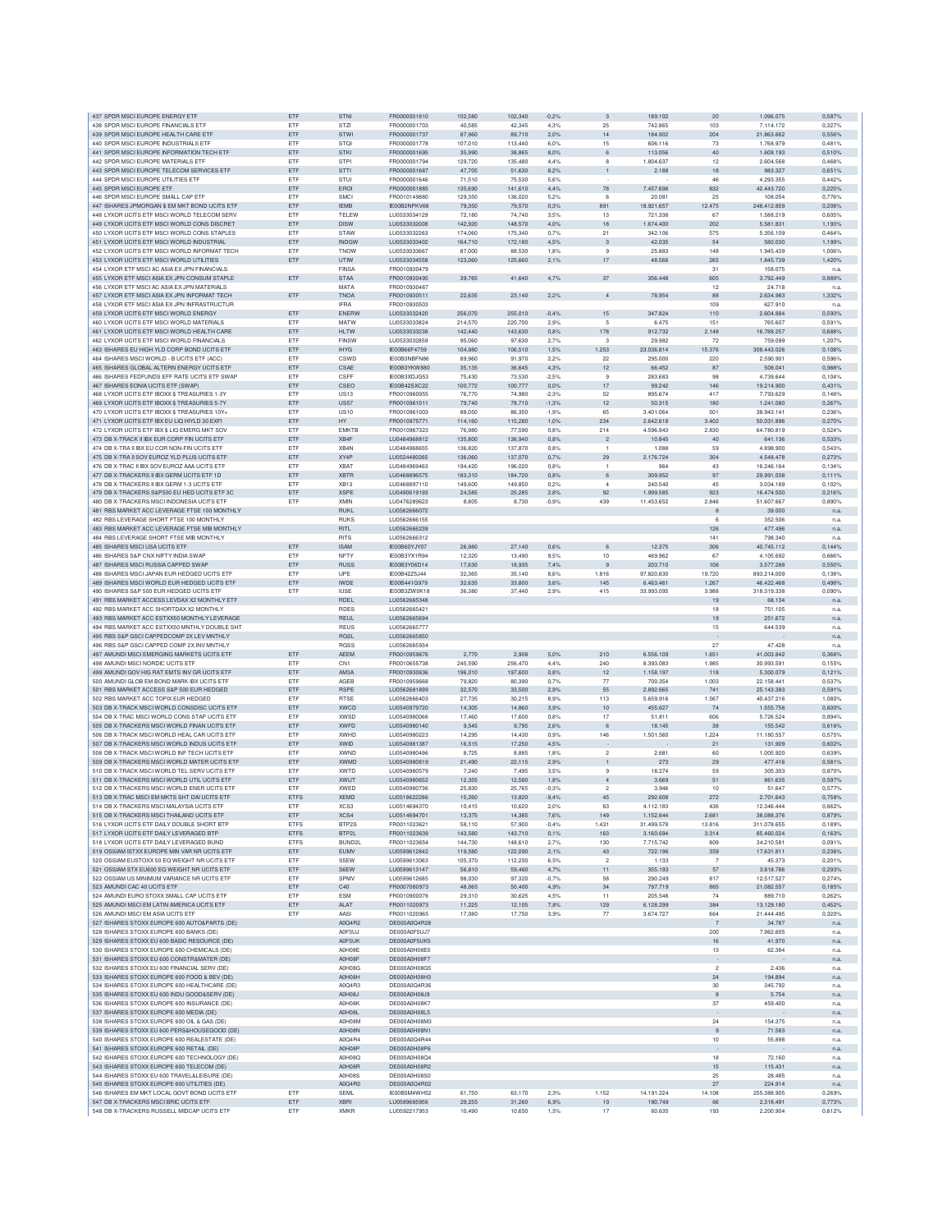| 437 SPDR MSCI EUROPE ENERGY ETF                                                              | ETF               | <b>STNI</b>                | FR0000001810                        | 102.580            | 102.340            | $-0.2%$         | 3                              | 189,102                | 20                    | 1.096.075                | 0.587%           |
|----------------------------------------------------------------------------------------------|-------------------|----------------------------|-------------------------------------|--------------------|--------------------|-----------------|--------------------------------|------------------------|-----------------------|--------------------------|------------------|
| 438 SPDR MSCI EUROPE FINANCIALS ETF                                                          | ETF               | <b>STZI</b>                | FR0000001703                        | 40.585             | 42.345             | 4.3%            | 25                             | 742.865                | 103                   | 7.114.172                | 0.327%           |
| 439 SPDR MSCI EUROPE HEALTH CARE ETF                                                         | ETF               | STWI                       | FR0000001737                        | 87,960             | 89,710             | 2,0%            | 14                             | 184.902                | 204                   | 21.863.662               | 0,556%           |
| 440 SPDR MSCI EUROPE INDUSTRIALS ETF                                                         | ETF               | <b>STOI</b>                | FR0000001778                        | 107,010            | 113,440            | 6,0%            | 15                             | 606.116                | 73                    | 1.768.979                | 0,481%           |
| 441 SPDR MSCI EUROPE INFORMATION TECH ETF                                                    | ETF               | <b>STKI</b>                | FR0000001695                        | 35,990             | 38,865             | 8,0%            | 6                              | 113.056                | 40                    | 1.608.193                | 0,510%           |
| 442 SPDR MSCI EUROPE MATERIALS ETF                                                           | <b>FTF</b>        | STPI                       | FR0000001794                        | 129,720            | 135,480            | 4.4%            | 8                              | 1.804.637              | 12                    | 2.604.568                | 0.468%           |
| 443 SPDR MSCI EUROPE TELECOM SERVICES ETF                                                    | ETF               | <b>STTI</b>                | FR0000001687                        | 47,705             | 51,630             | 8,2%            | $\mathbf{1}$                   | 2.188                  | 18                    | 983,327                  | 0.651%           |
| 444 SPDR MSCI EUROPE UTILITIES ETF                                                           | ETF               | STU                        | FR0000001646                        | 71,510             | 75,530             | 5.6%            |                                |                        | 46                    | 4.293.355                | 0.442%           |
| 445 SPDR MSCLEUROPE ETE                                                                      | ETF               | ERO                        | FR0000001885                        | 135,690            | 141,610            | 4,4%            | 78                             | 7.457.698              | 832<br>25             | 42.443.720               | 0.225%           |
| 446 SPDR MSCI EUROPE SMALL CAP ETF<br>447 ISHARES JPMORGAN \$ EM MKT ROND LICITS ETE         | ETF<br>ETF        | SMCI<br><b>IEMB</b>        | FR0010149880<br>IE00B2NPKV68        | 129,350<br>79,350  | 136,020<br>79,570  | 5,2%<br>0,3%    | 6<br>891                       | 20.081<br>18.921.657   | 12.475                | 108.054<br>248.412.859   | 0,7769<br>0,208% |
| 448 I YXOR LICITS FTE MSCLWORLD TELECOM SERV                                                 | ETF               | TELEW                      | LU0533034129                        | 72.180             | 74,740             | 3.5%            | 13                             | 721,338                | 67                    | 1,588.219                | 0.605%           |
| 449 LYXOR UCITS ETF MSCI WORLD CONS DISCRET                                                  | ETF               | <b>DISW</b>                | LU0533032008                        | 142.920            | 148,570            | 4.0%            | 18                             | 1.674.400              | 202                   | 5.581.831                | 1.193%           |
| 450 LYXOR UCITS ETF MSCI WORLD CONS STAPLES                                                  | ETF               | <b>STAW</b>                | LU0533032263                        | 174,060            | 175,340            | 0.7%            | 21                             | 342,106                | 575                   | 5.356.109                | 0.464%           |
| 451 LYXOR UCITS ETF MSCI WORLD INDUSTRIAL                                                    | ETF               | <b>INDGW</b>               | LU0533033402                        | 164,710            | 172,180            | 4,5%            | 3                              | 42.035                 | 54                    | 580.030                  | 1,199%           |
| 452 LYXOR UCITS ETF MSCI WORLD INFORMAT TECH                                                 | ETF               | <b>TNOW</b>                | LU0533033667                        | 87,000             | 88,530             | 1,8%            | 9                              | 25.883                 | 148                   | 1.945.439                | 1,006%           |
| 453 LYXOR UCITS ETF MSCI WORLD UTILITIES                                                     | ETF               | UTIW                       | LU0533034558                        | 123,060            | 125,660            | 2,1%            | 17                             | 48.566                 | 265                   | 1.845.739                | 1,4209           |
| 454 LYXOR ETF MSCI AC ASIA EX JPN FINANCIALS                                                 |                   | <b>FINSA</b>               | FR0010930479                        |                    |                    |                 |                                |                        | 31                    | 158.075                  | n.a              |
| 455 LYXOR ETF MSCI ASIA EX JPN CONSUM STAPLE                                                 | ETF               | <b>STAA</b>                | FR0010930495                        | 39.765             | 41,640             | 4,7%            | 37                             | 356,448                | 605                   | 3.792.449                | 0.889%           |
| 456 I YXOR FTE MSCLAC ASIA EX JPN MATERIALS                                                  |                   | <b>MATA</b>                | FR0010930487                        |                    |                    |                 |                                |                        | 12                    | 24.718                   | n.a              |
| 457 LYXOR ETF MSCI ASIA EX JPN INFORMAT TECH                                                 | ETF               | TNOA                       | FR0010930511                        | 22.635             | 23,140             | 2.2%            | $\overline{4}$                 | 78.954                 | 88                    | 2.634.983                | 1,332%           |
| 458 LYXOR ETF MSCI ASIA EX JPN INFRASTRUCTUR                                                 |                   | IFRA                       | FR0010930503                        |                    |                    |                 |                                |                        | 109                   | 627.910                  | n.a              |
| 459 LYXOR UCITS ETF MSCI WORLD ENERGY<br>460 LYXOR UCITS ETF MSCI WORLD MATERIALS            | ETF<br>ETF        | ENERW<br>MATW              | LU0533032420<br>LU0533033824        | 256,070<br>214,570 | 255,010<br>220,700 | $-0.4%$<br>2.9% | 15<br>5                        | 347.824<br>6.475       | 110<br>151            | 2.604.884<br>765,607     | 0,593%<br>0.591% |
| 461 LYXOR UCITS ETF MSCI WORLD HEALTH CARE                                                   | ETF               | <b>HLTW</b>                | LU0533033238                        | 142.440            | 143,630            | 0.8%            | 178                            | 912.732                | 2.148                 | 16,788,257               | 0.688%           |
| 462 LYXOR UCITS ETF MSCI WORLD FINANCIALS                                                    | ETF               | <b>FINSW</b>               | LU0533032859                        | 95,060             | 97.630             | 2.7%            | 3                              | 29,982                 | 72                    | 759,099                  | 1.207%           |
| 463 ISHARES EU HIGH YLD CORP BOND UCITS ETF                                                  | ETF               | <b>IHYG</b>                | IE00B66F4759                        | 104,980            | 106,510            | 1,5%            | 1.253                          | 23.036.814             | 15.376                | 308.443.026              | 0,108%           |
| 464 ISHARES MSCI WORLD - B UCITS ETF (ACC)                                                   | ETF               | CSWD                       | IE00B3NBFN86                        | 89,960             | 91.970             | 2.2%            | 22                             | 295,000                | 220                   | 2,590,901                | 0.596%           |
| 465 ISHARES GLOBAL ALTERN ENERGY UCITS ETF                                                   | ETF               | CSAE                       | IE00B3YKW880                        | 35,135             | 36,645             | 4,3%            | 12                             | 66.452                 | 87                    | 508.041                  | 0.988%           |
| 466 ISHARES FEDFUNDS EFF RATE UCITS ETF SWAP                                                 | ETF               | CSEE                       | IE00B3XDJG53                        | 75,430             | 73,530             | $-2.5%$         | 9                              | 283.683                | 98                    | 4.739.644                | 0.104%           |
| 467 ISHARES EONIA UCITS ETF (SWAP)                                                           | ETF               | CSEO                       | IE00B42SXC22                        | 100,772            | 100,777            | 0,0%            | 17                             | 99.242                 | 146                   | 19.214.900               | 0,431%           |
| 468 LYXOR UCITS ETF IBOXX \$ TREASURIES 1-3Y                                                 | ETF               | <b>US13</b>                | FR0010960955                        | 76,770             | 74,980             | $-2.3%$         | 52                             | 895.674                | 417                   | 7.793.629                | 0.148%           |
| 469 LYXOR UCITS ETF IBOXX \$ TREASURIES 5-7Y                                                 | ETF               | <b>US57</b>                | FR0010961011                        | 79,740             | 78,710             | $-1,3%$         | 12                             | 50.315                 | 180                   | 1.241.080                | 0,267%           |
| 470 LYXOR UCITS ETF IBOXX \$ TREASURIES 10Y+                                                 | ETF               | <b>US10</b>                | FR0010961003                        | 88,050             | 86,350             | $-1,9%$         | 65                             | 3.401.064              | 501                   | 38 943 141               | 0.236%           |
| 471 LYXOR UCITS ETF IBX EU LIQ HIYLD 30 EXFI<br>472 LYXOR UCITS ETF IBX \$ LIQ EMERG MKT SOV | ETF<br>ETF        | HY<br><b>EMKTE</b>         | FR0010975771<br>FR0010967323        | 114,160<br>76,980  | 115,280<br>77,590  | 1,0%<br>0,8%    | 234<br>214                     | 2.642.618<br>4.596.943 | 3.402<br>2.830        | 50.031.896<br>64.780.819 | 0,270%<br>0,524% |
| 473 DB X-TRACK II IBX FUR CORP FIN LICITS FTF                                                | ETF               | XR4F                       | LU0484968812                        | 135.800            | 136,940            | 0,8%            | $\overline{2}$                 | 10.845                 | 40                    | 641.136                  | 0.533%           |
| 474 DB X-TRA II IBX EU COR NON-FIN UCITS ETF                                                 | ETF               | XB4N                       | LU0484968655                        | 136,820            | 137,870            | 0.8%            | $\overline{1}$                 | 1.088                  | 59                    | 4.898.900                | 0.543%           |
| 475 DB X-TRA II SOV EUROZ YLD PLUS UCITS ETP                                                 | ETF               | XY4P                       | LU0524480265                        | 136,060            | 137.070            | 0.7%            | 29                             | 2.176.724              | 304                   | 4.548.478                | 0.273%           |
| 476 DB X-TRAC II IBX SOV EUROZ AAA UCITS ETF                                                 | ETF               | <b>XBAT</b>                | LU0484969463                        | 194,420            | 196,020            | 0.8%            | $\overline{1}$                 | 964                    | 43                    | 16.246.164               | 0,134%           |
| 477 DB X-TRACKERS II IBX GERM UCITS ETF 1D                                                   | ETF               | <b>XBTR</b>                | LU0468896575                        | 183,310            | 184,720            | 0,8%            | 6                              | 309.952                | 97                    | 29.991.038               | 0.111%           |
| 478 DB X-TRACKERS II IBX GERM 1-3 UCITS ETF                                                  | ETF               | XB13                       | LU0468897110                        | 149,600            | 149,850            | 0,2%            | $\overline{4}$                 | 240.540                | 45                    | 3.034.189                | 0,1029           |
| 479 DB X-TRACKERS S&P500 EU HED UCITS ETF 3C                                                 | ETF               | <b>XSPE</b>                | LU0490619193                        | 24,585             | 25,285             | 2,8%            | 92                             | 1.999.585              | 923                   | 16.474.500               | 0,216%           |
| 480 DB X-TRACKERS MSCI INDONESIA UCITS ETF                                                   | ETF               | XMIN                       | LU0476289623                        | 8.805              | 8.730              | $-0.9%$         | 439                            | 11.453.652             | 2,846                 | 51.607.667               | 0.890%           |
| 481 RBS MARKET ACC LEVERAGE FTSE 100 MONTHLY                                                 |                   | <b>RUKL</b>                | LU0562666072                        |                    |                    |                 |                                |                        | 8                     | 39,000                   | n.a              |
| 482 RBS LEVERAGE SHORT FTSE 100 MONTHLY                                                      |                   | <b>RUKS</b>                | LU0562666155                        |                    |                    |                 |                                |                        | 6                     | 352.506                  | n.a              |
| 483 RBS MARKET ACC LEVERAGE FTSE MIB MONTHLY                                                 |                   | <b>RITL</b>                | LU0562666239                        |                    |                    |                 |                                |                        | 126                   | 477.496                  | n.a              |
| 484 RBS LEVERAGE SHORT FTSE MIB MONTHLY                                                      |                   | RITS                       | LU0562666312                        |                    |                    |                 |                                |                        | 141                   | 798.340                  | n.a              |
| 485 ISHARES MSCI USA UCITS ETF<br>486 ISHARES S&P CNX NIFTY INDIA SWAF                       | ETF<br>ETF        | <b>ISAM</b><br>NFTY        | IE00B60YJY07<br><b>IF00B3YX1B94</b> | 26,980<br>12,320   | 27,140<br>13,490   | 0,6%<br>9.5%    | 6<br>10                        | 12.375<br>469.962      | 306<br>67             | 40.745.112<br>4.105.692  | 0.144%<br>0.666% |
| 487 ISHARES MSCI RUSSIA CAPPED SWAP                                                          | ETF               | <b>RUSS</b>                | IE00B3Y06D14                        | 17.630             | 18,935             | 7,4%            | 9                              | 203,710                | 108                   | 3,577,288                | 0.550%           |
| 488 ISHARES MSCI JAPAN EUR HEDGED UCITS ETF                                                  | ETF               | <b>IJPE</b>                | IE00B42Z5J44                        | 32.365             | 35.140             | 8.6%            | 1.816                          | 97.820.830             | 19.720                | 893.214.009              | 0.138%           |
| 489 ISHARES MSCI WORLD EUR HEDGED UCITS ETF                                                  | ETF               | <b>IWDE</b>                | IE00B441G979                        | 32.635             | 33,800             | 3,6%            | 145                            | 6.463.461              | 1.267                 | 46.422.468               | 0,498%           |
| 490 ISHARES S&P 500 EUR HEDGED UCITS ETF                                                     | ETF               | <b>IUSE</b>                | IE00B3ZW0K18                        | 36,380             | 37,440             | 2,9%            | 415                            | 33.993.095             | 3.988                 | 318.319.338              | 0.090%           |
| 491 RBS MARKET ACCESS LEVDAX X2 MONTHLY ETF                                                  |                   | RDEL                       | LU0562665348                        |                    |                    |                 |                                |                        | 19                    | 68.134                   | n.a              |
| 492 RBS MARKET ACC SHORTDAX X2 MONTHLY                                                       |                   | <b>RDES</b>                | LU0562665421                        |                    |                    |                 |                                |                        | 18                    | 751.105                  | n.a              |
| 493 RBS MARKET ACC ESTXX50 MONTHLY LEVERAGE                                                  |                   | <b>REUL</b>                | LU0562665694                        |                    |                    |                 |                                |                        | 19                    | 251,672                  | n.a              |
| 494 RBS MARKET ACC ESTXX50 MNTHLY DOUBLE SHT                                                 |                   | <b>REUS</b>                | LU0562665777                        |                    |                    |                 |                                |                        | 15                    | 644.539                  | n.a.             |
| 495 RBS S&P GSCI CAPPEDCOMP 2X LEV MNTHLY                                                    |                   | RGSL                       | LU0562665850                        |                    |                    |                 |                                |                        |                       |                          | n.a.             |
| 496 RBS S&P GSCI CAPPED COMP 2X INV MNTHLY                                                   |                   | <b>RGSS</b>                | LU0562665934                        |                    |                    |                 |                                |                        | 27                    | 47.428                   | n.a              |
| 497 AMUNDI MSCI EMERGING MARKETS UCITS ETF                                                   | ETF               | <b>AEEM</b>                | FR0010959676                        | 2.770              | 2.908              | 5,0%            | 210                            | 6,556,109              | 1.651                 | 41.003.842               | 0.366%           |
| 498 AMUNDI MSCI NORDIC UCITS ETP<br>499 AMUNDI GOV HIG RAT EMTS INV GR UCITS ETP             | ETF<br>ETF        | CN <sub>1</sub><br>AM3A    | FR0010655738<br>FR0010930636        | 245,590<br>196,010 | 256.470<br>197,600 | 4,4%<br>0.8%    | 240<br>12                      | 8.393.083<br>1.158.197 | 1.985<br>118          | 30.993.591<br>5,300,079  | 0.155%<br>0.121% |
| 500 AMUNDI GLOB EM BOND MARK IBX UCITS ETF                                                   | ETF               | AGEB                       | FR0010959668                        | 79,820             | 80,390             | 0.7%            | 77                             | 700,354                | 1.003                 | 22.158.441               | 0.537%           |
| 501 RBS MARKET ACCESS S&P 500 EUR HEDGED                                                     | ETF               | RSPE                       | LU0562681899                        | 32,570             | 33,500             | 2,9%            | 55                             | 2.892.665              | 741                   | 25.143.383               | 0,591%           |
| 502 RBS MARKET ACC TOPIX EUR HEDGED                                                          | ETF               | <b>RTSE</b>                | LU0562666403                        | 27,735             | 30,215             | 8.9%            | 113                            | 5.659.916              | 1.567                 | 40.437.216               | 1,080%           |
| 503 DB X-TRACK MSCI WORLD CONSDISC UCITS ETF                                                 | ETF               | <b>XWCD</b>                | LU0540979720                        | 14,305             | 14,860             | 3,9%            | 10                             | 455.627                | 74                    | 1.555.758                | 0,600%           |
| 504 DB X-TRAC MSCI WORLD CONS STAP UCITS ETF                                                 | <b>FTF</b>        | <b>XWSD</b>                | 1110540980066                       | 17,460             | 17,600             | 0.8%            | 17                             | 51.811                 | 606                   | 5.726.524                | 0.894%           |
| 505 DB X-TRACKERS MSCLWORLD FINAN LICITS ETF                                                 | ETF               | <b>XWFD</b>                | 1110540980140                       | 9.545              | 9.795              | 2.6%            | 6                              | 18.145                 | 38                    | 155,542                  | 0.616%           |
| 506 DB X-TRACK MSCI WORLD HEAL CAR UCITS ETF                                                 | ETF               | <b>XWHD</b>                | LU0540980223                        | 14.295             | 14,430             | 0.9%            | 146                            | 1.501.560              | 1.224                 | 11.180.557               | 0.575%           |
| 507 DB X-TRACKERS MSCI WORLD INDUS UCITS ETF                                                 | ETF               | <b>XWID</b>                | LU0540981387                        | 16,515             | 17,250             | 4,5%            |                                |                        | 21                    | 131.909                  | 0.602%           |
| 508 DB X-TRACK MSCI WORLD INF TECH UCITS ETF                                                 | ETF               | <b>XWND</b>                | LU0540980496                        | 8,725              | 8,885              | 1.8%            | $\,$ 2 $\,$                    | 2.681                  | 60                    | 1.005.920                | 0,6399           |
| 509 DB X-TRACKERS MSCI WORLD MATER UCITS ETF<br>510 DB X-TRACK MSCLWORLD TEL SERV LICITS ETE | ETF<br><b>FTF</b> | <b>XWMD</b><br><b>XWTD</b> | LU0540980819<br>LU0540980579        | 21,490<br>7 240    | 22,115<br>7.495    | 2.9%<br>3.5%    | $\overline{1}$<br>$\mathbf{Q}$ | 273<br>18.274          | 29<br>59              | 477.416<br>305.303       | 0,581%<br>0.870% |
| 511 DB X-TRACKERS MSCI WORLD UTIL UCITS ETF                                                  | ETF               | <b>XWUT</b>                | LU0540980652                        | 12.355             | 12,580             | 1.8%            | $\overline{4}$                 | 3.669                  | 51                    | 861.635                  | 0.597%           |
| 512 DB X-TRACKERS MSCLWORLD ENER LICITS ETE                                                  | ETF               | <b>XWED</b>                | LU0540980736                        | 25.830             | 25,765             | $-0.3%$         | $\mathfrak{p}$                 | 3.946                  | 10                    | 51.647                   | 0.577%           |
| 513 DB X-TRAC MSCI EM MKTS SHT DAI UCITS ETF                                                 | ETFS              | <b>XEMD</b>                | LU0518622286                        | 15,260             | 13,820             | $-9.4%$         | 45                             | 292.608                | 272                   | 2.701.643                | 0,758%           |
| 514 DB X-TRACKERS MSCI MALAYSIA UCITS ETP                                                    | ETF               | XCS3                       | LU0514694370                        | 10.415             | 10.620             | 2.0%            | 63                             | 4.112.183              | 436                   | 12.346.444               | 0.6629           |
| 515 DB X-TRACKERS MSCI THAILAND UCITS ETF                                                    | ETF               | XCS4                       | LU0514694701                        | 13,375             | 14,385             | 7,6%            | 149                            | 1.152.644              | 2.681                 | 38.088.376               | 0,879%           |
| 516 LYXOR UCITS ETF DAILY DOUBLE SHORT BTP                                                   | <b>ETFS</b>       | BTP2S                      | FR0011023621                        | 58,110             | 57,900             | $-0.4%$         | 1.431                          | 31.499.578             | 13,816                | 311.078.655              | 0,189%           |
| 517 LYXOR UCITS ETF DAILY LEVERAGED BTP                                                      | ETFS              | BTP2L                      | FR0011023639                        | 143,580            | 143,710            | 0,1%            | 163                            | 3.160.694              | 3.314                 | 85.460.024               | 0,163%           |
| 518 LYXOR UCITS ETF DAILY LEVERAGED BUND                                                     | <b>ETFS</b>       | BUND2L                     | FR0011023654                        | 144,730            | 148,610            | 2.7%            | 130                            | 7.715.742              | 809                   | 34.210.581               | 0.091%           |
| 519 OSSIAM ISTXX EUROPE MIN VAR NR UCITS ETF                                                 | ETF<br>ETF        | EUMV<br>S5EW               | LU0599612842                        | 119,580<br>105.370 | 122,090<br>112,250 | 2,1%            | 43<br>$\overline{2}$           | 722.196                | 359<br>$\overline{7}$ | 17.631.811<br>45.373     | 0,236%           |
| 520 OSSIAM EUSTOXX 50 EQ WEIGHT NR UCITS ETF<br>521 OSSIAM STX EU600 EQ WEIGHT NR UCITS ETF  |                   |                            | LU0599613063                        |                    |                    | 6,5%            |                                | 1.133                  |                       | 3.818.786                | 0,201%<br>0,293% |
|                                                                                              |                   |                            |                                     |                    |                    |                 |                                |                        |                       |                          |                  |
| 522 OSSIAM US MINIMUM VARIANCE NR UCITS ETF                                                  | ETF<br>ETF        | S6EW<br>SPMV               | LU0599613147                        | 56,810             | 59,460             | 4,7%            | 11<br>58                       | 355.193                | 57<br>817             |                          |                  |
| 523 AMUNDI CAC 40 UCITS ETF                                                                  | ETF               | C40                        | LU0599612685<br>FR0007080973        | 98,030<br>48.065   | 97,320<br>50,400   | $-0,7%$<br>4,9% | 34                             | 290.249<br>797.719     | 865                   | 12.517.527<br>21.082.557 | 0,274%<br>0.185% |
| 524 AMUNDLEURO STOXX SMALL CAP LICITS ETE                                                    | ETF               | <b>ESM</b>                 | FR0010900076                        | 29.310             | 30.625             | 4.5%            | 11                             | 205,546                | 74                    | 889.710                  | 0.262%           |
| 525 AMUNDI MSCI EM LATIN AMERICA UCITS ETF                                                   | ETF               | <b>ALAT</b>                | FR0011020973                        | 11.225             | 12.105             | 7.8%            | 129                            | 6.128.299              | 384                   | 13,129,180               | 0.452%           |
| 526 AMUNDI MSCI EM ASIA UCITS ETF                                                            | ETF               | AASI                       | FR0011020965                        | 17,080             | 17,750             | 3,9%            | $77 \,$                        | 3.674.727              | 664                   | 21.444.495               | 0.320%           |
| 527 ISHARES STOXX EUROPE 600 AUTO&PARTS (DE)                                                 |                   | A0Q4R2                     | DE000A0Q4R28                        |                    |                    |                 |                                |                        | 7                     | 34.787                   | n.a              |
| 528 ISHARES STOXX EUROPE 600 BANKS (DE)                                                      |                   | A0F5UJ                     | DE000A0F5UJ7                        |                    |                    |                 |                                |                        | 200                   | 7.962.605                | n.a              |
| 529 ISHARES STOXX EU 600 BASIC RESOURCE (DE)                                                 |                   | A0F5UK                     | DE000A0F5UK5                        |                    |                    |                 |                                |                        | 16                    | 41.970                   | n.a              |
| 530 ISHARES STOXX EUROPE 600 CHEMICALS (DE)                                                  |                   | A0H08E                     | DE000A0H08E0                        |                    |                    |                 |                                |                        | 13                    | 62.384                   | n.a.             |
| 531 ISHARES STOXX EU 600 CONSTR&MATER (DE)                                                   |                   | A0H08F                     | DE000A0H08F7                        |                    |                    |                 |                                |                        |                       |                          | n.a.             |
| 532 ISHARES STOXX EU 600 FINANCIAL SERV (DE)                                                 |                   | A0H08G                     | DE000A0H08G5<br>DE000A0H08H3        |                    |                    |                 |                                |                        | $\overline{2}$        | 2.436                    | n.a.             |
| 533 ISHARES STOXX EUROPE 600 FOOD & BEV (DE)                                                 |                   | A0H08H                     | DE000A0Q4R36                        |                    |                    |                 |                                |                        | 24                    | 194.894                  | n.a.             |
| 534 ISHARES STOXX EUROPE 600 HEALTHCARE (DE)<br>535 ISHARES STOXX EU 600 INDU GOOD&SERV (DE) |                   | A0Q4R3<br>A0H08J           | DE000A0H08J9                        |                    |                    |                 |                                |                        | 30<br>8               | 345.792<br>5.754         | n.a<br>n.a.      |
| 536 ISHARES STOXX EUROPE 600 INSURANCE (DE)                                                  |                   | A0H08K                     | DE000A0H08K7                        |                    |                    |                 |                                |                        | 37                    | 459,400                  | n.a.             |
| 537 ISHARES STOXX EUROPE 600 MEDIA (DE)                                                      |                   | A0H08L                     | DE000A0H08L5                        |                    |                    |                 |                                |                        |                       |                          | n.a.             |
| 538 ISHARES STOXX EUROPE 600 OIL & GAS (DE)                                                  |                   | A0H08M                     | DE000A0H08M3                        |                    |                    |                 |                                |                        | 24                    | 154.375                  | n.a.             |
| 539 ISHARES STOXX EU 600 PERS&HOUSEGOOD (DE)                                                 |                   | A0H08N                     | DE000A0H08N1                        |                    |                    |                 |                                |                        | 9                     | 71.583                   | n.a.             |
| 540 ISHARES STOXX EUROPE 600 REALESTATE (DE)                                                 |                   | A0Q4R4                     | DE000A0Q4R44                        |                    |                    |                 |                                |                        | 10                    | 55.898                   | n.a              |
| 541 ISHARES STOXX EUROPE 600 RETAIL (DE)                                                     |                   | A0H08P                     | DE000A0H08P6                        |                    |                    |                 |                                |                        |                       |                          | n.a.             |
| 542 ISHARES STOXX EUROPE 600 TECHNOLOGY (DE)                                                 |                   | <b>A0H08Q</b>              | DE000A0H08Q4                        |                    |                    |                 |                                |                        | 18                    | 72.160                   | n.a              |
| 543 ISHARES STOXX EUROPE 600 TELECOM (DE)                                                    |                   | A0H08R                     | DE000A0H08R2                        |                    |                    |                 |                                |                        | 15<br>25              | 115.431                  | n.a.             |
| 544 ISHARES STOXX EU 600 TRAVEL&LEISURE (DE)<br>545 ISHARES STOXX EUROPE 600 UTILITIES (DE)  |                   | <b>A0H08S</b><br>A0Q4R0    | DE000A0H08S0<br>DE000A0Q4R02        |                    |                    |                 |                                |                        | 27                    | 28.485<br>224.914        | n.a.<br>n.a.     |
| 546 ISHARES EM MKT LOCAL GOVT BOND UCITS ETP                                                 | ETF               | SEML                       | IE00B5M4WH52                        | 61,750             | 63,170             | 2,3%            | 1.152                          | 14.191.224             | 14.108                | 255.388.905              | 0.269%           |
| 547 DB X-TRACKERS MSCI BRIC UCITS ETF<br>548 DB X-TRACKERS RUSSELL MIDCAP UCITS ETF          | ETF<br>ETF        | <b>XBRI</b><br><b>XMKR</b> | LU0589685956<br>LU0592217953        | 29,255<br>10,490   | 31,260<br>10,650   | 6,9%<br>1,5%    | 10<br>17                       | 180.749<br>60.635      | 66<br>193             | 2.318.491<br>2.200.904   | 0,773%<br>0,612% |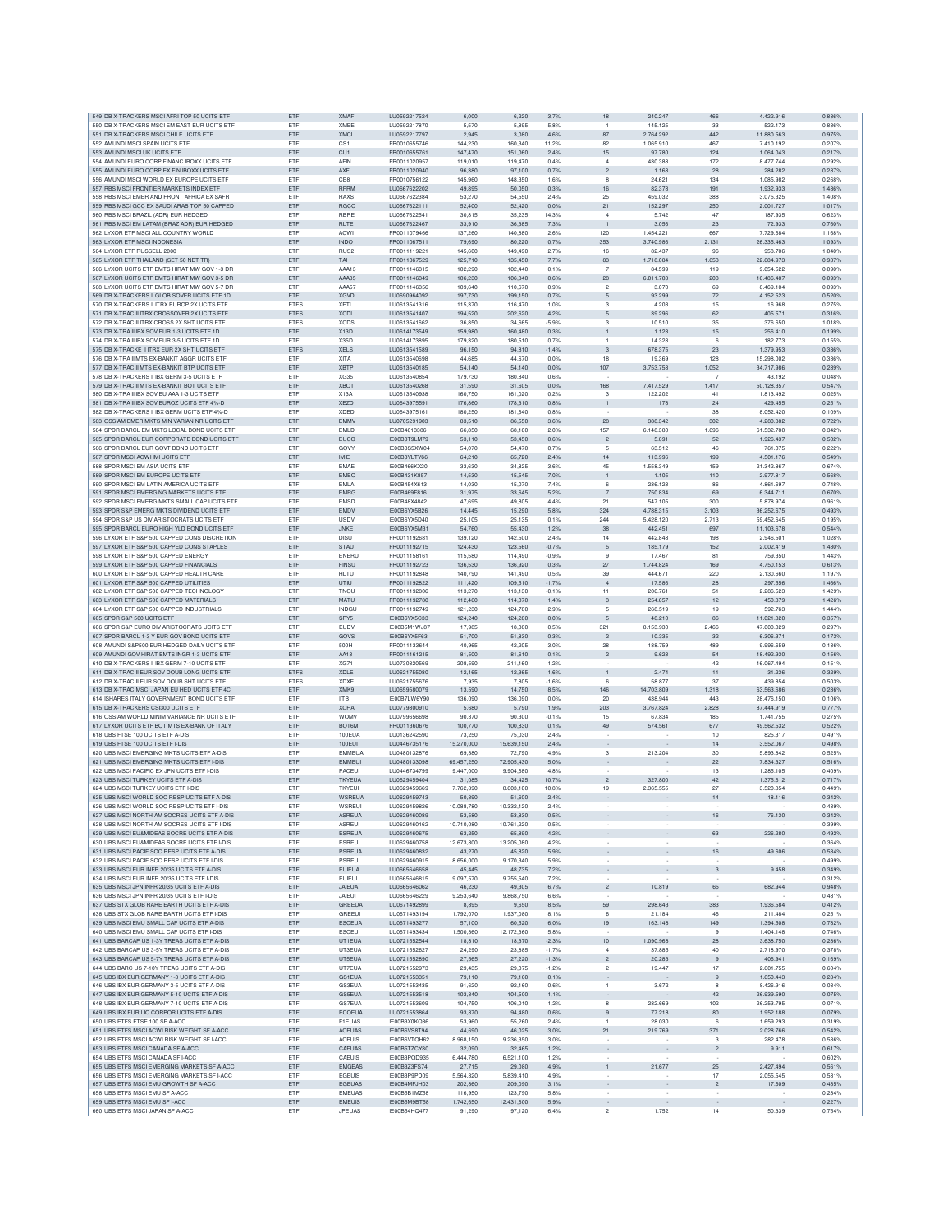|                                                                                             | ETF               | <b>XMAF</b>                | LU0592217524                 | 6,000            | 6.220            | 3.7%         | 18                       | 240,247                  | 466                       | 4.422.916              | 0.886%           |
|---------------------------------------------------------------------------------------------|-------------------|----------------------------|------------------------------|------------------|------------------|--------------|--------------------------|--------------------------|---------------------------|------------------------|------------------|
| 549 DB X-TRACKERS MSCI AFRI TOP 50 UCITS ETF<br>550 DB X-TRACKERS MSCLEM FAST FUR UCITS FTE | ETF               | <b>XMEE</b>                | LU0592217870                 | 5.570            | 5.895            | 5.8%         | $\overline{1}$           | 145.125                  | 33                        | 522.173                | 0.836%           |
| 551 DB X-TRACKERS MSCI CHILE UCITS ETF                                                      | ETF               | <b>XMCL</b>                | LU0592217797                 | 2,945            | 3,080            | 4,6%         | 87                       | 2.764.292                | 442                       | 11.880.563             | 0,975%           |
| 552 AMUNDI MSCI SPAIN UCITS ETF                                                             | ETF               | CS1                        | FR0010655746                 | 144,230          | 160,340          | 11,2%        | 82                       | 1.065.910                | 467                       | 7.410.192              | 0,207%           |
| 553 AMUNDI MSCI UK UCITS ETF                                                                | ETF               | CU <sub>1</sub>            | FR0010655761                 | 147,470          | 151,060          | 2,4%         | 15                       | 97.780                   | 124                       | 1.064.043              | 0,217%           |
| 554 AMUNDI EURO CORP FINANC IBOXX UCITS ETF                                                 | <b>FTF</b>        | <b>AFIN</b>                | FR0011020957                 | 119,010          | 119,470          | 0.4%         | $\overline{a}$           | 430,388                  | 172                       | 8.477.744              | 0.292%           |
| 555 AMUNDI EURO CORP EX FIN IBOXX UCITS ETF                                                 | ETF               | <b>AXFI</b>                | FR0011020940                 | 96,380           | 97,100           | 0,7%         | $\overline{2}$           | 1.168                    | 28                        | 284,282                | 0.287%           |
| 556 AMUNDI MSCI WORLD EX EUROPE UCITS ETF                                                   | ETF               | CE8                        | FR0010756122                 | 145,960          | 148,350          | 1,6%         | 8                        | 24.621                   | 134                       | 1.085.982              | 0.268%           |
| 557 RBS MSCI FRONTIER MARKETS INDEX ETF                                                     | ETF               | RFRM                       | LU0667622202                 | 49,895           | 50,050           | 0,3%         | 16                       | 82,378                   | 191                       | 1.932.933              | 1,486%           |
| 558 RBS MSCI EMER AND FRONT AFRICA EX SAFR                                                  | ETF               | RAXS                       | LU066762238                  | 53,270           | 54,550           | 2,4%         | 25                       | 459.032                  | 388                       | 3.075.325              | 1,4089           |
| 559 RBS MSCI GCC EX SAUDI ARAB TOP 50 CAPPED                                                | ETF               | RGCC                       | LU0667622111                 | 52,400           | 52,420           | 0.0%         | 21                       | 152.297                  | 250                       | 2.001.727              | 1,017%           |
| 560 RBS MSCI BRAZIL (ADR) EUR HEDGED                                                        | ETF               | <b>RBRF</b>                | LU0667622541                 | 30.815           | 35,235           | 14.3%        | $\overline{a}$           | 5742                     | 47                        | 187,935                | 0.6239           |
| 561 RBS MSCI EM LATAM (BRAZ ADR) EUR HEDGED                                                 | ETF               | <b>RLTE</b>                | LU0667622467                 | 33.910           | 36,385           | 7.3%         |                          | 3.056                    | 23                        | 72,933                 | 0.760%           |
| 562 LYXOR ETF MSCI ALL COUNTRY WORLD                                                        | ETF               | <b>ACWI</b>                | FR0011079466                 | 137.260          | 140,880          | 2.6%         | 120                      | 1.454.221                | 667                       | 7.729.684              | 1.168%           |
| 563 LYXOR ETF MSCI INDONESIA                                                                | ETF               | <b>INDO</b>                | FR0011067511                 | 79,690           | 80,220           | 0,7%         | 353                      | 3.740.986                | 2.131                     | 26.335.463             | 1,093%           |
| 564 LYXOR ETF RUSSELL 2000                                                                  | ETF               | RUS <sub>2</sub>           | FR0011119221                 | 145,600          | 149,490          | 2,7%         | 16                       | 82.437                   | 96                        | 958.706                | 1,040%           |
|                                                                                             |                   |                            |                              |                  |                  |              |                          |                          |                           |                        |                  |
| 565 LYXOR ETF THAILAND (SET 50 NET TR)                                                      | ETF               | TAI                        | FR0011067529                 | 125,710          | 135,450          | 7,7%         | 83                       | 1.718.084                | 1.653                     | 22.684.973             | 0,9379           |
| 566 LYXOR UCITS ETF EMTS HIRAT MW GOV 1-3 DR                                                | ETF               | AAA13                      | FR0011146315                 | 102.290          | 102.440          | 0,1%         | $\overline{7}$           | 84,599                   | 119                       | 9.054.522              | 0.090%           |
| 567 LYXOR LIGITS FTF EMTS HIRAT MW GOV 3-5 DR                                               | ETF               | AAA35                      | FR0011146349                 | 106,230          | 106,840          | 0.6%         | 28                       | 6.011.703                | 203                       | 16,486,487             | 0.093%           |
| 568 I YXOR LICITS FTF EMTS HIRAT MW GOV 5-7 DR                                              | ETF               | AAA57                      | FR0011146356                 | 109,640          | 110,670          | 0.9%         | $\overline{c}$           | 3.070                    | 69                        | 8.469.104              | 0.093%           |
| 569 DB X-TRACKERS II GLOB SOVER UCITS ETF 1D                                                | ETF               | <b>XGVD</b>                | LU0690964092                 | 197,730          | 199,150          | 0,7%         | $\mathbf 5$              | 93.299                   | $72\,$                    | 4.152.523              | 0.520%           |
| 570 DB X-TRACKERS II ITRX EUROP 2X UCITS ETP                                                | <b>ETFS</b>       | <b>XETL</b>                | LU0613541316                 | 115,370          | 116,470          | 1,0%         | 3                        | 4.203                    | 15                        | 16.968                 | 0,275%           |
| 571 DB X-TRAC II ITRX CROSSOVER 2X UCITS ETF                                                | ETFS              | <b>XCDL</b>                | LU0613541407                 | 194,520          | 202,620          | 4,2%         | $\mathbf 5$              | 39.296                   | 62                        | 405.571                | 0,316%           |
| 572 DB X-TRAC II ITRX CROSS 2X SHT UCITS ETF                                                | <b>ETFS</b>       | <b>XCDS</b>                | LU0613541662                 | 36.850           | 34,665           | $-5.9%$      | $\mathcal{R}$            | 10.510                   | 35                        | 376,650                | 1.018%           |
| 573 DB X-TRA II IBX SOV EUR 1-3 UCITS ETF 1D                                                | ETF               | X13D                       | LU0614173549                 | 159,980          | 160,480          | 0.3%         | $\overline{1}$           | 1.123                    | 15                        | 256,410                | 0.199%           |
| 574 DB X-TRA II IBX SOV EUR 3-5 UCITS ETF 1D                                                | ETF               | X35D                       | LU0614173895                 | 179,320          | 180.510          | 0.7%         | $\overline{1}$           | 14.328                   | $\mathbf{6}$              | 182,773                | 0.155%           |
| 575 DB X-TRACKE II ITRX EUR 2X SHT UCITS ETF                                                | ETFS              | <b>XELS</b>                | LU0613541589                 | 96,150           | 94,810           | $-1,4%$      | $\overline{3}$           | 678.375                  | 23                        | 1.379.953              | 0.336%           |
| 576 DB X-TRA II MTS EX-BANKIT AGGR UCITS ETP                                                | ETF               | <b>XITA</b>                | LU0613540698                 | 44.685           | 44,670           | 0.0%         | 18                       | 19,369                   | 128                       | 15,298,002             | 0.336%           |
| 577 DB X-TRAC II MTS EX-BANKIT BTP UCITS ETF                                                | ETF               | <b>XBTP</b>                | LU0613540185                 | 54,140           | 54,140           | 0,0%         | 107                      | 3.753.758                | 1.052                     | 34.717.986             | 0,289%           |
| 578 DB X-TRACKERS II IBX GERM 3-5 UCITS ETF                                                 | ETF               | XG35                       | LU0613540854                 | 179,730          | 180,840          | 0,6%         |                          |                          | 7                         | 43.192                 | 0,048%           |
|                                                                                             |                   |                            |                              |                  |                  |              |                          |                          |                           |                        |                  |
| 579 DB X-TRAC II MTS EX-BANKIT BOT UCITS ETF                                                | ETF               | <b>XBOT</b>                | LU0613540268                 | 31,590           | 31,605           | 0,0%         | 168                      | 7.417.529                | 1.417                     | 50.128.357             | 0,547%           |
| 580 DB X-TRA II IBX SOV EU AAA 1-3 UCITS ETF                                                | ETF               | X13A                       | LU0613540938                 | 160,750          | 161.020          | 0.2%         | 3                        | 122.202                  | -41                       | 1.813.492              | 0.025%           |
| 581 DB X-TRA II IBX SOV EUROZ UCITS ETF 4%-D                                                | ETF               | <b>XEZD</b>                | LU0643975591                 | 176,860          | 178,310          | 0,8%         | $\mathbf{1}$             | 178                      | 24                        | 429.455                | 0,251%           |
| 582 DB X-TRACKERS II IBX GERM UCITS ETF 4%-D                                                | ETF               | <b>XDED</b>                | LU0643975161                 | 180.250          | 181,640          | 0,8%         |                          |                          | 38                        | 8.052.420              | 0.109%           |
| 583 OSSIAM EMER MKTS MIN VARIAN NR UCITS ETF                                                | ETF               | <b>EMMV</b>                | LU0705291903                 | 83,510           | 86,550           | 3,6%         | 28                       | 388,342                  | 302                       | 4.280.882              | 0,722%           |
| 584 SPDR BARCL EM MKTS LOCAL BOND UCITS ETF                                                 | ETF               | EMLD                       | IE00B4613386                 | 66,850           | 68,160           | 2,0%         | 157                      | 6.148.380                | 1.696                     | 61.532.780             | 0,3429           |
| 585 SPDR BARCL EUR CORPORATE BOND UCITS ETF                                                 | ETF               | <b>EUCO</b>                | IE00B3T9LM79                 | 53,110           | 53,450           | 0,6%         | $\overline{2}$           | 5.891                    | 52                        | 1.926.437              | 0.502%           |
| 586 SPDR BARCLEUR GOVT BOND LIGITS ETE                                                      | ETF               | GOVY                       | IE00B3S5XW04                 | 54.070           | 54,470           | 0.7%         | 5                        | 63,512                   | 46                        | 761.075                | 0.222%           |
| 587 SPDR MSCI ACWI IMI UCITS ETF                                                            | ETF               | <b>IME</b>                 | IE00B3YLTY66                 | 64.210           | 65,720           | 2.4%         | 14                       | 113,996                  | 199                       | 4.501.176              | 0.549%           |
| 588 SPDR MSCI EM ASIA UCITS ETF                                                             | ETF               | <b>EMAE</b>                | IE00B466KX20                 | 33,630           | 34,825           | 3,6%         | 45                       | 1.558.349                | 159                       | 21.342.867             | 0.674%           |
| 589 SPDR MSCI EM EUROPE UCITS ETF                                                           | ETF               | EMEO                       | IE00B431K857                 | 14,530           | 15,545           | 7,0%         |                          | 1.105                    | 110                       | 2.977.817              | 0,5689           |
| 590 SPDR MSCI EM LATIN AMERICA UCITS ETF                                                    | ETF               | <b>EMLA</b>                | IE00B454X613                 | 14,030           | 15,070           | 7,4%         | 6                        | 236.123                  | 86                        | 4.861.697              | 0,748%           |
|                                                                                             |                   |                            | IE00B469F816                 |                  |                  |              |                          |                          |                           |                        |                  |
| 591 SPDR MSCI EMERGING MARKETS UCITS ETF<br>592 SPDR MSCI EMERG MKTS SMALL CAP UCITS ETF    | ETF<br>ETF        | <b>EMRG</b><br><b>EMSD</b> | IE00B48X4842                 | 31,975<br>47.695 | 33,645<br>49,805 | 5,2%<br>4.4% | $\overline{7}$<br>21     | 750.834<br>547.105       | 69<br>300                 | 6.344.711<br>5.878.974 | 0,670%<br>0.961% |
|                                                                                             |                   |                            |                              |                  |                  |              |                          |                          |                           |                        |                  |
| 593 SPDR S&P EMERG MKTS DIVIDEND UCITS ETF                                                  | ETF               | <b>EMDV</b>                | IE00B6YX5B26                 | 14.445           | 15,290           | 5.8%         | 324                      | 4.788.315                | 3.103                     | 36.252.675             | 0.493%           |
| 594 SPDR S&P US DIV ARISTOCRATS UCITS ETF                                                   | ETF               | <b>USDV</b>                | IE00B6YX5D40                 | 25.105           | 25.135           | 0.1%         | 244                      | 5.428.120                | 2.713                     | 59 452 645             | 0.195%           |
| 595 SPDR BARCL EURO HIGH YLD BOND UCITS ETF                                                 | ETF               | JNKE                       | IE00B6YX5M31                 | 54,760           | 55,430           | 1,2%         | 38                       | 442.451                  | 697                       | 11.103.678             | 0,544%           |
| 596 LYXOR ETF S&P 500 CAPPED CONS DISCRETION                                                | ETF               | DISU                       | FR001119268                  | 139,120          | 142,500          | 2,4%         | 14                       | 442.848                  | 198                       | 2.946.50               | 1,0289           |
| 597 LYXOR ETF S&P 500 CAPPED CONS STAPLES                                                   | ETF               | <b>STAU</b>                | FR0011192715                 | 124,430          | 123,560          | $-0.7%$      | 5                        | 185.179                  | 152                       | 2.002.419              | 1,430%           |
| 598 LYXOR FTE S&P 500 CAPPED ENERGY                                                         | ETF               | ENERU                      | FR0011158161                 | 115,580          | 114,490          | $-0.9%$      | 9                        | 17,467                   | 81                        | 759,350                | 1.443%           |
| 599 LYXOR ETF S&P 500 CAPPED FINANCIALS                                                     | ETF               | <b>FINSU</b>               | FR0011192723                 | 136,530          | 136,920          | 0.3%         | 27                       | 1.744.824                | 169                       | 4.750.153              | 0.613%           |
| 600 LYXOR ETF S&P 500 CAPPED HEALTH CARE                                                    | ETF               | <b>HLTU</b>                | FR0011192848                 | 140,790          | 141,490          | 0.5%         | 39                       | 444.671                  | 220                       | 2.130.660              | 1.197%           |
| 601 LYXOR ETF S&P 500 CAPPED UTILITIES                                                      | ETF               | UTIU                       | FR0011192822                 | 111,420          | 109,510          | $-1,7%$      | $\overline{4}$           | 17.586                   | 28                        | 297.556                | 1,466%           |
| 602 LYXOR ETF S&P 500 CAPPED TECHNOLOGY                                                     | ETF               | TNOU                       | FR0011192806                 | 113,270          | 113,130          | $-0.1%$      | 11                       | 206.76                   | 51                        | 2.286.523              | 1,429%           |
| 603 LYXOR ETF S&P 500 CAPPED MATERIALS                                                      | ETF               | MATU                       | FR0011192780                 | 112,460          | 114,070          | 1,4%         | 3                        | 254.657                  | 12                        | 450.879                | 1,426%           |
| 604 LYXOR ETF S&P 500 CAPPED INDUSTRIALS                                                    | ETF               | <b>INDGU</b>               | FR0011192749                 | 121,230          | 124,780          | 2.9%         | 5                        | 268,519                  | 19                        | 592.763                | 1.444%           |
|                                                                                             |                   |                            |                              |                  |                  |              |                          |                          |                           |                        |                  |
|                                                                                             |                   |                            |                              |                  |                  |              |                          |                          |                           |                        |                  |
| 605 SPDR S&P 500 UCITS ETF                                                                  | ETF               | SPY5                       | IE00B6YX5C33                 | 124,240          | 124,280          | 0.0%         | 5                        | 48.210                   | 86                        | 11.021.820             | 0.357%           |
| 606 SPDR S&P EURO DIV ARISTOCRATS UCITS ETF                                                 | ETF               | EUDV                       | IE00B5M1WJ87                 | 17,985           | 18,080           | 0,5%         | 321                      | 8.153.930                | 2.466                     | 47.000.029             | 0.297%           |
| 607 SPDR BARCL 1-3 Y EUR GOV BOND UCITS ETF                                                 | ETF               | GOVS                       | IE00B6YX5F63                 | 51,700           | 51,830           | 0,3%         | $\overline{c}$           | 10.335                   | 32                        | 6.306.371              | 0,173%           |
| 608 AMUNDI S&P500 EUR HEDGED DAILY UCITS ETF                                                | ETF               | 500H                       | FR0011133644                 | 40,965           | 42,205           | 3.0%         | 28                       | 188.759                  | 489                       | 9.996.659              | 0,1869           |
| 609 AMUNDI GOV HIRAT EMTS INGR 1-3 UCITS ETF                                                | ETF               | AA13                       | FR0011161215                 | 81,500           | 81,610           | 0.1%         | $\overline{c}$           | 9.623                    | 54                        | 18.492.930             | 0,156%           |
| 610 DB X-TRACKERS II IBX GERM 7-10 UCITS ETF                                                | ETF               | <b>XG71</b>                | LU0730820569                 | 208,590          | 211.160          | 1,2%         |                          |                          | 42                        | 16.067.494             | 0.151%           |
| 611 DB X-TRAC II EUR SOV DOUB LONG UCITS ETP                                                | ETFS              | <b>XDLE</b>                | LU0621755080                 | 12.165           | 12.365           | 1.6%         | $\overline{1}$           | 2.474                    | 11                        | 31,236                 | 0.329%           |
| 612 DB X-TRAC II EUR SOV DOUB SHT UCITS ETF                                                 | <b>ETFS</b>       | <b>XDXE</b>                | LU0621755676                 | 7.935            | 7,805            | $-1.6%$      | 6                        | 58,877                   | 37                        | 439.854                | 0.503%           |
| 613 DB X-TRAC MSCI JAPAN EU HED UCITS ETF 4C                                                | ETF               | XMK9                       | LU0659580079                 | 13,590           | 14,750           | 8,5%         | 146                      | 14.703.809               | 1.318                     | 63.563.686             | 0,236%           |
| 614 ISHARES ITALY GOVERNMENT BOND UCITS ETF                                                 | ETF               | <b>IITB</b>                | IE00B7LW6Y90                 | 136,090          | 136,090          | 0.0%         | 20                       | 438.944                  | 443                       | 28.476.150             | 0,106%           |
|                                                                                             | ETF               | <b>XCHA</b>                | LU0779800910                 | 5,680            | 5,790            | 1,9%         |                          |                          |                           | 87.444.919             | 0,7779           |
| 615 DB X-TRACKERS CSI300 UCITS ETF<br>616 OSSIAM WORLD MINIM VARIANCE NR LICITS ETE         | ETF               | <b>WOMV</b>                |                              |                  |                  |              | 203                      | 3.767.824                | 2.828<br>185              | 1.741.755              | 0.275%           |
|                                                                                             |                   |                            | LU0799656698                 | 90,370           | 90,300           | $-0.1%$      | 15                       | 67.834                   |                           |                        |                  |
| 617 LYXOR UCITS ETF BOT MTS EX-BANK OF ITALY                                                | ETF               | BOT6M                      | FR0011360676                 | 100,770          | 100.830          | 0.1%         | 49                       | 574.561                  | 677                       | 49.562.532             | 0.522%           |
| 618 UBS FTSE 100 UCITS ETF A-DIS                                                            | ETF               | 100EUA                     | LU0136242590                 | 73.250           | 75,030           | 2.4%         |                          |                          | 10                        | 825.317                | 0.491%           |
| 619 UBS FTSE 100 UCITS ETF I-DIS                                                            | ETF               | 100EUI                     | LU0446735176                 | 15,270,000       | 15,639,150       | 2.4%         |                          |                          | 14                        | 3.552.067              | 0.498%           |
| 620 UBS MSCI EMERGING MKTS UCITS ETF A-DIS                                                  | ETF               | <b>EMMEUA</b>              | LU0480132876                 | 69,380           | 72,790           | 4.9%         | 3                        | 213.204                  | 30                        | 5.893.842              | 0,5259           |
| 621 UBS MSCI EMERGING MKTS UCITS ETF I-DIS                                                  | ETF               | <b>EMMEUI</b>              | LU0480133098                 | 69.457,250       | 72.905,430       | 5.0%         |                          |                          | 22                        | 7.834.327              | 0,516%           |
| 622 UBS MSCI PACIFIC EX JPN UCITS ETF I-DIS                                                 | ETF               | PACEUI                     | LU0446734799                 | 9.447.000        | 9 904 680        | 4,8%         |                          |                          | 13                        | 1.285.105              | 0.409%           |
| 623 UBS MSCLTURKEY UCITS FTE A-DIS                                                          | ETF               | <b>TKYEUA</b>              | LU0629459404                 | 31,085           | 34,425           | 10.7%        | $\overline{2}$           | 327,800                  | 42                        | 1.375.612              | 0.717%           |
| 624 UBS MSCI TURKEY UCITS ETF I-DIS                                                         | ETF               | TKYEUI                     | 1110629459669                | 7.762.890        | 8,603,100        | 10.8%        | 19                       | 2.365.555                | 27                        | 3.520.854              | 0.449%           |
| 625 UBS MSCI WORLD SOC RESP UCITS ETF A-DIS                                                 | ETF               | WSREUA                     | LU0629459743                 | 50,390           | 51,600           | 2.4%         |                          |                          | 14                        | 18.116                 | 0.342%           |
| 626 URS MSCLWORLD SOC RESP UCITS FTE LDIS                                                   | ETF               | WSREUI                     | LU0629459826                 | 10.088.780       | 10.332.120       | 2.4%         |                          |                          |                           |                        | 0.489%           |
| 627 UBS MSCI NORTH AM SOCRES UCITS ETF A-DIS                                                | ETF               | ASREUA                     | LU0629460089                 | 53,580           | 53,830           | 0.5%         |                          |                          | 16                        | 76.130                 | 0,342%           |
| 628 UBS MSCI NORTH AM SOCRES UCITS ETF I-DIS                                                | ETF               | <b>ASREUI</b>              | LU0629460162                 | 10.710,080       | 10.761,220       | 0.5%         | ×                        | ÷                        |                           |                        | 0.399%           |
| 629 UBS MSCI EU&MIDEAS SOCRE UCITS ETF A-DIS                                                | ETF               | <b>ESREUA</b>              | LU0629460675                 | 63,250           | 65,890           | 4.2%         | $\overline{\phantom{a}}$ | $\overline{\phantom{a}}$ | 63                        | 226.280                | 0,492%           |
| 630 UBS MSCI EU&MIDEAS SOCRE UCITS ETF I-DIS                                                | ETF               | ESREUI                     | LU0629460758                 | 12,673,800       | 13,205,080       | 4.2%         | $\overline{\phantom{a}}$ | $\sim$                   |                           |                        | 0.364%           |
| 631 UBS MSCI PACIF SOC RESP UCITS ETF A-DIS                                                 | ETF               | PSREUA                     | LU0629460832                 | 43,270           | 45,820           | 5,9%         |                          | $\overline{\phantom{a}}$ | 16                        | 49.606                 | 0,534%           |
| 632 UBS MSCI PACIF SOC RESP UCITS ETF I-DIS                                                 | ETF               | PSREUI                     | LU0629460915                 | 8.656,000        | 9.170,340        | 5,9%         |                          |                          |                           |                        | 0,499%           |
| 633 UBS MSCI EUR INFR 20/35 UCITS ETF A-DIS                                                 | ETF               | <b>EUIEUA</b>              | LU0665646658                 | 45,445           | 48,735           | 7.2%         |                          |                          | $\ensuremath{\mathsf{3}}$ | 9.458                  | 0,349%           |
| 634 UBS MSCI EUR INFR 20/35 UCITS ETF I-DIS                                                 | ETF               | <b>EUIEUI</b>              | LU0665646815                 | 9.097,570        | 9,755.540        | 7,2%         |                          | ÷                        |                           |                        | 0,312%           |
| 635 UBS MSCI JPN INFR 20/35 UCITS ETF A-DIS                                                 |                   | <b>JAIEUA</b>              | LU0665646062                 | 46.230           | 49,305           |              | $\overline{c}$           | 10.819                   |                           | 682,944                | 0.948%           |
| 636 LIBS MSCLIPN INFR 20/35 LIGITS ETE LDIS                                                 | ETF<br><b>ETF</b> | JAIEUI                     | LU0665646229                 | 9.253.640        | 9,868,750        | 6,7%<br>6.6% |                          |                          | 65                        |                        | 0.481%           |
|                                                                                             |                   |                            |                              |                  |                  |              |                          |                          |                           |                        |                  |
| 637 UBS STX GLOB RARE EARTH UCITS ETF A-DIS                                                 | ETF               | <b>GREEUA</b>              | LU0671492899                 | 8.895            | 9.650            | 8.5%         | 59                       | 298,643                  | 383                       | 1.936.584              | 0.412%           |
| 638 UBS STX GLOB RARE EARTH UCITS ETF I-DIS                                                 | ETF               | GREEUI                     | LU0671493194                 | 1.792,070        | 1.937,080        | 8,1%         | 6                        | 21.184                   | $46\,$                    | 211.484                | 0.251%           |
| 639 UBS MSCI EMU SMALL CAP UCITS ETF A-DIS                                                  | ETF               | <b>ESCEUA</b>              | LU0671493277                 | 57,100           | 60,520           | 6,0%         | 19                       | 163.148                  | 149                       | 1.394.508              | 0.782%           |
| 640 UBS MSCI EMU SMALL CAP UCITS ETF I-DIS                                                  | ETF               | <b>ESCEUI</b>              | LU0671493434                 | 11.500,360       | 12.172.360       | 5,8%         |                          |                          | 9                         | 1.404.148              | 0,746%           |
| 641 UBS BARCAP US 1-3Y TREAS UCITS ETF A-DIS                                                | ETF               | UT1EUA                     | LU0721552544                 | 18,810           | 18,370           | $-2.3%$      | 10                       | 1.090.968                | 28                        | 3.638.750              | 0,286%           |
| 642 UBS BARCAP US 3-5Y TREAS UCITS ETF A-DIS                                                | ETF               | UT3EUA                     | 1110721552627                | 24,290           | 23,885           | $-1.7%$      | 4                        | 37,885                   | 40                        | 2.718.970              | 0.378%           |
| 643 UBS BARCAP US 5-7Y TREAS UCITS ETF A-DIS                                                | ETF               | UT5EUA                     | LU0721552890                 | 27,565           | 27,220           | $-1.3%$      | $\overline{c}$           | 20.283                   | $\overline{9}$            | 406.941                | 0.169%           |
| 644 UBS BARC US 7-10Y TREAS UCITS ETF A-DIS                                                 | ETF               | UT7EUA                     | LU0721552973                 | 29,435           | 29,075           | $-1,2%$      | $\overline{c}$           | 19.447                   | 17                        | 2.601.755              | 0,604%           |
| 645 UBS IBX EUR GERMANY 1-3 UCITS ETF A-DIS                                                 | ETF               | GS1EUA                     | LU0721553351                 | 79,110           | 79,160           | 0.1%         |                          |                          | $9\,$                     | 1.650.443              | 0,284%           |
| 646 UBS IBX EUR GERMANY 3-5 UCITS ETF A-DIS                                                 | ETF               | GS3EUA                     | LU0721553435                 | 91,620           | 92,160           | 0.6%         | $\overline{1}$           | 3.672                    | 8                         | 8.426.916              | 0,084%           |
| 647 UBS IBX EUR GERMANY 5-10 UCITS ETF A-DIS                                                |                   | GS5EUA                     |                              | 103,340          | 104,500          |              |                          |                          | 42                        | 26.939.590             | 0,075%           |
| 648 UBS IBX EUR GERMANY 7-10 UCITS ETF A-DIS                                                | ETF<br>ETF        | GS7EUA                     | LU0721553518<br>LU0721553609 | 104.750          | 106,010          | 1,1%<br>1.2% | 8                        | 282.669                  | 102                       | 26 253 795             | 0.071%           |
|                                                                                             |                   |                            |                              |                  |                  |              |                          |                          |                           |                        |                  |
| 649 UBS IBX EUR LIQ CORPOR UCITS ETF A-DIS                                                  | <b>ETF</b>        | <b>ECOEUA</b>              | LU0721553864                 | 93.870           | 94,480           | 0.6%         | 9                        | 77,218                   | 80                        | 1.952.188              | 0.079%           |
| 650 UBS ETFS FTSE 100 SF A-ACC                                                              | ETF               | F1EUAS                     | IE00B3X0KQ36                 | 53,960           | 55,260           | 2,4%         | $\overline{1}$           | 28.030                   | 6                         | 1.659.293              | 0,319%           |
| 651 UBS ETFS MSCI ACWI RISK WEIGHT SF A-ACC                                                 | ETF               | ACEUAS                     | IE00B6VS8T94                 | 44,690           | 46,025           | 3,0%         | 21                       | 219.769                  | 371                       | 2.028.766              | 0,542%           |
| 652 UBS ETFS MSCI ACWI RISK WEIGHT SF I-ACC                                                 | ETF               | <b>ACEUIS</b>              | IE00B6VTQH62                 | 8.968,150        | 9.236,350        | 3.0%         |                          |                          | 3                         | 282.478                | 0,536%           |
| 653 UBS ETFS MSCI CANADA SF A-ACC                                                           | ETF               | CAEUAS                     | IE00B5TZCY80                 | 32,090           | 32,465           | 1,2%         | $\overline{\phantom{a}}$ | $\overline{\phantom{a}}$ | $\overline{c}$            | 9.911                  | 0,617%           |
| 654 UBS ETFS MSCI CANADA SF I-ACC                                                           | ETF               | CAEUIS                     | IE00B3PQD935                 | 6.444,780        | 6.521,100        | 1,2%         |                          |                          |                           |                        | 0.602%           |
| 655 UBS ETFS MSCI EMERGING MARKETS SF A-ACC                                                 | ETF               | <b>EMGEAS</b>              | IE00B3Z3FS74                 | 27,715           | 29,080           | 4.9%         | $\overline{1}$           | 21.677                   | 25                        | 2.427.494              | 0.561%           |
| 656 UBS ETFS MSCI EMERGING MARKETS SF I-ACC                                                 | ETF               | EGEUIS                     | IE00B3P9PD09                 | 5.564,320        | 5.839,410        | 4.9%         |                          |                          | 17                        | 2.055.545              | 0,581%           |
| 657 UBS ETFS MSCI EMU GROWTH SF A-ACC                                                       | ETF               | <b>EGEUAS</b>              | IE00B4MFJH03                 | 202,860          | 209,090          | 3,1%         | ٠                        |                          | $\sqrt{2}$                | 17.609                 | 0,435%           |
| 658 UBS ETFS MSCI EMU SF A-ACC                                                              | ETF               | <b>EMEUAS</b>              | IE00B5B1MZ58                 | 116,950          | 123,790          | 5.8%         |                          |                          |                           |                        | 0.234%           |
| 659 UBS ETFS MSCI EMU SF I-ACC                                                              | ETF               | <b>EMEUIS</b>              | IE00B5M9BT58                 | 11.742,650       | 12.431,600       | 5.9%         |                          |                          |                           |                        | 0,227%           |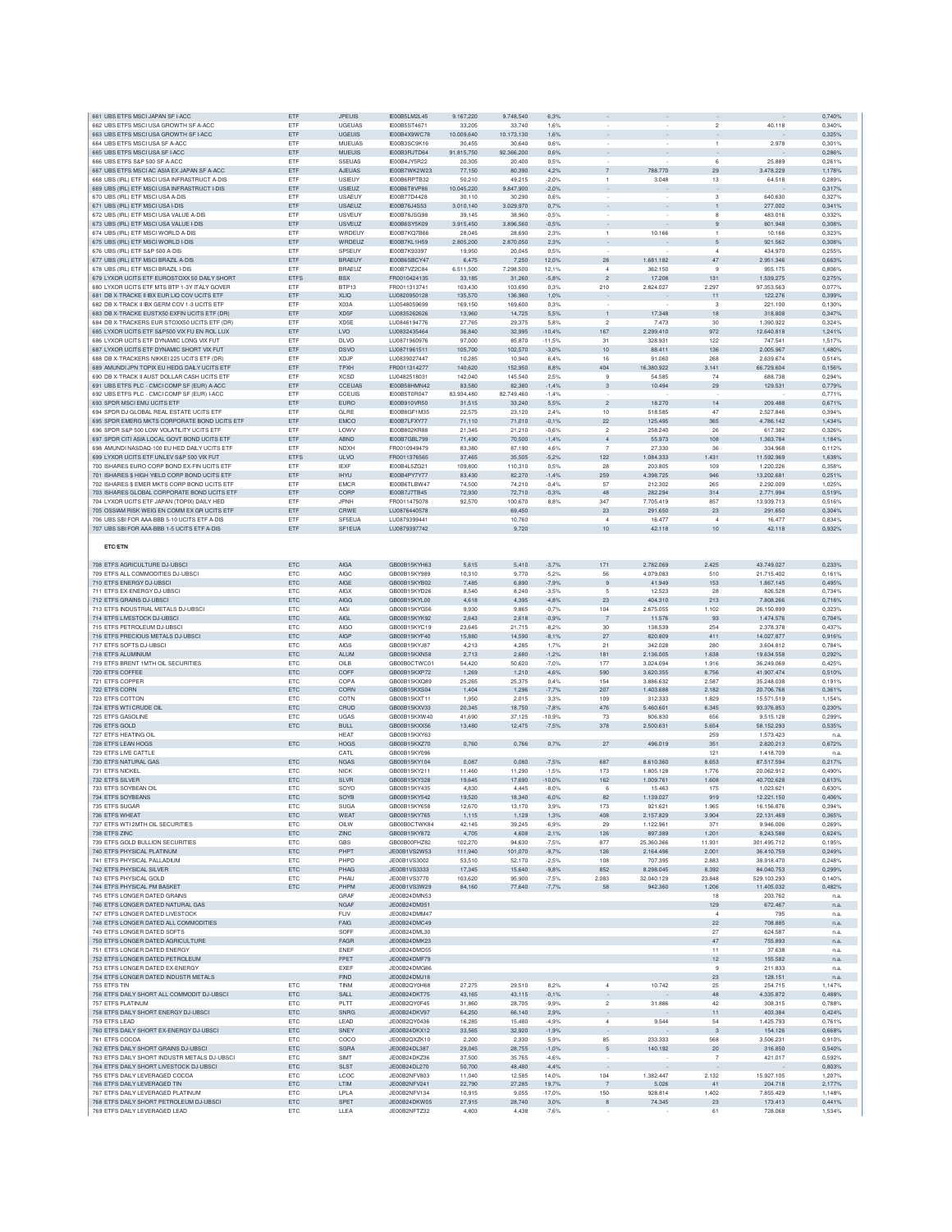| 661 UBS ETFS MSCI JAPAN SF I-ACC                                                             | ETF               | <b>JPEUIS</b>                  | IE00B5LM2L45                        | 9.167,220           | 9.748,540           | 6,3%            |                          |                          |                           |                       | 0,740%           |
|----------------------------------------------------------------------------------------------|-------------------|--------------------------------|-------------------------------------|---------------------|---------------------|-----------------|--------------------------|--------------------------|---------------------------|-----------------------|------------------|
| 662 UBS ETFS MSCI USA GROWTH SF A-ACC                                                        | ETF               | UGEUAS                         | IE00B5ST467                         | 33,205              | 33,740              | 1,6%            |                          |                          | $\overline{\mathbf{c}}$   | 40.118                | 0,340%           |
| 663 UBS ETFS MSCI USA GROWTH SF I-ACC                                                        | ETF               | <b>UGEUIS</b>                  | IE00B4X9WC78                        | 10.009,640          | 10.173,130          | 1,6%            |                          |                          |                           |                       | 0,325%           |
| 664 UBS ETFS MSCI USA SF A-ACC                                                               | ETF               | MUEUAS                         | IE00B3SC9K16                        | 30,455              | 30,640              | 0.6%            |                          |                          | $\mathbf{1}$              | 2.978                 | 0,301%           |
| 665 UBS ETFS MSCI USA SF I-ACC                                                               | ETF               | <b>MUEUIS</b>                  | IE00B3RJTD64                        | 91.815.750          | 92.366.200          | 0.6%            |                          |                          |                           |                       | 0.286%           |
| 666 UBS ETFS S&P 500 SF A-ACC                                                                | ETF               | S5EUAS                         | IE00B4JY5R22                        | 20.305              | 20,400              | 0.5%            |                          |                          | 6                         | 25,889                | 0.261%           |
| 667 UBS ETFS MSCI AC ASIA EX JAPAN SF A-ACC                                                  | ETF               | AJEUAS                         | IE00B7WK2W23                        | 77,150              | 80,390              | 4,2%            | $\overline{7}$           | 788.770                  | 29                        | 3.478.229             | 1,178%           |
| 668 UBS (IRL) ETF MSCI USA INFRASTRUCT A-DIS                                                 | ETF               | <b>USIEUY</b>                  | IE00B6RPTB32                        | 50,210              | 49,215              | $-2,0%$         | $\overline{1}$           | 3.048                    | 13                        | 64.518                | 0,289%           |
| 669 UBS (IRL) ETF MSCI USA INFRASTRUCT I-DIS                                                 | ETF<br><b>FTF</b> | <b>USIEUZ</b>                  | IE00B6T8VP86                        | 10.045,220          | 9.847,900           | $-2,0%$<br>0.6% |                          |                          |                           |                       | 0,3179           |
| 670 UBS (IRL) ETF MSCI USA A-DIS                                                             | ETF               | <b>USAEUY</b><br><b>USAEUZ</b> | IE00B77D4428<br><b>IF00B76J4S53</b> | 30,110<br>3.010.140 | 30,290<br>3.029.970 | 0.7%            | $\sim$                   | $\overline{\phantom{a}}$ | 3                         | 640,630<br>277,002    | 0.327%<br>0.341% |
| 671 UBS (IRL) ETF MSCI USA I-DIS                                                             |                   |                                |                                     |                     |                     |                 | $\overline{\phantom{a}}$ |                          | $\mathbf{1}$              |                       |                  |
| 672 UBS (IRL) ETF MSCI USA VALUE A-DIS                                                       | ETF               | <b>USVEUY</b>                  | IE00B78JSG98                        | 39.145              | 38,960<br>3.896.560 | $-0.5%$         | $\overline{\phantom{a}}$ |                          | 8                         | 483.016               | 0.332%<br>0.308% |
| 673 UBS (IRL) ETF MSCI USA VALUE I-DIS                                                       | ETF               | <b>USVEUZ</b>                  | IE00B6SY5K09                        | 3.915,450           |                     | $-0,5%$         |                          |                          | $\,9$                     | 801.948               |                  |
| 674 UBS (IRL) ETF MSCI WORLD A-DIS                                                           | ETF               | WRDEUY                         | <b>IE00B7KQ7B66</b>                 | 28.045              | 28,690              | 2.3%            | $\overline{1}$           | 10.166                   |                           | 10.166                | 0.323%           |
| 675 UBS (IRL) ETF MSCI WORLD I-DIS                                                           | ETF<br>ETF        | WRDEUZ<br><b>SP5EUY</b>        | IE00B7KL1H59<br>IE00B7K93397        | 2.805,200           | 2.870,050<br>20.045 | 2,3%            |                          |                          | 5<br>$\overline{a}$       | 921.562<br>434.970    | 0,308%<br>0.255% |
| 676 UBS (IRL) ETF S&P 500 A-DIS                                                              |                   |                                |                                     | 19,950              |                     | 0.5%            |                          |                          |                           |                       |                  |
| 677 UBS (IRL) ETF MSCI BRAZIL A-DIS<br>678 UBS (IRL) ETF MSCI BRAZIL I-DIS                   | ETF               | <b>BRAEUY</b><br><b>BRAEUZ</b> | IE00B6SBCY47<br><b>IF00B7V72C84</b> | 6,475<br>6.511.500  | 7,250<br>7,298,500  | 12,0%           | 28<br>$\overline{a}$     | 1.681.182<br>362.150     | 47<br>9                   | 2.951.346<br>955.175  | 0.663%           |
| 679 LYXOR UCITS ETF EUROSTOXX 50 DAILY SHORT                                                 | ETF               | <b>BSX</b>                     |                                     |                     |                     | 12.1%           | $\overline{c}$           |                          |                           |                       | 0.806%           |
|                                                                                              | ETFS              |                                | FR0010424135                        | 33,185              | 31,260              | $-5,8%$         |                          | 17.208                   | 131                       | 1.539.275             | 0,275%           |
| 680 LYXOR UCITS ETF MTS BTP 1-3Y ITALY GOVER<br>681 DB X-TRACKE II IBX EUR LIQ COV UCITS ETF | ETF               | BTP13                          | FR0011313741                        | 103,430             | 103.690             | 0.3%            | 210                      | 2.824.027                | 2.297                     | 97.353.563            | 0.077%           |
|                                                                                              | ETF               | <b>XLIQ</b>                    | LU0820950128                        | 135,570             | 136,980             | 1,0%            |                          |                          | 11                        | 122.276               | 0,399%           |
| 682 DB X-TRACK II IBX GERM COV 1-3 UCITS ETF                                                 | ETF               | X03A                           | LU0548059699                        | 169,150             | 169,600             | 0,3%            | ÷.                       |                          | 3                         | 221.100               | 0.130%           |
| 683 DB X-TRACKE EUSTX50 EXFIN UCITS ETF (DR)                                                 | ETF               | XD <sub>5</sub> F              | LU0835262626                        | 13,960              | 14,725              | 5,5%            | $\overline{1}$           | 17.348                   | 18                        | 318.808               | 0,347%           |
| 684 DB X-TRACKERS EUR STOXX50 UCITS ETF (DR)                                                 | ETF               | XD5E                           | LU0846194776                        | 27.765              | 29,375              | 5.8%            | $\overline{2}$           | 7.473                    | 30                        | 1.390.922             | 0.324%           |
| 685 LYXOR UCITS ETF S&P500 VIX FU EN ROL LUX                                                 | ETF<br>ETF        | LVO<br><b>DLVO</b>             | LU0832435464                        | 36,840              | 32,995<br>85,870    | $-10,4%$        | 167<br>31                | 2.299.410                | 972<br>122                | 12.640.818<br>747.541 | 1,241%           |
| 686 LYXOR UCITS ETF DYNAMIC LONG VIX FUT                                                     |                   |                                | LU0871960976                        | 97,000              |                     | $-11,5%$        |                          | 328.931                  |                           |                       | 1,517%           |
| 687 LYXOR UCITS ETF DYNAMIC SHORT VIX FUT                                                    | ETF               | <b>DSVO</b>                    | LU0871961511                        | 105,700             | 102,570             | $-3,0%$         | $10$                     | 88.411                   | 136                       | 2.005.967             | 1,480%           |
| 688 DB X-TRACKERS NIKKEI 225 UCITS ETF (DR                                                   | ETF               | XDJP                           | LU0839027447                        | 10,285              | 10,940              | 6,4%            | 16                       | 91.060                   | 268                       | 2.639.674             | 0,514%           |
| 689 AMUNDI JPN TOPIX EU HEDG DAILY UCITS ETF                                                 | ETF               | <b>TPXH</b><br><b>XCSD</b>     | FR0011314277                        | 140,620             | 152.950             | 8,8%            | 404                      | 16.380.922               | 3.141                     | 66.729.604            | 0.156%           |
| 690 DB X-TRACK II AUST DOLLAR CASH UCITS ETF                                                 | ETF               |                                | LU0482518031                        | 142,040             | 145,540             | 2.5%            | 9                        | 54,585                   | 74                        | 688,738               | 0.294%           |
| 691 UBS ETFS PLC - CMCI COMP SF (EUR) A-ACC                                                  | ETF               | CCEUAS                         | IE00B58HMN42                        | 83,580              | 82,380              | $-1.4%$         | 3                        | 10.494                   | 29                        | 129,531               | 0.779%           |
| 692 UBS ETFS PLC - CMCI COMP SF (EUR) I-ACC                                                  | ETF               | CCEUIS                         | IE00B5T0R047                        | 83.934,480          | 82.749,460          | $-1,4%$         |                          |                          |                           |                       | 0,771%           |
| 693 SPDR MSCI EMU UCITS ETF                                                                  | ETF               | <b>EURO</b>                    | IE00B910VR50                        | 31,515              | 33,240              | 5,5%            | $\overline{c}$           | 18.270                   | 14                        | 209.488               | 0,671%           |
| 694 SPDR DJ GLOBAL REAL ESTATE UCITS ETF                                                     | ETF               | GLRE                           | IE00B8GF1M35                        | 22,575              | 23,120              | 2,4%            | 10                       | 518.585                  | 47                        | 2.527.846             | 0,394%           |
| 695 SPDR EMERG MKTS CORPORATE BOND UCITS ETF                                                 | ETF               | <b>EMCO</b>                    | IE00B7LFXY77                        | 71,110              | 71,010              | $-0,1%$         | 22                       | 125.495                  | 365                       | 4.786.142             | 1,434%           |
| 696 SPDR S&P 500 LOW VOLATILITY UCITS ETF                                                    | ETF               | LOWV                           | <b>IE00B802KR88</b>                 | 21.345              | 21,210              | $-0.6%$         | $\overline{2}$           | 258,240                  | 26                        | 617,382               | 0.326%           |
| 697 SPDR CITI ASIA LOCAL GOVT BOND UCITS ETF                                                 | ETF               | <b>ABND</b>                    | <b>IF00B7GBL799</b>                 | 71,490              | 70,500              | $-1,4%$         | $\overline{4}$           | 55.973                   | 108                       | 1.363.784             | 1.184%           |
| 698 AMUNDI NASDAQ-100 EU HED DAILY UCITS ETF                                                 | ETF               | NDXH                           | FR0010949479                        | 83,380              | 87,190              | 4.6%            | 7                        | 27,330                   | 36                        | 334.968               | 0,112%           |
| 699 LYXOR UCITS ETF UNLEV S&P 500 VIX FUT                                                    | <b>ETFS</b>       | <b>ULVO</b>                    | FR0011376565                        | 37,465              | 35,505              | $-5,2%$         | 122                      | 1.084.333                | 1.431                     | 11,592,969            | 1.638%           |
| 700 ISHARES EURO CORP BOND EX-FIN UCITS ETF                                                  | ETF               | <b>IEXF</b>                    | IE00B4L5ZG2                         | 109,800             | 110,310             | 0,5%            | 28                       | 203.805                  | 109                       | 1.220.226             | 0,3589           |
| 701 ISHARES \$ HIGH YIELD CORP BOND UCITS ETF                                                | ETF               | <b>IHYU</b>                    | IE00B4PY7Y77                        | 83.430              | 82,270              | $-1,4%$         | 259                      | 4.398.725                | 946                       | 13,202.681            | 0.251%           |
| 702 ISHARES \$ EMER MKTS CORP BOND UCITS ETP                                                 | ETF               | <b>EMCR</b>                    | IE00B6TLBW47                        | 74,500              | 74,210              | $-0.4%$         | 57                       | 212,302                  | 265                       | 2,292,009             | 1.025%           |
| 703 ISHARES GLOBAL CORPORATE BOND UCITS ETF                                                  | ETF               | CORP                           | <b>IE00B7J7TB45</b>                 | 72.930              | 72,710              | $-0.3%$         | 48                       | 282.294                  | 314                       | 2.771.994             | 0.519%           |
| 704 LYXOR UCITS ETF JAPAN (TOPIX) DAILY HED                                                  | ETF               | <b>JPNH</b>                    | FR0011475078                        | 92,570              | 100,670             | 8,8%            | 347                      | 7.705.419                | 857                       | 13.939.713            | 0,516%           |
| 705 OSSIAM RISK WEIG EN COMM EX GR UCITS ETF                                                 | ETF               | CRWE                           | LU0876440578                        |                     | 69,450              |                 | $23\,$                   | 291.650                  | $23\,$                    | 291.650               | 0,304%           |
| 706 UBS SBI FOR AAA-BBB 5-10 UCITS ETF A-DIS                                                 | ETF               | SF5EUA                         | LU0879399441                        |                     | 10,760              |                 | $\overline{4}$           | 16.477                   | $\ddot{4}$                | 16.477                | 0,834%           |
| 707 UBS SBI FOR AAA-BBB 1-5 UCITS ETF A-DIS                                                  | ETF               | SF1EUA                         | LU0879397742                        |                     | 9,720               |                 | 10                       | 42.118                   | 10                        | 42.118                | 0,932%           |
|                                                                                              |                   |                                |                                     |                     |                     |                 |                          |                          |                           |                       |                  |
| <b>ETC/ETN</b>                                                                               |                   |                                |                                     |                     |                     |                 |                          |                          |                           |                       |                  |
|                                                                                              |                   |                                |                                     |                     |                     |                 |                          |                          |                           |                       |                  |
| 708 ETFS AGRICULTURE DJ-UBSCI                                                                | ETC               | AIGA                           | GB00B15KYH63                        | 5,615               | 5,410               | $-3,7%$         | 171                      | 2.782.069                | 2.425                     | 43.749.027            | 0.233%           |
| 709 ETFS ALL COMMODITIES DJ-UBSCI                                                            | ETC               | <b>AIGC</b>                    | GB00B15KY989                        | 10,310              | 9,770               | $-5,2%$         | 56                       | 4.079.083                | 510                       | 21.715.402            | 0,1619           |
| 710 ETFS ENERGY DJ-UBSCI                                                                     | ETC               | AIGE                           | GB00B15KYB02                        | 7,485               | 6,890               | $-7,9%$         | 9                        | 41.949                   | 153                       | 1.867.145             | 0,495%           |
| 711 ETFS EX-ENERGY DJ-UBSCI                                                                  | ETC               | <b>AIGX</b>                    | GB00B15KYD26                        | 8,540               | 8,240               | $-3,5%$         | -5                       | 12.523                   | 28                        | 826,528               | 0.7349           |
| 712 ETFS GRAINS DJ-UBSCI                                                                     | <b>ETC</b>        | AIGG                           | GB00B15KYL00                        | 4.618               | 4.395               | $-4.8%$         | 23                       | 404,310                  | 213                       | 7,808,266             | 0.718%           |
| 713 ETFS INDUSTRIAL METALS DJ-UBSCI                                                          | <b>ETC</b>        | AIGI                           | GB00B15KYG56                        | 9.930               | 9,865               | $-0.7%$         | 104                      | 2.675.055                | 1.102                     | 26.150.899            | 0.323%           |
| 714 ETFS LIVESTOCK DJ-UBSCI                                                                  | ETC               | <b>AIGL</b>                    | GB00B15KYK92                        | 2,643               | 2,618               | $-0,9%$         | 7                        | 11.576                   | 93                        | 1.474.576             | 0,704%           |
| 715 ETFS PETROLEUM DJ-UBSCI                                                                  | ETC               | <b>AIGC</b>                    | GB00B15KYC19                        | 23,645              | 21,715              | $-8,2%$         | 30                       | 138.539                  | 254                       | 2.378.378             | 0,437%           |
| 716 ETFS PRECIOUS METALS DJ-UBSCI                                                            | ETC               | AIGP                           | GB00B15KYF40                        | 15,880              | 14,590              | $-8,1%$         | 27                       | 820.809                  | 411                       | 14.027.877            | 0,9169           |
| 717 ETFS SOFTS DJ-UBSCI                                                                      | ETC               | AIGS                           | GB00B15KYJ87                        | 4,213               | 4,285               | 1,7%            | 21                       | 342.028                  | 280                       | 3.604.812             | 0,784%           |
| 718 ETFS ALUMINIUM                                                                           | <b>ETC</b>        | <b>ALUM</b>                    | GB00B15KXN58                        | 2.713               | 2.680               | $-1,2%$         | 181                      | 2.136.005                | 1.638                     | 19,634,558            | 0.292%           |
| 719 ETFS BRENT 1MTH OIL SECURITIES                                                           | <b>ETC</b>        | OILB                           | GB00B0CTWC01                        | 54.420              | 50.620              | $-7.0%$         | 177                      | 3.024.094                | 1.916                     | 36,249,069            | 0.425%           |
| 720 ETFS COFFEE                                                                              | ETC               | COFF                           | GB00B15KXP72                        | 1,269               | 1,210               | $-4,6%$         | 590                      | 3.620.355                | 6.756                     | 41.907.474            | 0,510%           |
| 721 ETFS COPPER                                                                              | ETC               | COPA                           | GB00B15KXQ89                        | 25.265              | 25.375              | 0.4%            | 154                      | 3.886.632                | 2.587                     | 35,248,038            | 0.191%           |
| 722 ETFS CORN                                                                                | ETC               | CORN                           | GB00B15KXS04                        | 1,404               | 1,296               | $-7,7%$         | 207                      | 1.403.688                | 2.182                     | 20.706.768            | 0,361%           |
| 723 ETFS COTTON                                                                              | ETC               | COTN                           | GB00B15KXT11                        | 1.950               | 2.015               | 3,3%            | 109                      | 312.333                  | 1.829                     | 15,571,519            | 1.154%           |
| 724 ETFS WTI CRUDE OIL                                                                       | ETC               | CRUD                           | GB00B15KXV33                        | 20.345              | 18,750              | $-7,8%$         | 476                      | 5.460.601                | 6.345                     | 93.376.853            | 0.230%           |
| 725 ETFS GASOLINE                                                                            | <b>ETC</b>        | UGAS                           | GB00B15KXW40                        | 41.690              | 37.125              | $-10.9%$        | 73                       | 806,830                  | 656                       | 9.515.128             | 0.299%           |
| 726 ETFS GOLD                                                                                | ETC               | <b>BULL</b>                    | GB00B15KXX56                        | 13,480              | 12,475              | $-7,5%$         | 378                      | 2.500.631                | 5.654                     | 58.152.293            | 0,535%           |
| 727 ETFS HEATING OIL                                                                         |                   | <b>HEAT</b>                    | GB00B15KXY63                        |                     |                     |                 |                          |                          | 259                       | 1.573.423             | n.a              |
| 728 ETFS LEAN HOGS                                                                           | ETC               | <b>HOGS</b>                    | GB00B15KXZ70                        | 0,760               | 0,766               | 0,7%            | $27\,$                   | 496.019                  | 351                       |                       | 0,672%           |
| 729 ETFS LIVE CATTLE                                                                         |                   | CATL                           | GB00B15KY096                        |                     |                     |                 |                          |                          |                           | 2.820.213             |                  |
| 730 ETFS NATURAL GAS                                                                         | ETC               | <b>NGAS</b>                    | GB00B15KY104<br>GB00B15KY211        | 0,087               |                     |                 |                          |                          | 121                       | 1.418.709             | n.a              |
| 731 ETFS NICKEL                                                                              | <b>ETC</b><br>ETC | <b>NICK</b>                    |                                     |                     | 0,080               | $-7,5%$         | 687                      | 8.610.360                | 8.653                     | 87.517.594            | 0.217%           |
| 732 ETFS SILVER                                                                              |                   |                                |                                     | 11,460              | 11,290              | $-1.5%$         | 173                      | 1.805.128                | 1.776                     | 20.062.912            | 0.490%           |
| 733 ETFS SOYBEAN OIL<br>734 ETFS SOYBEANS                                                    |                   | <b>SLVR</b>                    | GB00B15KY328                        | 19,645              | 17,690              | $-10,0%$        | 162                      | 1.009.761                | 1.608                     | 40.702.628            | 0,613%           |
|                                                                                              | ETC               | SOYO                           | GB00B15KY435                        | 4.830               | 4.445               | $-8.0%$         | 6                        | 15,463                   | 175                       | 1.023.621             | 0.630%           |
|                                                                                              | ETC               | SOYB                           | GB00B15KY542                        | 19,520              | 18,340              | $-6,0%$         | 82                       | 1.139.027                | 919                       | 12.221.150            | 0.406%           |
| 735 ETFS SUGAF                                                                               | ETC               | <b>SUGA</b>                    | GB00B15KY658                        | 12,670              | 13,170              | 3,9%            | 173                      | 921.621                  | 1.965                     | 16.156.876            | 0.3949           |
| 736 ETFS WHEAT                                                                               | ETC               | WEAT                           | GB00B15KY765                        | 1,115               | 1,129               | 1,3%            | 408                      | 2.157.829                | 3.904                     | 22.131.469            | 0,365%           |
| 737 ETFS WTI 2MTH OIL SECURITIES                                                             | <b>ETC</b>        | OILW                           | GB00B0CTWK84                        | 42.145              | 39,245              | $-6.9%$         | 29                       | 1.122.961                | 371                       | 9.946.006             | 0.269%           |
| 738 ETFS ZINC                                                                                | <b>ETC</b>        | ZINC                           | GB00B15KY872                        | 4.705               | 4.608               | $-2.1%$         | 126                      | 897,389                  | 1.201                     | 8.243.588             | 0.624%           |
| 739 ETFS GOLD BULLION SECURITIES                                                             | ETC               | <b>GBS</b>                     | GB00B00FHZ82                        | 102,270             | 94,630              | $-7,5%$         | 877                      | 25.360.366               | 11.931                    | 301.495.712           | 0,195%           |
| 740 ETFS PHYSICAL PLATINUM                                                                   | ETC               | PHPT                           | JE00B1VS2W53                        | 111,940             | 101,070             | $-9,7%$         | 126                      | 2.164.496                | 2.001                     | 36.410.759            | 0.249%           |
| 741 ETFS PHYSICAL PALLADIUM                                                                  | ETC               | PHPD                           | JE00B1VS3002                        | 53,510              | 52,170              | $-2,5%$         | 108                      | 707.395                  | 2.883                     | 38.918.470            | 0,248%           |
| 742 ETFS PHYSICAL SILVER                                                                     | ETC               | PHAG                           | JE00B1VS3333                        | 17,345              | 15,640              | $-9,8%$         | 852                      | 8.298.045<br>32 040 129  | 8.392                     | 84.040.753            | 0,299%           |
| 743 ETFS PHYSICAL GOLD                                                                       | ETC               | PHAU                           | JE00B1VS3770                        | 103.620             | 95,900              | $-7.5%$         | 2.083                    |                          | 23,848                    | 529.103.293           | 0.140%           |
| 744 ETFS PHYSICAL PM BASKET                                                                  | ETC               | PHPM                           | JE00B1VS3W29                        | 84,160              | 77,640              | $-7,7%$         | 58                       | 942,360                  | 1.206                     | 11.405.032            | 0.482%           |
| 745 ETFS LONGER DATED GRAINS                                                                 |                   | GRAF                           | JE00B24DMN53                        |                     |                     |                 |                          |                          | 18                        | 203.762               | n.a.             |
| 746 ETFS LONGER DATED NATURAL GAS                                                            |                   | NGAF                           | JE00B24DM351                        |                     |                     |                 |                          |                          | 129                       | 672.467               | n.a.             |
| 747 ETFS LONGER DATED LIVESTOCK                                                              |                   | <b>FLN</b>                     | JE00B24DMM47<br>JE00B24DMC49        |                     |                     |                 |                          |                          |                           | 795                   | n.a.             |
| 748 ETFS LONGER DATED ALL COMMODITIES<br>749 ETFS LONGER DATED SOFTS                         |                   | FAIG<br>SOFF                   | JE00B24DML30                        |                     |                     |                 |                          |                          | 22<br>27                  | 708.885               | n.a.             |
| 750 ETFS LONGER DATED AGRICULTURE                                                            |                   | FAGR                           | JE00B24DMK23                        |                     |                     |                 |                          |                          | 47                        | 624.587<br>755,893    | n.a.             |
| 751 ETFS LONGER DATED ENERGY                                                                 |                   |                                | JE00B24DMD55                        |                     |                     |                 |                          |                          | 11                        | 37.638                | n.a.<br>n.a.     |
|                                                                                              |                   | ENEF                           |                                     |                     |                     |                 |                          |                          |                           |                       |                  |
| 752 ETFS LONGER DATED PETROLEUM                                                              |                   | FPET                           | JE00B24DMF79                        |                     |                     |                 |                          |                          | $12 \overline{ }$         | 155.582               | n.a.             |
| 753 ETFS LONGER DATED EX-ENERGY                                                              |                   | <b>EXEF</b>                    | JE00B24DMG86                        |                     |                     |                 |                          |                          | 9                         | 211.833               | n.a.             |
| 754 ETFS LONGER DATED INDUSTR METALS                                                         |                   | <b>FIND</b>                    | JE00B24DMJ18                        |                     |                     |                 |                          |                          | 23                        | 128.151               | n.a.             |
| 755 ETFS TIN                                                                                 | ETC               | TINM                           | JE00B2QY0H68                        | 27.275              | 29,510              | 8.2%            | $\overline{4}$           | 10.742                   | 25                        | 254.715               | 1,147%           |
| 756 ETFS DAILY SHORT ALL COMMODIT DJ-UBSCI                                                   | ETC               | SALL                           | JE00B24DKT75                        | 43.165              | 43.115              | $-0.1%$         |                          |                          | 48                        | 4.335.872             | 0.488%           |
| 757 ETFS PLATINUM                                                                            | ETC               | PLTT                           | JE00B2QY0F45                        | 31,860              | 28,705              | $-9,9%$         | $\sqrt{2}$               | 31.886                   | 42                        | 308.315               | 0,788%           |
| 758 ETFS DAILY SHORT ENERGY DJ-UBSCI                                                         | ETC               | SNRG                           | JE00B24DKV97                        | 64,250              | 66,140              | 2,9%            |                          |                          | 11                        | 403.384               | 0,424%           |
| 759 ETFS LEAD                                                                                | ETC               | LEAD                           | JE00B2QY0436                        | 16,285              | 15,480              | $-4.9%$         | $\sqrt{4}$               | 9.544                    | 54                        | 1.425.793             | 0,761%           |
| 760 ETFS DAILY SHORT EX-ENERGY DJ-UBSCI                                                      | ETC               | SNEY                           | JE00B24DKX12                        | 33,565              | 32,920              | $-1,9%$         |                          |                          | $\ensuremath{\mathsf{3}}$ | 154.126               | 0,668%           |
| 761 ETFS COCOA                                                                               | ETC               | COCO                           | JE00B2QXZK10                        | 2.200               | 2.330               | 5,9%            | 85                       | 233.333                  | 568                       | 3.506.231             | 0,910%           |
| 762 ETFS DAILY SHORT GRAINS DJ-UBSCI                                                         | <b>ETC</b>        | SGRA                           | JE00B24DL387                        | 29.045              | 28,755              | $-1.0%$         | 5                        | 140.192                  | 20                        | 316,850               | 0.540%           |
| 763 ETFS DAILY SHORT INDUSTR METALS DJ-UBSCI                                                 | <b>ETC</b>        | SIMT                           | JE00B24DKZ36                        | 37,500              | 35,765              | $-4.6%$         | ÷.                       |                          | $\overline{7}$            | 421.017               | 0.592%           |
| 764 ETFS DAILY SHORT LIVESTOCK DJ-UBSCI                                                      | ETC               | <b>SLST</b>                    | JE00B24DL270                        | 50,700              | 48,480              | $-4,4%$         |                          |                          |                           |                       | 0,803%           |
| 765 ETFS DAILY LEVERAGED COCOA                                                               | ETC               | LCOC                           | JE00B2NFV803                        | 11,040              | 12,585              | 14,0%           | 104                      | 1.382.447                | 2.132                     | 15.927.105            | 1,207%           |
| 766 ETFS DAILY LEVERAGED TIN                                                                 | ETC               | LTIM                           | JE00B2NFV241                        | 22,790              | 27,285              | 19,7%           | $\overline{7}$           | 5.026                    | 41                        | 204.718               | 2,177%           |
| 767 ETFS DAILY LEVERAGED PLATINUM                                                            | ETC               | LPLA                           | JE00B2NFV134                        | 10,915              | 9,055               | $-17,0%$        | 150                      | 928.814                  | 1.402                     | 7.855.429             | 1,148%           |
| 768 ETFS DAILY SHORT PETROLEUM DJ-UBSCI<br>769 ETFS DAILY LEVERAGED LEAD                     | ETC<br><b>ETC</b> | SPET<br>LLEA                   | JE00B24DKW05<br>JE00B2NFTZ32        | 27,915<br>4.803     | 28,740<br>4.438     | 3,0%<br>$-7.6%$ | 8<br>$\sim$              | 74,345                   | 23<br>61                  | 173.413<br>728,068    | 0.441%<br>1,534% |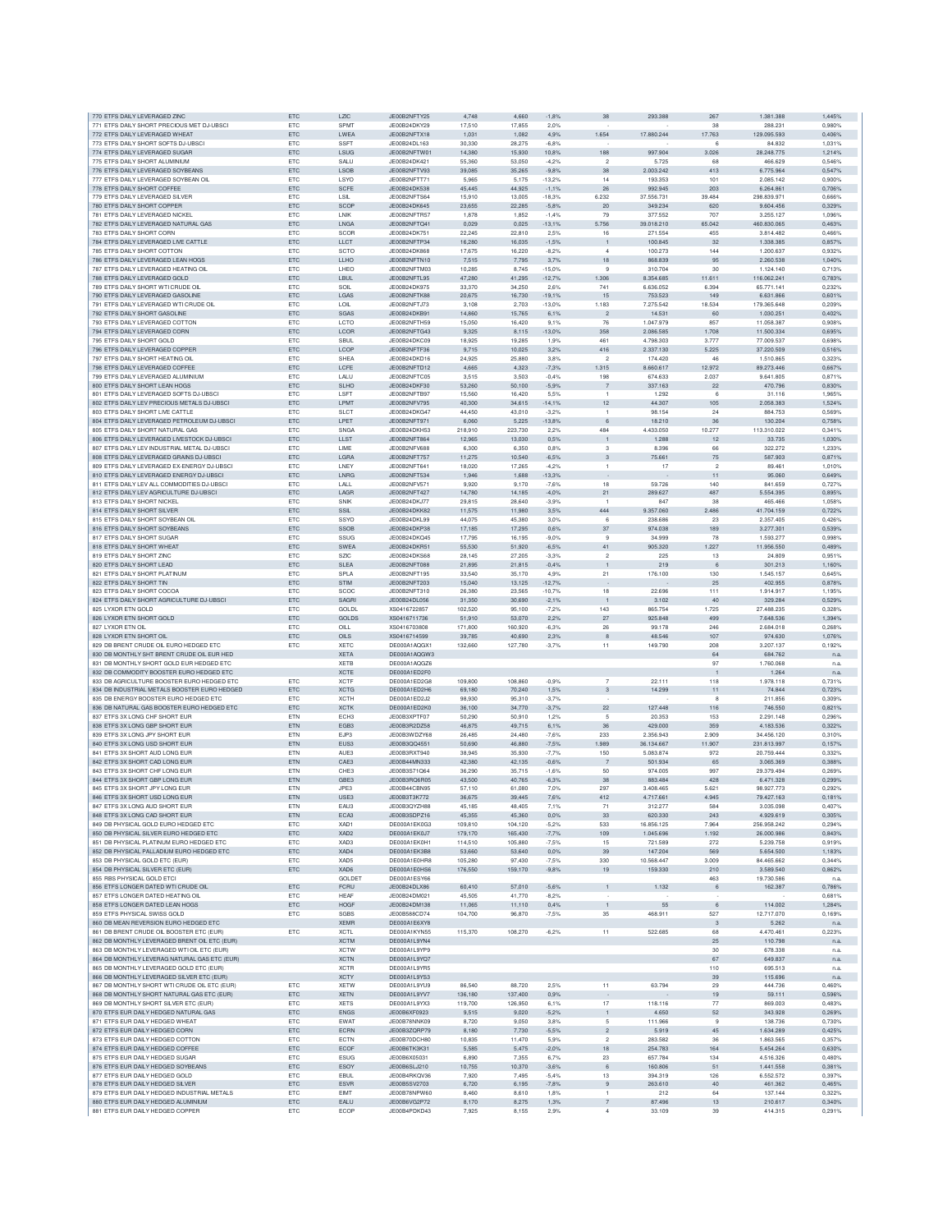| 770 ETFS DAILY LEVERAGED ZINC                                                      | ETC               | 17C                        | JE00B2NFTY25                 | 4.748              | 4.660              | $-1,8%$             | 38                               | 293,388                | 267            | 1.381.388                | 1.445%           |
|------------------------------------------------------------------------------------|-------------------|----------------------------|------------------------------|--------------------|--------------------|---------------------|----------------------------------|------------------------|----------------|--------------------------|------------------|
| 771 FTES DAILY SHORT PRECIOUS MET DJ-UBSCI                                         | ETC               | SPMT                       | JE00B24DKY29                 | 17,510             | 17,855             | 2.0%                |                                  |                        | 38             | 288.231                  | 0.980%           |
| 772 ETFS DAILY LEVERAGED WHEAT                                                     | <b>ETC</b>        | LWEA                       | JE00B2NETX18                 | 1.031              | 1.082              | 4.9%                | 1.654                            | 17,880,244             | 17.763         | 129.095.593              | 0.406%           |
| 773 ETFS DAILY SHORT SOFTS DJ-UBSCI                                                | ETC               | <b>SSFT</b>                | JE00B24DL163                 | 30.330             | 28.275             | $-6.8%$             |                                  |                        | 6              | 84.832                   | 1.031%           |
| 774 ETFS DAILY LEVERAGED SUGAF                                                     | ETC               | LSUG                       | JE00B2NFTW0                  | 14,380             | 15,930             | 10,8%               | 188                              | 997.904                | 3.026          | 28.248.775               | 1,214%           |
| 775 ETFS DAILY SHORT ALUMINIUM                                                     | ETC<br>ETC        | SALU<br>LSOB               | JE00B24DK42<br>JE00B2NFTV93  | 55,360             | 53,050<br>35,265   | $-4,2%$             | $\overline{c}$<br>38             | 5.725                  | 68<br>413      | 466.629                  | 0,546%<br>0,547% |
| 776 ETFS DAILY LEVERAGED SOYBEANS<br>777 ETFS DAILY LEVERAGED SOYBEAN OIL          | ETC               | LSYO                       | JE00B2NFTT71                 | 39,085<br>5.965    | 5.175              | $-9,8%$<br>$-13.2%$ | 14                               | 2.003.242<br>193,353   | 101            | 6.775.964<br>2.085.142   | 0.900%           |
| 778 ETFS DAILY SHORT COFFEE                                                        | ETC               | <b>SCFE</b>                | JE00B24DK538                 | 45.445             | 44.925             | $-1,1%$             | 26                               | 992.945                | 203            | 6,264,861                | 0.706%           |
| 779 ETFS DAILY LEVERAGED SILVER                                                    | ETC               | LSIL                       | JE00B2NFTS64                 | 15.910             | 13,005             | $-18.3%$            | 6.232                            | 37.556.731             | 39.484         | 298.839.971              | 0.666%           |
| 780 ETFS DAILY SHORT COPPEF                                                        | ETC               | SCOP                       | JE00B24DK645                 | 23,655             | 22,285             | $-5,8%$             | $20\,$                           | 349.234                | 620            | 9.604.456                | 0,329%           |
| 781 ETFS DAILY LEVERAGED NICKEL                                                    | ETC               | LNIK                       | JE00B2NFTR57                 | 1,878              | 1,852              | $-1,4%$             | 79                               | 377.552                | 707            | 3.255.127                | 1,0969           |
| 782 ETFS DAILY LEVERAGED NATURAL GAS                                               | ETC               | LNGA                       | JE00B2NFTQ41                 | 0.029              | 0,025              | $-13,1%$            | 5.756                            | 39.018.210             | 65.042         | 460.830.065              | 0,463%           |
| 783 ETFS DAILY SHORT CORN                                                          | ETC               | SCOR                       | JE00B24DK751                 | 22.245             | 22,810             | 2.5%                | 16                               | 271,554                | 455            | 3.814.482                | 0.466%           |
| 784 ETFS DAILY LEVERAGED LIVE CATTLE<br>785 ETFS DAILY SHORT COTTON                | <b>ETC</b><br>ETC | LLCT<br>SCTO               | JE00B2NFTP34<br>JE00B24DK868 | 16.280<br>17,675   | 16.035<br>16,220   | $-1.5%$<br>$-8,2%$  | -1<br>$\overline{4}$             | 100.845<br>100.273     | 32<br>144      | 1.338.385<br>1.200.637   | 0.857%<br>0.932% |
| 786 ETFS DAILY LEVERAGED LEAN HOGS                                                 | ETC               | LLHO                       | JE00B2NFTN10                 | 7,515              | 7,795              | 3,7%                | 18                               | 868.839                | 95             | 2.260.538                | 1,040%           |
| 787 ETFS DAILY LEVERAGED HEATING OIL                                               | ETC               | LHEO                       | JE00B2NFTM03                 | 10,285             | 8,745              | $-15,0%$            | 9                                | 310.704                | 30             | 1.124.140                | 0,713%           |
| 788 ETFS DAILY LEVERAGED GOLD                                                      | ETC               | LBUL                       | JE00B2NFTL95                 | 47,280             | 41,295             | $-12,7%$            | 1.306                            | 8.354.685              | 11.611         | 116,062,241              | 0.783%           |
| 789 ETFS DAILY SHORT WTI CRUDE OIL                                                 | ETC               | SOIL                       | JE00B24DK975                 | 33,370             | 34,250             | 2.6%                | 741                              | 6.636.052              | 6.394          | 65.771.141               | 0.232%           |
| 790 ETFS DAILY LEVERAGED GASOLINE                                                  | <b>ETC</b>        | LGAS                       | JE00B2NFTK88                 | 20.675             | 16,730             | $-19.1%$            | 15                               | 753,523                | 149            | 6.631.866                | 0.601%           |
| 791 ETFS DAILY LEVERAGED WTI CRUDE OIL                                             | ETC               | LOIL                       | JE00B2NFTJ73                 | 3.108              | 2,703              | $-13,0%$            | 1.183                            | 7.275.542              | 18.534         | 179 365 648              | 0.209%           |
| 792 ETFS DAILY SHORT GASOLINE                                                      | ETC               | SGAS                       | JE00B24DKB91                 | 14,860             | 15,765             | 6,1%                | $\overline{c}$                   | 14.531                 | 60             | 1.030.251                | 0,402%           |
| 793 ETFS DAILY LEVERAGED COTTON                                                    | ETC               | LCTO                       | JE00B2NFTH59                 | 15,050             | 16,420             | 9,1%                | 76                               | 1.047.979              | 857            | 11.058.387               | 0,908%           |
| 794 ETFS DAILY LEVERAGED CORN<br>795 ETFS DAILY SHORT GOLD                         | ETC<br>ETC        | LCOR<br>SBUL               | JE00B2NFTG43<br>JE00B24DKC09 | 9.325<br>18.925    | 8,115<br>19,285    | 13,0%               | 358<br>461                       | 2.086.585<br>4.798.303 | 1.708<br>3.777 | 11.500.334<br>77,009.537 | 0.695%<br>0.698% |
| 796 ETFS DAILY LEVERAGED COPPER                                                    | <b>ETC</b>        | LCOP                       | JE00B2NFTF36                 | 9.715              | 10.025             | 1,9%<br>3.2%        | 416                              | 2.337.130              | 5.225          | 37,220,509               | 0.516%           |
| 797 ETFS DAILY SHORT HEATING OIL                                                   | <b>ETC</b>        | SHEA                       | JE00B24DKD16                 | 24.925             | 25,880             | 3.8%                | $\mathfrak{D}$                   | 174,420                | 46             | 1,510,865                | 0.323%           |
| 798 ETFS DAILY LEVERAGED COFFEE                                                    | ETC               | LCFE                       | JE00B2NFTD12                 | 4,665              | 4,323              | $-7,3%$             | 1.315                            | 8.660.617              | 12.972         | 89.273.446               | 0,667%           |
| 799 ETFS DAILY LEVERAGED ALUMINIUM                                                 | ETC               | LALU                       | JE00B2NFTC05                 | 3,515              | 3,503              | $-0.4%$             | 198                              | 674.633                | 2.037          | 9.641.805                | 0,871%           |
| 800 ETFS DAILY SHORT LEAN HOGS                                                     | ETC               | <b>SLHO</b>                | JE00B24DKF30                 | 53,260             | 50,100             | $-5,9%$             | $\overline{7}$                   | 337.163                | 22             | 470.796                  | 0,830%           |
| 801 ETFS DAILY LEVERAGED SOFTS DJ-UBSCI                                            | <b>ETC</b>        | <b>ISET</b>                | JE00B2NFTB97                 | 15,560             | 16,420             | 5.5%                | $\overline{1}$                   | 1.292                  | 6              | 31.116                   | 1.965%           |
| 802 ETFS DAILY LEV PRECIOUS METALS DJ-UBSCI                                        | ETC               | LPMT                       | JE00B2NFV795                 | 40.300             | 34,615             | $-14,1%$            | 12                               | 44.307                 | 105            | 2.058.383                | 1,524%           |
| 803 FTES DAILY SHORT LIVE CATTLE                                                   | <b>ETC</b>        | <b>SLCT</b>                | JE00B24DKG47                 | 44.450             | 43,010             | $-3.2%$             | $\overline{1}$                   | 98.154                 | 24             | 884,753                  | 0.569%           |
| 804 ETFS DAILY LEVERAGED PETROLEUM DJ-UBSCI                                        | ETC               | LPET                       | JE00B2NFT971                 | 6,060              | 5,225              | 13,8%               | $\mathbf 6$                      | 18.210                 | 36             | 130.204                  | 0,758%           |
| 805 ETFS DAILY SHORT NATURAL GAS<br>806 ETFS DAILY LEVERAGED LIVESTOCK DJ-UBSCI    | ETC<br>ETC        | SNG/<br>LLST               | JE00B24DKH53<br>JE00B2NFT864 | 218,910<br>12,965  | 223,730<br>13,030  | 2,2%<br>0,5%        | 484<br>$\mathbf{1}$              | 4.433.050<br>1.288     | 10.277<br>12   | 113.310.022<br>33.735    | 0,341%<br>1,030% |
| 807 ETFS DAILY LEV INDUSTRIAL METAL DJ-UBSCI                                       | ETC               | LIME                       | JE00B2NFV688                 | 6,300              | 6,350              | 0,8%                | $\mathbf{B}$                     | 8.396                  | 66             | 322.272                  | 1,233%           |
| 808 ETFS DAILY LEVERAGED GRAINS DJ-UBSCI                                           | ETC               | LGRA                       | JF00B2NFT757                 | 11,275             | 10.540             | $-6.5%$             | $^{\rm 3}$                       | 75.661                 | 75             | 587,903                  | 0,871%           |
| 809 FTES DAILY LEVERAGED EX-ENERGY DJ-URSCL                                        | ETC               | LNEY                       | JE00B2NFT641                 | 18.020             | 17,265             | $-4.2%$             | $\overline{1}$                   | 17                     | $\overline{2}$ | 89.461                   | 1.010%           |
| 810 ETFS DAILY LEVERAGED ENERGY DJ-UBSCI                                           | ETC               | LNRG                       | JE00B2NFT534                 | 1,946              | 1,688              | $-13.3%$            |                                  |                        | 11             | 95.060                   | 0,649%           |
| 811 ETFS DAILY LEV ALL COMMODITIES DJ-UBSCI                                        | ETC               | LALL                       | JE00B2NFV571                 | 9,920              | 9,170              | $-7,6%$             | 18                               | 59.726                 | 140            | 841.659                  | 0,727%           |
| 812 ETFS DAILY LEV AGRICULTURE DJ-UBSCI                                            | ETC               | LAGR                       | JE00B2NFT427                 | 14,780             | 14,185             | $-4,0%$             | 21                               | 289.627                | 487            | 5.554.395                | 0.895%           |
| 813 ETFS DAILY SHORT NICKEL                                                        | ETC               | SNIK                       | JE00B24DKJ77                 | 29,815             | 28,640             | $-3,9%$             | $\overline{1}$                   | 847                    | 38             | 465.466                  | 1,058%           |
| 814 ETFS DAILY SHORT SILVER                                                        | ETC               | SSIL                       | JE00B24DKK82                 | 11,575             | 11,980             | 3,5%                | 444                              | 9.357.060              | 2.486          | 41.704.159               | 0,722%           |
| 815 ETFS DAILY SHORT SOYBEAN OIL                                                   | ETC               | SSYO<br>SSOB               | JE00B24DKL99<br>JE00B24DKP38 | 44.075             | 45,380<br>17,295   | 3.0%                | 6                                | 238,686<br>974.038     | -23            | 2.357.405                | 0.426%<br>0.539% |
| 816 ETFS DAILY SHORT SOYBEANS<br>817 ETFS DAILY SHORT SUGAR                        | ETC<br>ETC        | SSUG                       | JE00B24DKQ45                 | 17,185<br>17.795   | 16.195             | 0,6%<br>$-9.0%$     | 37<br>9                          | 34,999                 | 189<br>78      | 3.277.301<br>1.593.277   | 0.998%           |
| 818 ETFS DAILY SHORT WHEAT                                                         | ETC               | <b>SWEA</b>                | JE00B24DKR51                 | 55,530             | 51,920             | $-6,5%$             | 41                               | 905.320                | 1.227          | 11.956.550               | 0.489%           |
| 819 ETFS DAILY SHORT ZINC                                                          | ETC               | SZIC                       | JE00B24DKS68                 | 28.145             | 27,205             | $-3.3%$             | $\mathfrak{p}$                   | 225                    | 13             | 24.809                   | 0.951%           |
| 820 ETFS DAILY SHORT LEAD                                                          | ETC               | <b>SLEA</b>                | JE00B2NFT088                 | 21,895             | 21,815             | $-0.4%$             | $\mathbf{1}$                     | 219                    | 6              | 301.213                  | 1,160%           |
| 821 ETFS DAILY SHORT PLATINUM                                                      | ETC               | SPLA                       | JE00B2NFT195                 | 33.540             | 35.170             | 4.9%                | 21                               | 176,100                | 130            | 1.545.157                | 0.645%           |
| 822 ETFS DAILY SHORT TIN                                                           | <b>ETC</b>        | <b>STIM</b>                | JE00B2NFT203                 | 15.040             | 13.125             | $-12.7%$            |                                  |                        | 25             | 402.955                  | 0.878%           |
| 823 ETFS DAILY SHORT COCOA                                                         | ETC               | SCOC                       | JE00B2NFT310                 | 26,380             | 23,565             | $-10.7%$            | 18                               | 22.696                 | 111            | 1.914.917                | 1,195%           |
| 824 ETFS DAILY SHORT AGRICULTURE DJ-UBSCI                                          | ETC               | SAGR                       | JE00B24DL056                 | 31,350             | 30,690             | $-2,1%$             | $\overline{1}$                   | 3.102                  | 40             | 329.284                  | 0.529%           |
| 825 LYXOR ETN GOLD                                                                 | ETC               | <b>GOLD</b>                | XS0416722857                 | 102,520            | 95,100             | $-7,2%$             | 143                              | 865.754                | 1.725          | 27.488.235               | 0.328%           |
| 826 LYXOR ETN SHORT GOLD<br>827 LYXOR ETN OIL                                      | ETC<br>ETC        | GOLDS<br>OILL              | XS0416711736<br>XS0416703808 | 51,910<br>171,800  | 53,070<br>160,920  | 2,2%<br>$-6.3%$     | 27<br>26                         | 925.848<br>99.178      | 499<br>246     | 7.648.536<br>2.684.018   | 1,394%<br>0.268% |
| 828 LYXOR ETN SHORT OIL                                                            | ETC               | OILS                       | XS0416714599                 | 39,785             | 40,690             | 2.3%                | 8                                | 48,546                 | 107            | 974,630                  | 1.076%           |
| 829 DB BRENT CRUDE OIL EURO HEDGED ETC                                             | ETC               | <b>XETC</b>                | DE000A1AQGX1                 | 132,660            | 127,780            | $-3.7%$             | 11                               | 149.790                | 208            | 3.207.137                | 0,192%           |
| 830 DB MONTHLY SHT BRENT CRUDE OIL EUR HED                                         |                   | <b>XETA</b>                | DE000A1AQGW3                 |                    |                    |                     |                                  |                        | 64             | 684.762                  | n.a.             |
| 831 DB MONTHLY SHORT GOLD EUR HEDGED ETC                                           |                   | XETE                       | DE000A1AQGZ6                 |                    |                    |                     |                                  |                        | 97             | 1.760.068                | n.a              |
| 832 DB COMMODITY BOOSTER EURO HEDGED ETC                                           |                   | <b>XCTE</b>                | DE000A1ED2F0                 |                    |                    |                     |                                  |                        |                | 1.264                    | n.a              |
| 833 DB AGRICULTURE BOOSTER EURO HEDGED ETC                                         | ETC               | <b>XCTF</b>                | DE000A1ED2G8                 | 109,800            | 108,860            | $-0,9%$             | $\overline{7}$                   | 22.111                 | 118            | 1.978.118                | 0.731%           |
| 834 DB INDUSTRIAL METALS BOOSTER EURO HEDGED                                       | <b>ETC</b>        | <b>XCTG</b>                | DE000A1ED2H6                 | 69.180             | 70,240             | 1.5%                | 3                                | 14.299                 | 11             | 74,844                   | 0.723%           |
| 835 DB ENERGY BOOSTER EURO HEDGED ETC                                              | ETC               | <b>XCTH</b>                | DE000A1ED2J2                 | 98,930             | 95,310             | $-3,7%$             |                                  |                        | 8              | 211.856                  | 0,309%           |
| 836 DB NATURAL GAS BOOSTER EURO HEDGED ETC                                         | ETC               | <b>XCTK</b>                | DE000A1ED2K0                 | 36,100             | 34,770             | $-3,7%$             | 22                               | 127.448                | 116            | 746.550                  | 0,821%           |
| 837 ETFS 3X LONG CHF SHORT EUR<br>838 ETFS 3X LONG GBP SHORT EUR                   | ETN<br>ETN        | ECH <sub>3</sub><br>EGB3   | JE00B3XPTF07<br>JE00B3R2DZ58 | 50,290<br>46,875   | 50,910             | 1,2%<br>6,1%        | 5<br>36                          | 20.353<br>429.000      | 153<br>359     | 2.291.148<br>4.183.536   | 0.296%<br>0.322% |
| 839 FTES 3X LONG JPY SHORT FUR                                                     | ETN               | EJP3                       | JE00B3WDZY68                 | 26.485             | 49,715<br>24,480   | $-7,6%$             | 233                              | 2.356.943              | 2.909          | 34.456.120               | 0.310%           |
| 840 ETFS 3X LONG USD SHORT EUR                                                     | ETN               | EUS3                       | JE00B3QQ4551                 | 50.690             | 46,880             | $-7,5%$             | 1.989                            | 36, 134, 667           | 11.907         | 231.813.997              | 0.157%           |
| 841 ETFS 3X SHORT AUD LONG EUR                                                     | ETN               | AUE3                       | JE00B3RXT940                 | 38.945             | 35,930             | $-7,7%$             | 150                              | 5.083.874              | 972            | 20.759.444               | 0.332%           |
| 842 ETFS 3X SHORT CAD LONG EUR                                                     | ETN               | CAE3                       | JE00B44MN333                 | 42.380             | 42,135             | $-0.6%$             | $\overline{7}$                   | 501.934                | 65             | 3.065.369                | 0.388%           |
| 843 ETFS 3X SHORT CHF LONG EUR                                                     | ETN               | CHE3                       | JE00B3S71Q6                  | 36,290             | 35.715             | $-1,69$             | 50                               | 974.00                 | 997            | 29.379.494               | 0.269%           |
| 844 ETFS 3X SHORT GBP LONG EUR                                                     | ETN               | GBE3                       | JE00B3RQ6R05                 | 43.500             | 40.765             | $-6.3%$             | 38                               | 883,484                | 428            | 6.471.328                | 0.299%           |
| 845 ETFS 3X SHORT JPY LONG EUR                                                     | <b>FTN</b>        | JPF3                       | JE00B44CBN95                 | 57 110             | 61,080             | 7.0%                | 297                              | 3.408.465              | 562            | 98.927.773               | 0.292%           |
| 846 ETFS 3X SHORT USD LONG EUR                                                     | ETN               | USE3                       | JE00B3T3K772                 | 36.675             | 39,445             | 7.6%                | 412                              | 4.717.661              | 4.945          | 79 427 163               | 0,181%           |
| 847 FTES 3X LONG AUD SHORT FUR                                                     | <b>FTN</b>        | <b>FAU3</b>                | JE00B3OYZH88                 | 45 185             | 48 405             | 719                 | $7^{\circ}$                      | 312 277                | 584            | 3 035 098                | 0.4079           |
| 848 ETFS 3X LONG CAD SHORT EUR<br>849 DB PHYSICAL GOLD EURO HEDGED ETC             | ETN<br>ETC        | ECA3<br>XAD1               | JE00B3SDPZ16<br>DE000A1EK0G3 | 45,355<br>109,810  | 45,360<br>104,120  | 0.0%<br>$-5,2%$     | $_{33}$<br>533                   | 620.330<br>16.856.125  | 243<br>7.964   | 4.929.619<br>256.958.242 | 0,305%<br>0.294% |
| 850 DB PHYSICAL SILVER EURO HEDGED ETC                                             | ETC               | XAD <sub>2</sub>           | DE000A1EK0J7                 | 179,170            | 165,430            | $-7,7%$             | 109                              | 1.045.696              | 1.192          | 26.000.986               | 0,843%           |
| 851 DB PHYSICAL PLATINUM EURO HEDGED ETC                                           | <b>ETC</b>        | XAD3                       | DE000A1EK0H1                 | 114,510            | 105,880            | $-7,5%$             | 15                               | 721,589                | 272            | 5.239.758                | 0.919%           |
| 852 DB PHYSICAL PALLADIUM EURO HEDGED ETC                                          | ETC               | XAD4                       | DE000A1EK3B8                 | 53,660             | 53,640             | 0.0%                | 39                               | 147,204                | 569            | 5.654.500                | 1,183%           |
| 853 DB PHYSICAL GOLD FTC (FUR)                                                     | ETC               | XAD5                       | DE000A1E0HR8                 | 105,280            | 97,430             | $-7.5%$             | 330                              | 10.568.447             | 3.009          | 84.465.662               | 0.344%           |
| 854 DB PHYSICAL SILVER ETC (EUR)                                                   | ETC               | XAD6                       | DE000A1E0HS6                 | 176,550            | 159,170            | $-9,8%$             | 19                               | 159.330                | 210            | 3.589.540                | 0,862%           |
| 855 RBS PHYSICAL GOLD ETC                                                          |                   | <b>GOLDET</b>              | DE000A1ESY66                 |                    |                    |                     |                                  |                        | 463            | 19.730.586               | n.a              |
| 856 ETFS LONGER DATED WTI CRUDE OIL<br>857 FTES LONGER DATED HEATING OIL           | ETC               | FCRU                       | JE00B24DLX86<br>JF00B24DM021 | 60,410             | 57,010             | $-5.6%$             | $\mathbf{1}$                     | 1.132                  | 6              | 162.387                  | 0,786%           |
| 858 ETFS LONGER DATED LEAN HOGS                                                    | ETC               | <b>HEAF</b><br><b>HOGF</b> | JE00B24DM138                 | 45,505             | 41,770             | $-8,2%$             |                                  | 55                     |                |                          | 0,681%           |
| 859 ETFS PHYSICAL SWISS GOLD                                                       | ETC<br><b>ETC</b> | SGBS                       | JE00B588CD74                 | 11,065<br>104,700  | 11,110<br>96,870   | 0,4%<br>$-7.5%$     | $\mathbf{1}$<br>35               | 468,911                | $\,$ 6<br>527  | 114.002<br>12,717.070    | 1,284%<br>0.169% |
| 860 DB MEAN REVERSION EURO HEDGED ETC                                              |                   | <b>XEMR</b>                | DE000A1E6XY8                 |                    |                    |                     |                                  |                        | $^{\rm 3}$     | 5.262                    | n.a.             |
| 861 DB BRENT CRUDE OIL BOOSTER ETC (FUR)                                           | ETC               | <b>XCTL</b>                | DE000A1KYN55                 | 115,370            | 108,270            | $-6,2%$             | 11                               | 522.685                | 68             | 4.470.461                | 0,223%           |
| 862 DB MONTHLY LEVERAGED BRENT OIL ETC (EUR)                                       |                   | <b>XCTM</b>                | DE000A1L9YN4                 |                    |                    |                     |                                  |                        | 25             | 110.798                  | n.a              |
| 863 DB MONTHLY LEVERAGED WTI OIL ETC (EUR)                                         |                   | <b>XCTW</b>                | DE000A1L9YP9                 |                    |                    |                     |                                  |                        | 30             | 678.338                  | n.a              |
| 864 DB MONTHLY LEVERAG NATURAL GAS ETC (EUR)                                       |                   | <b>XCTN</b>                | DE000A1L9YQ7                 |                    |                    |                     |                                  |                        | 67             | 649.837                  | n.a              |
| 865 DB MONTHLY LEVERAGED GOLD ETC (EUR)                                            |                   | <b>XCTR</b>                | DE000A1L9YR5                 |                    |                    |                     |                                  |                        | 110            | 695.513                  | n.a              |
| 866 DB MONTHLY LEVERAGED SILVER ETC (EUR)                                          |                   | XCTY                       | DE000A1L9YS3                 |                    |                    |                     |                                  |                        | 39             | 115.696                  | n.a.             |
| 867 DB MONTHLY SHORT WTI CRUDE OIL ETC (EUR)                                       | ETC               | <b>XETW</b>                | DE000A1L9YU9                 | 86.540             | 88,720             | 2.5%                | 11                               | 63.794                 | 29             | 444.736                  | 0,460%           |
| 868 DB MONTHLY SHORT NATURAL GAS ETC (EUR)<br>869 DB MONTHLY SHORT SILVER ETC (EUR | ETC<br>ETC        | XETN<br><b>XETS</b>        | DE000A1L9YV7<br>DE000A1L9YX3 | 136,180<br>119,700 | 137,400<br>126,950 | 0.9%<br>6,1%        | 17                               | 118.116                | 19<br>77       | 59.111<br>869.003        | 0.596%<br>0,483% |
| 870 ETFS EUR DAILY HEDGED NATURAL GAS                                              |                   | <b>ENGS</b>                | JE00B6XF0923                 | 9,515              | 9,020              | $-5.2%$             | $\mathbf{1}$                     | 4.650                  | 52             | 343.928                  | 0.269%           |
| 871 ETFS EUR DAILY HEDGED WHEAT                                                    |                   |                            |                              | 8.720              | 9.050              | 3.8%                | -5                               | 111,966                | 9              | 138,736                  | 0.730%           |
|                                                                                    | ETC<br><b>ETC</b> | EWAT                       | JE00B78NNK09                 |                    |                    |                     |                                  |                        |                |                          |                  |
| 872 ETFS EUR DAILY HEDGED CORN                                                     | <b>ETC</b>        | ECRN                       | JE00B3ZQRP79                 | 8.180              | 7,730              | $-5.5%$             | $\overline{2}$                   | 5.919                  | 45             | 1.634.289                | 0.425%           |
| 873 ETFS EUR DAILY HEDGED COTTON                                                   | ETC               | ECTN                       | JE00B70DCH80                 | 10,835             | 11,470             | 5,9%                | $\overline{2}$                   | 283.582                | 36             | 1.863.565                | 0.357%           |
| 874 ETFS EUR DAILY HEDGED COFFEE                                                   | ETC               | ECOF                       | JE00B6TK3K31                 | 5,585              | 5,475              | $-2.0%$             | 18                               | 254.783                | 164            | 5.454.264                | 0.630%           |
| 875 ETFS EUR DAILY HEDGED SUGAR                                                    | ETC               | <b>ESUG</b>                | JE00B6X05031                 | 6,890              | 7,355              | 6,7%                | 23                               | 657.784                | 134            | 4.516.326                | 0.480%           |
| 876 ETFS EUR DAILY HEDGED SOYBEANS                                                 | ETC               | ESOY                       | JE00B6SLJ210                 | 10,755             | 10,370             | $-3,6%$             | $\mathbf 6$                      | 160.806                | 51             | 1.441.558                | 0,381%           |
| 877 ETFS EUR DAILY HEDGED GOLD                                                     | ETC               | EBUL                       | JE00B4RKQV36                 | 7.920              | 7.495              | $-5.4%$             | 13                               | 394,319                | 126            | 6.552.572                | 0.397%           |
| 878 ETFS EUR DAILY HEDGED SILVER                                                   | ETC               | <b>ESVR</b>                | JE00B5SV2703                 | 6.720              | 6.195              | $-7.8%$             | $\overline{9}$                   | 263,610                | 40             | 461.362                  | 0.465%           |
| 879 ETFS EUR DAILY HEDGED INDUSTRIAL METALS                                        | ETC               | EIMT                       | JE00B78NPW60                 | 8,460              | 8,610              | 1,8%                | $\mathbf{1}$                     | 212                    | 64             | 137.144                  | 0,322%           |
| 880 ETFS EUR DAILY HEDGED ALUMINIUM<br>881 ETFS EUR DAILY HEDGED COPPER            | ETC<br>ETC        | EALU<br>ECOP               | JE00B6VG2P72<br>JE00B4PDKD43 | 8,170<br>7,925     | 8,275<br>8,155     | 1,3%<br>2,9%        | $\overline{7}$<br>$\overline{4}$ | 87.496<br>33.109       | 13<br>39       | 210.617<br>414.315       | 0,340%<br>0,291% |